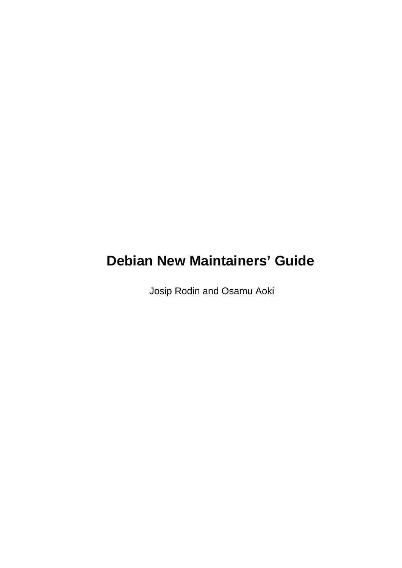# **Debian New Maintainers' Guide**

Josip Rodin and Osamu Aoki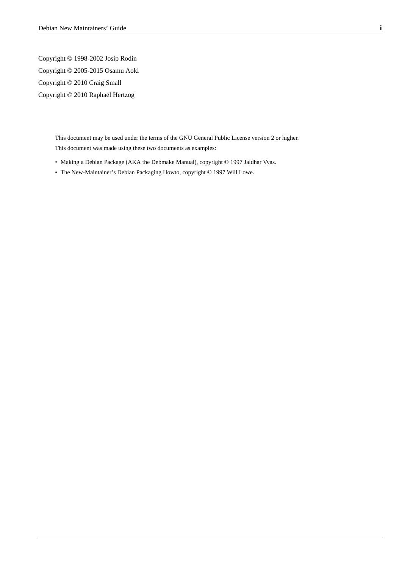Copyright © 1998-2002 Josip Rodin Copyright © 2005-2015 Osamu Aoki Copyright © 2010 Craig Small Copyright © 2010 Raphaël Hertzog

> This document may be used under the terms of the GNU General Public License version 2 or higher. This document was made using these two documents as examples:

- Making a Debian Package (AKA the Debmake Manual), copyright © 1997 Jaldhar Vyas.
- The New-Maintainer's Debian Packaging Howto, copyright © 1997 Will Lowe.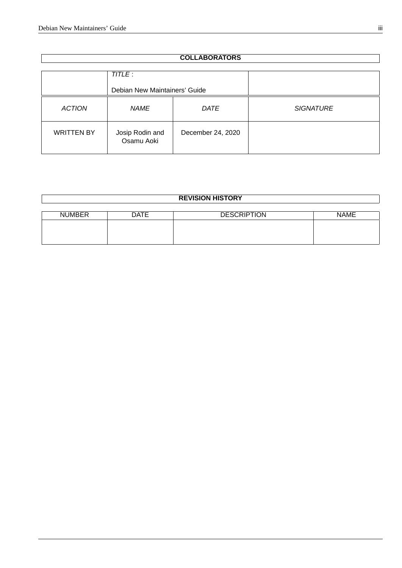| <b>COLLABORATORS</b>                     |                               |                   |                  |
|------------------------------------------|-------------------------------|-------------------|------------------|
| TITLE :<br>Debian New Maintainers' Guide |                               |                   |                  |
| <b>ACTION</b><br><b>NAME</b>             |                               | <b>DATE</b>       | <b>SIGNATURE</b> |
| <b>WRITTEN BY</b>                        | Josip Rodin and<br>Osamu Aoki | December 24, 2020 |                  |

| <b>REVISION HISTORY</b> |             |                    |             |  |
|-------------------------|-------------|--------------------|-------------|--|
|                         |             |                    |             |  |
| <b>NUMBER</b>           | <b>DATE</b> | <b>DESCRIPTION</b> | <b>NAME</b> |  |
|                         |             |                    |             |  |
|                         |             |                    |             |  |
|                         |             |                    |             |  |
|                         |             |                    |             |  |

#### **COLLABORATORS**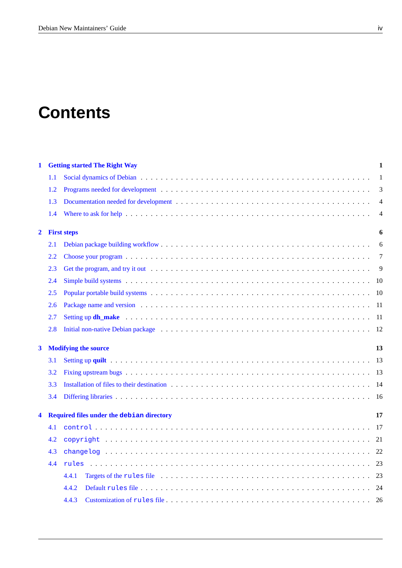# **Contents**

| $\mathbf 1$             |         | <b>Getting started The Right Way</b>             | 1  |
|-------------------------|---------|--------------------------------------------------|----|
|                         | $1.1\,$ |                                                  | 1  |
|                         | 1.2     |                                                  | 3  |
|                         | 1.3     |                                                  | 4  |
|                         | 1.4     |                                                  | 4  |
| $\overline{\mathbf{2}}$ |         | <b>First steps</b>                               | 6  |
|                         | 2.1     |                                                  | 6  |
|                         | 2.2     |                                                  | 7  |
|                         | 2.3     |                                                  | 9  |
|                         | 2.4     |                                                  | 10 |
|                         | 2.5     |                                                  | 10 |
|                         | 2.6     |                                                  | 11 |
|                         | 2.7     |                                                  | 11 |
|                         | 2.8     |                                                  | 12 |
| 3                       |         | <b>Modifying the source</b>                      | 13 |
|                         | 3.1     |                                                  | 13 |
|                         | 3.2     |                                                  | 13 |
|                         | 3.3     |                                                  | 14 |
|                         | 3.4     |                                                  | 16 |
| 4                       |         | <b>Required files under the debian directory</b> | 17 |
|                         | 4.1     |                                                  | 17 |
|                         |         |                                                  |    |
|                         | 4.2     |                                                  | 21 |
|                         | 4.3     |                                                  | 22 |
|                         | 4.4     |                                                  | 23 |
|                         |         | 4.4.1                                            | 23 |
|                         |         | 4.4.2                                            | 24 |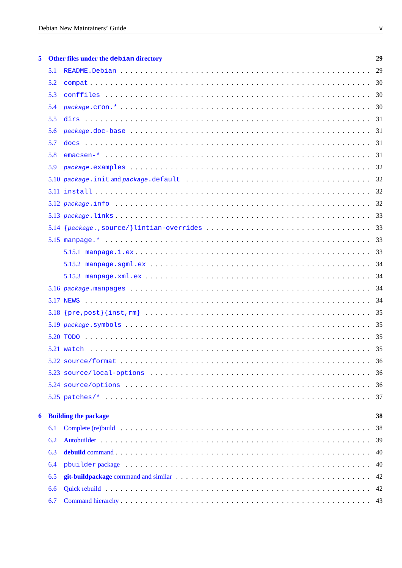| 5. |     | Other files under the debian directory | 29 |
|----|-----|----------------------------------------|----|
|    | 5.1 |                                        |    |
|    | 5.2 |                                        |    |
|    | 5.3 |                                        |    |
|    | 5.4 |                                        |    |
|    | 5.5 |                                        |    |
|    | 5.6 |                                        |    |
|    | 5.7 |                                        |    |
|    | 5.8 |                                        |    |
|    | 5.9 |                                        |    |
|    |     |                                        |    |
|    |     |                                        |    |
|    |     |                                        |    |
|    |     |                                        |    |
|    |     |                                        |    |
|    |     |                                        |    |
|    |     |                                        |    |
|    |     |                                        |    |
|    |     |                                        |    |
|    |     |                                        |    |
|    |     |                                        |    |
|    |     |                                        |    |
|    |     |                                        |    |
|    |     |                                        |    |
|    |     |                                        |    |
|    |     |                                        |    |
|    |     |                                        |    |
|    |     |                                        |    |
|    |     |                                        |    |
| 6  |     | <b>Building the package</b>            | 38 |
|    | 6.1 |                                        |    |
|    | 6.2 |                                        |    |
|    | 6.3 |                                        |    |
|    | 6.4 |                                        |    |
|    | 6.5 |                                        |    |
|    | 6.6 |                                        |    |
|    | 6.7 |                                        |    |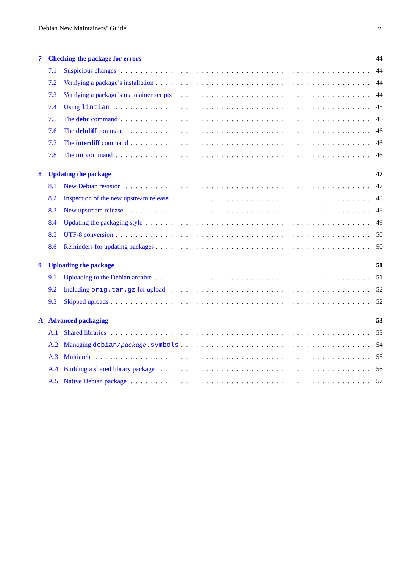| 7                |     | <b>Checking the package for errors</b>                                                                                                                                                                                        | 44   |
|------------------|-----|-------------------------------------------------------------------------------------------------------------------------------------------------------------------------------------------------------------------------------|------|
|                  | 7.1 |                                                                                                                                                                                                                               | 44   |
|                  | 7.2 |                                                                                                                                                                                                                               | 44   |
|                  | 7.3 |                                                                                                                                                                                                                               | 44   |
|                  | 7.4 |                                                                                                                                                                                                                               | 45   |
|                  | 7.5 |                                                                                                                                                                                                                               | 46   |
|                  | 7.6 |                                                                                                                                                                                                                               | 46   |
|                  | 7.7 |                                                                                                                                                                                                                               | -46  |
|                  | 7.8 |                                                                                                                                                                                                                               | 46   |
| 8                |     | <b>Updating the package</b>                                                                                                                                                                                                   | 47   |
|                  | 8.1 |                                                                                                                                                                                                                               | 47   |
|                  | 8.2 |                                                                                                                                                                                                                               | 48   |
|                  | 8.3 |                                                                                                                                                                                                                               | 48   |
|                  | 8.4 |                                                                                                                                                                                                                               | 49   |
|                  | 8.5 |                                                                                                                                                                                                                               | - 50 |
|                  | 8.6 |                                                                                                                                                                                                                               | 50   |
| $\boldsymbol{9}$ |     | <b>Uploading the package</b>                                                                                                                                                                                                  | 51   |
|                  | 9.1 |                                                                                                                                                                                                                               | -51  |
|                  | 9.2 |                                                                                                                                                                                                                               |      |
|                  | 9.3 |                                                                                                                                                                                                                               |      |
|                  |     | <b>A</b> Advanced packaging                                                                                                                                                                                                   | 53   |
|                  | A.1 |                                                                                                                                                                                                                               |      |
|                  | A.2 |                                                                                                                                                                                                                               |      |
|                  | A.3 |                                                                                                                                                                                                                               |      |
|                  | A.4 | Building a shared library package (a) and a series of the series of the series of the series of the series of the series of the series of the series of the series of the series of the series of the series of the series of |      |
|                  | A.5 | Native Debian package (and all contact of the contract of the contract of the contract of the contract of the contract of the contract of the contract of the contract of the contract of the contract of the contract of the |      |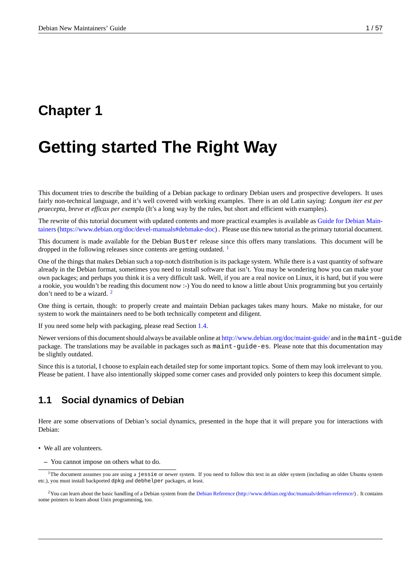# <span id="page-6-0"></span>**Chapter 1**

# **Getting started The Right Way**

This document tries to describe the building of a Debian package to ordinary Debian users and prospective developers. It uses fairly non-technical language, and it's well covered with working examples. There is an old Latin saying: *Longum iter est per praecepta, breve et efficax per exempla* (It's a long way by the rules, but short and efficient with examples).

The rewrite of this tutorial document with updated contents and more practical examples is available as Guide for Debian Maintainers(https://www.debian.org/doc/devel-manuals#debmake-doc) . Please use this new tutorial as the primary tutorial document.

This document is made available for the Debian Buster release since this offers many translations. This document will be dropped in the following releases since contents are getting outdated.  $<sup>1</sup>$ </sup>

[One of the things that makes Debian such a top-notch distribution i](https://www.debian.org/doc/devel-manuals#debmake-doc)s its package system. While there is a vast quantity of software already in the Debian format, sometimes you need to install software that isn't. You may be wondering how you can make your own packages; and perhaps you think it is a very difficult task. Well,i[f](#page-6-2) you are a real novice on Linux, it is hard, but if you were a rookie, you wouldn't be reading this document now :-) You do need to know a little about Unix programming but you certainly don't need to be a wizard.<sup>2</sup>

One thing is certain, though: to properly create and maintain Debian packages takes many hours. Make no mistake, for our system to work the maintainers need to be both technically competent and diligent.

If you need some help wit[h](#page-6-3) packaging, please read Section 1.4.

Newer versions of this document should always be available online at http://www.debian.org/doc/maint-guide/ and in the maint-guide package. The translations may be available in packages such as maint-guide-es. Please note that this documentation may be slightly outdated.

Since this is a tutorial, I choose to explain each detailed ste[p for](#page-9-1) some important topics. Some of them may look irrelevant to you. Please be patient. I have also intentionally skipped some corner cas[es and provided only pointers to keep this](http://www.debian.org/doc/maint-guide/) document simple.

## **1.1 Social dynamics of Debian**

<span id="page-6-1"></span>Here are some observations of Debian's social dynamics, presented in the hope that it will prepare you for interactions with Debian:

- We all are volunteers.
	- **–** You cannot impose on others what to do.

<sup>&</sup>lt;sup>1</sup>The document assumes you are using a jessie or newer system. If you need to follow this text in an older system (including an older Ubuntu system etc.), you must install backported dpkg and debhelper packages, at least.

<span id="page-6-3"></span><span id="page-6-2"></span> $2$ You can learn about the basic handling of a Debian system from the Debian Reference (http://www.debian.org/doc/manuals/debian-reference/). It contains some pointers to learn about Unix programming, too.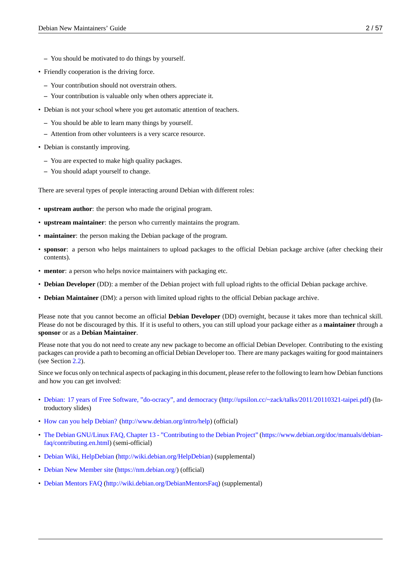- **–** You should be motivated to do things by yourself.
- Friendly cooperation is the driving force.
	- **–** Your contribution should not overstrain others.
	- **–** Your contribution is valuable only when others appreciate it.
- Debian is not your school where you get automatic attention of teachers.
	- **–** You should be able to learn many things by yourself.
	- **–** Attention from other volunteers is a very scarce resource.
- Debian is constantly improving.
	- **–** You are expected to make high quality packages.
	- **–** You should adapt yourself to change.

There are several types of people interacting around Debian with different roles:

- **upstream author**: the person who made the original program.
- **upstream maintainer**: the person who currently maintains the program.
- **maintainer**: the person making the Debian package of the program.
- **sponsor**: a person who helps maintainers to upload packages to the official Debian package archive (after checking their contents).
- **mentor**: a person who helps novice maintainers with packaging etc.
- **Debian Developer** (DD): a member of the Debian project with full upload rights to the official Debian package archive.
- **Debian Maintainer** (DM): a person with limited upload rights to the official Debian package archive.

Please note that you cannot become an official **Debian Developer** (DD) overnight, because it takes more than technical skill. Please do not be discouraged by this. If it is useful to others, you can still upload your package either as a **maintainer** through a **sponsor** or as a **Debian Maintainer**.

Please note that you do not need to create any new package to become an official Debian Developer. Contributing to the existing packages can provide a path to becoming an official Debian Developer too. There are many packages waiting for good maintainers (see Section 2.2).

Since we focus only on technical aspects of packaging in this document, please refer to the following to learn how Debian functions and how you can get involved:

- Debian: 1[7 ye](#page-12-0)ars of Free Software, "do-ocracy", and democracy (http://upsilon.cc/~zack/talks/2011/20110321-taipei.pdf) (Introductory slides)
- How can you help Debian? (http://www.debian.org/intro/help) (official)
- [The Debian GNU/Linux FAQ, Chapter 13 "Contributing to the D](http://upsilon.cc/~zack/talks/2011/20110321-taipei.pdf)ebian Project" [\(https://www.debian.org/doc/manuals/de](http://upsilon.cc/~zack/talks/2011/20110321-taipei.pdf)bianfaq/contributing.en.html) (semi-official)
- [Debian Wiki, HelpDebian](http://www.debian.org/intro/help) (h[ttp://wiki.debian.org/HelpDebian](http://www.debian.org/intro/help)) (supplemental)
- [Debian New Member sit](https://www.debian.org/doc/manuals/debian-faq/contributing.en.html)e [\(https://nm.debian.org/\) \(official\)](https://www.debian.org/doc/manuals/debian-faq/contributing.en.html)
- [Debian Mentors FAQ](http://wiki.debian.org/HelpDebian) (http[://wiki.debian.org/DebianMentorsF](http://wiki.debian.org/HelpDebian)aq) (supplemental)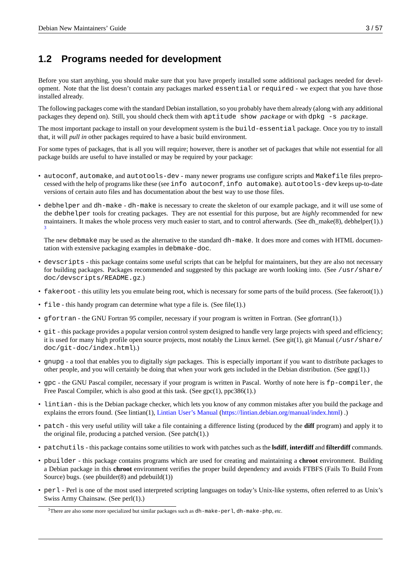# **1.2 Programs needed for development**

Before you start anything, you should make sure that you have properly installed some additional packages needed for development. Note that the list doesn't contain any packages marked essential or required - we expect that you have those installed already.

The following packages come with the standard Debian installation, so you probably have them already (along with any additional packages they depend on). Still, you should check them with aptitude show *package* or with dpkg -s *package*.

The most important package to install on your development system is the build-essential package. Once you try to install that, it will *pull in* other packages required to have a basic build environment.

For some types of packages, that is all you will require; however, there is another set of packages that while not essential for all package builds are useful to have installed or may be required by your package:

- autoconf, automake, and autotools-dev many newer programs use configure scripts and Makefile files preprocessed with the help of programs like these (see info autoconf, info automake). autotools-dev keeps up-to-date versions of certain auto files and has documentation about the best way to use those files.
- debhelper and dh-make dh-make is necessary to create the skeleton of our example package, and it will use some of the debhelper tools for creating packages. They are not essential for this purpose, but are *highly* recommended for new maintainers. It makes the whole process very much easier to start, and to control afterwards. (See dh\_make(8), debhelper(1).) 3

The new debmake may be used as the alternative to the standard dh-make. It does more and comes with HTML documentation with extensive packaging examples in debmake-doc.

- [d](#page-8-0)evscripts this package contains some useful scripts that can be helpful for maintainers, but they are also not necessary for building packages. Packages recommended and suggested by this package are worth looking into. (See /usr/share/ doc/devscripts/README.gz.)
- fakeroot this utility lets you emulate being root, which is necessary for some parts of the build process. (See fakeroot(1).)
- file this handy program can determine what type a file is. (See file(1).)
- gfortran the GNU Fortran 95 compiler, necessary if your program is written in Fortran. (See gfortran(1).)
- git this package provides a popular version control system designed to handle very large projects with speed and efficiency; it is used for many high profile open source projects, most notably the Linux kernel. (See git(1), git Manual (/usr/share/ doc/git-doc/index.html).)
- gnupg a tool that enables you to digitally *sign* packages. This is especially important if you want to distribute packages to other people, and you will certainly be doing that when your work gets included in the Debian distribution. (See gpg(1).)
- gpc the GNU Pascal compiler, necessary if your program is written in Pascal. Worthy of note here is fp-compiler, the Free Pascal Compiler, which is also good at this task. (See gpc(1), ppc386(1).)
- lintian this is the Debian package checker, which lets you know of any common mistakes after you build the package and explains the errors found. (See lintian(1), Lintian User's Manual (https://lintian.debian.org/manual/index.html) .)
- patch this very useful utility will take a file containing a difference listing (produced by the **diff** program) and apply it to the original file, producing a patched version. (See patch(1).)
- patchutils this package contains so[me utilities to work with patches such as the](https://lintian.debian.org/manual/index.html) **lsdiff**, **interdiff** and **filterdiff** commands.
- pbuilder this package contains programs which are used for creating and maintaining a **chroot** environment. Building a Debian package in this **chroot** environment verifies the proper build dependency and avoids FTBFS (Fails To Build From Source) bugs. (see pbuilder(8) and pdebuild(1))
- perl Perl is one of the most used interpreted scripting languages on today's Unix-like systems, often referred to as Unix's Swiss Army Chainsaw. (See perl(1).)

<span id="page-8-0"></span> $3$ There are also some more specialized but similar packages such as  $dh$ -make-perl,  $dh$ -make-php, etc.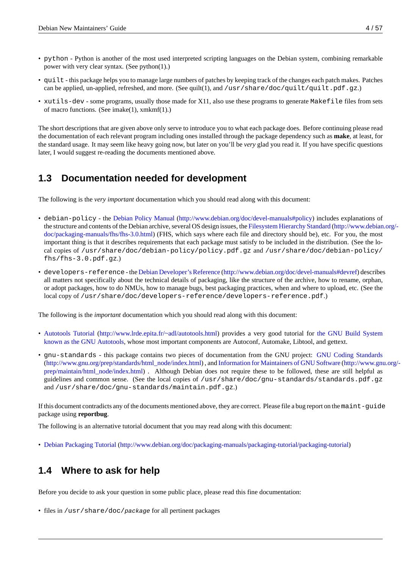- python Python is another of the most used interpreted scripting languages on the Debian system, combining remarkable power with very clear syntax. (See python(1).)
- quilt this package helps you to manage large numbers of patches by keeping track of the changes each patch makes. Patches can be applied, un-applied, refreshed, and more. (See quilt(1), and /usr/share/doc/quilt/quilt.pdf.gz.)
- xutils-dev some programs, usually those made for X11, also use these programs to generate Makefile files from sets of macro functions. (See imake(1), xmkmf(1).)

The short descriptions that are given above only serve to introduce you to what each package does. Before continuing please read the documentation of each relevant program including ones installed through the package dependency such as **make**, at least, for the standard usage. It may seem like heavy going now, but later on you'll be *very* glad you read it. If you have specific questions later, I would suggest re-reading the documents mentioned above.

# **1.3 Documentation needed for development**

<span id="page-9-0"></span>The following is the *very important* documentation which you should read along with this document:

- debian-policy the Debian Policy Manual (http://www.debian.org/doc/devel-manuals#policy) includes explanations of the structure and contents of the Debian archive, several OS design issues, the Filesystem Hierarchy Standard (http://www.debian.org/ doc/packaging-manuals/fhs/fhs-3.0.html) (FHS, which says where each file and directory should be), etc. For you, the most important thing is that it describes requirements that each package must satisfy to be included in the distribution. (See the local copies of /usr/sh[are/doc/debian-policy/policy.pdf.gz](http://www.debian.org/doc/devel-manuals#policy) and /usr/share/doc/debian-policy/ fhs/fhs-3.0.pdf.gz.)
- [developers-reference](http://www.debian.org/doc/packaging-manuals/fhs/fhs-3.0.html) the Debian Developer's Reference (http://www.debian.org/doc/devel-manuals#devref) describes all matters not specifically about the technical details of packaging, like the structure of the archive, how to rename, orphan, or adopt packages, how to do NMUs, how to manage bugs, best packaging practices, when and where to upload, etc. (See the local copy of /usr/share/doc/developers-reference/developers-reference.pdf.)

The following is the *important* documentation which you should read along with this document:

- Autotools Tutorial (http://www.lrde.epita.fr/~adl/autotools.html) provides a very good tutorial for the GNU Build System known as the GNU Autotools, whose most important components are Autoconf, Automake, Libtool, and gettext.
- gnu-standards this package contains two pieces of documentation from the GNU project: GNU Coding Standards [\(http://www.gnu.or](http://www.lrde.epita.fr/~adl/autotools.html)g[/prep/standards/html\\_node/index.html\) , and](http://www.lrde.epita.fr/~adl/autotools.html) Information for Maintainers of GNU Software (http://www.gnu.org/ [prep/maintain/html\\_node/inde](http://en.wikipedia.org/wiki/GNU_build_system)x.html) . Although Debian does not require these to be followed,t[hese are still helpful as](http://en.wikipedia.org/wiki/GNU_build_system) guidelines and common sense. (See the local copies of /usr/share/doc/gnu-standards/standards.pdf.gz and /usr/share/doc/gnu-standards/maintain.pdf.gz.)

If [this document contradicts any of the d](http://www.gnu.org/prep/maintain/html_node/index.html)ocuments mentioned above, they are correct. Please file a bug report on the maint-quide package using **reportbug**.

The following is an alternative tutorial document that you may read along with this document:

• Debian Packaging Tutorial (http://www.debian.org/doc/packaging-manuals/packaging-tutorial/packaging-tutorial)

# **1.4 [Where to ask for help](http://www.debian.org/doc/packaging-manuals/packaging-tutorial/packaging-tutorial)**

<span id="page-9-1"></span>Before you decide to ask your question in some public place, please read this fine documentation:

• files in /usr/share/doc/*package* for all pertinent packages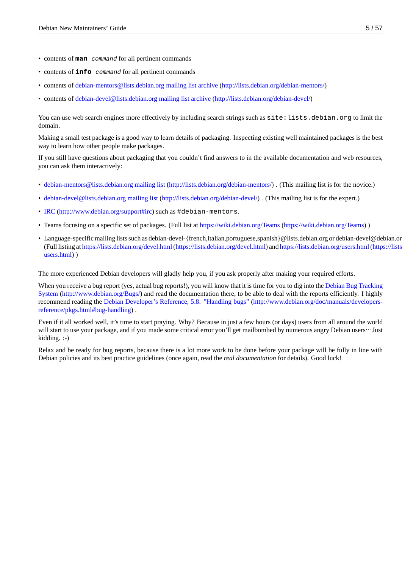- contents of **man** *command* for all pertinent commands
- contents of **info** *command* for all pertinent commands
- contents of debian-mentors@lists.debian.org mailing list archive (http://lists.debian.org/debian-mentors/)
- contents of debian-devel@lists.debian.org mailing list archive (http://lists.debian.org/debian-devel/)

You can use [web search engines more effectively by including sear](http://lists.debian.org/debian-mentors/)ch strings such as  $\text{site}$ : lists.debian.org to limit the domain.

Making a sm[all test package is a good way to learn details of pac](http://lists.debian.org/debian-devel/)k[aging. Inspecting existing well main](http://lists.debian.org/debian-devel/)tained packages is the best way to learn how other people make packages.

If you still have questions about packaging that you couldn't find answers to in the available documentation and web resources, you can ask them interactively:

- debian-mentors@lists.debian.org mailing list (http://lists.debian.org/debian-mentors/). (This mailing list is for the novice.)
- debian-devel@lists.debian.org mailing list (http://lists.debian.org/debian-devel/) . (This mailing list is for the expert.)
- IRC [\(http://www.debian.org/support#irc\) such](http://lists.debian.org/debian-mentors/) as [#debian-mentors](http://lists.debian.org/debian-mentors/).
- [Teams focusing on a specific set of packag](http://lists.debian.org/debian-devel/)es. (Full list at [https://wiki.debian.or](http://lists.debian.org/debian-devel/)g/Teams (https://wiki.debian.org/Teams) )
- Language-specific mailing lists such as debian-devel-{french,italian,portuguese,spanish}@lists.debian.org or debian-devel@debian.or.jp. [\(Full](http://www.debian.org/support#irc) listing at [https://lists.debian.org/dev](http://www.debian.org/support#irc)el.html(https://lists.debian.org/devel.html) and https://lists.debian.org/users.html(https://lists.debian.org/ users.html) )

The more experienced Debian developers will gladly help you, if you ask properly after [making your required efforts.](https://lists.debian.org/users.html)

[When you re](https://lists.debian.org/users.html)cei[ve a bug report \(yes, actual bug reports!\), you will know that it is time](https://lists.debian.org/devel.html) for you to dig into the Debian Bug Trac[king](https://lists.debian.org/users.html) System (http://www.debian.org/Bugs/) and read the documentation there, to be able to deal with the reports efficiently. I highly recommend reading the Debian Developer's Reference, 5.8. "Handling bugs" (http://www.debian.org/doc/manuals/developersreference/pkgs.html#bug-handling) .

Even if it all worked well, it's time to start praying. Why? Because in just a few hours (or days) users fro[m all around the world](http://www.debian.org/Bugs/) [will star](http://www.debian.org/Bugs/)t [to use your package, and if y](http://www.debian.org/Bugs/)[ou made some critical error you'll get ma](http://www.debian.org/doc/manuals/developers-reference/pkgs.html#bug-handling)i[lbombed by numerous angry Debian users](http://www.debian.org/doc/manuals/developers-reference/pkgs.html#bug-handling)…Just [kidding. :-\)](http://www.debian.org/doc/manuals/developers-reference/pkgs.html#bug-handling)

Relax and be ready for bug reports, because there is a lot more work to be done before your package will be fully in line with Debian policies and its best practice guidelines (once again, read the *real documentation* for details). Good luck!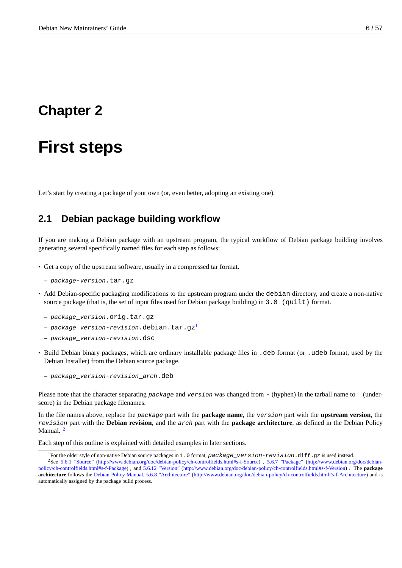# <span id="page-11-0"></span>**Chapter 2**

# **First steps**

Let's start by creating a package of your own (or, even better, adopting an existing one).

### **2.1 Debian package building workflow**

<span id="page-11-1"></span>If you are making a Debian package with an upstream program, the typical workflow of Debian package building involves generating several specifically named files for each step as follows:

- Get a copy of the upstream software, usually in a compressed tar format.
	- **–** *package*-*version*.tar.gz
- Add Debian-specific packaging modifications to the upstream program under the debian directory, and create a non-native source package (that is, the set of input files used for Debian package building) in 3.0 (quilt) format.
	- **–** *package*\_*version*.orig.tar.gz
	- **–** *package*\_*version*-*revision*.debian.tar.gz<sup>1</sup>
	- **–** *package*\_*version*-*revision*.dsc
- Build Debian binary packages, which are ordinary installable package files in .deb format (or .udeb format, used by the Debian Installer) from the Debian source package.
	- **–** *package*\_*version*-*revision*\_*arch*.deb

Please note that the character separating *package* and *version* was changed from - (hyphen) in the tarball name to \_ (underscore) in the Debian package filenames.

In the file names above, replace the *package* part with the **package name**, the *version* part with the **upstream version**, the *revision* part with the **Debian revision**, and the *arch* part with the **package architecture**, as defined in the Debian Policy Manual.<sup>2</sup>

Each step of this outline is explained with detailed examples in later sections.

<sup>1</sup>For the older style of non-native Debian source packages in 1.0 format, *package*\_*version*-*revision*.diff.gz is used instead.

<span id="page-11-2"></span><sup>2</sup>See [5.6](#page-11-2).1 "Source" (http://www.debian.org/doc/debian-policy/ch-controlfields.html#s-f-Source) , 5.6.7 "Package" (http://www.debian.org/doc/debianpolicy/ch-controlfields.html#s-f-Package) , and 5.6.12 "Version" (http://www.debian.org/doc/debian-policy/ch-controlfields.html#s-f-Version) . The **package architecture** follows the Debian Policy Manual, 5.6.8 "Architecture" (http://www.debian.org/doc/debian-policy/ch-controlfields.html#s-f-Architecture) and is automatically assigned by the package build process.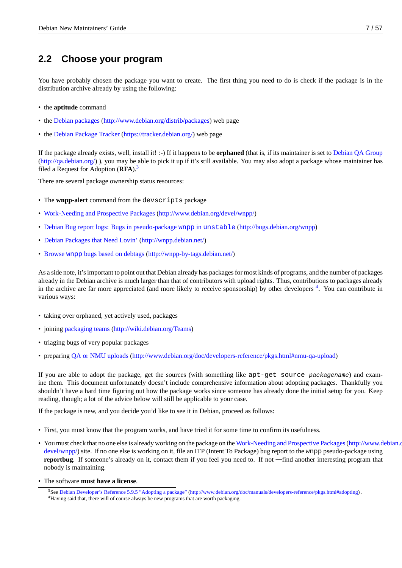# **2.2 Choose your program**

<span id="page-12-0"></span>You have probably chosen the package you want to create. The first thing you need to do is check if the package is in the distribution archive already by using the following:

- the **aptitude** command
- the Debian packages (http://www.debian.org/distrib/packages) web page
- the Debian Package Tracker (https://tracker.debian.org/) web page

If the [package already exists, well, install it! :-\) If it happens to b](http://www.debian.org/distrib/packages)e **orphaned** (that is, if its maintainer is set to Debian QA Group (http://qa.debian.org/) ), you m[ay be able to pick it up if i](https://tracker.debian.org/)t's still available. You may also adopt a package whose maintainer has filed [a Request for Adoption \(](https://tracker.debian.org/)**RFA**).<sup>3</sup>

There are several package ownership status resources:

- The **[wnpp-alert](http://qa.debian.org/)** command from t[he](#page-12-1) devscripts package
- Work-Needing and Prospective Packages (http://www.debian.org/devel/wnpp/)
- Debian Bug report logs: Bugs in pseudo-package wnpp in unstable (http://bugs.debian.org/wnpp)
- [Debian Packages that Need Lovin'](http://www.debian.org/devel/wnpp/) (http://[wnpp.debian.net/\)](http://www.debian.org/devel/wnpp/)
- Browse wnpp bugs based on debtags [\(http://wnpp-by-tags.debian.net/\)](http://bugs.debian.org/wnpp)

A[s a side note, it's important to point out that Debian already ha](http://wnpp.debian.net/)s packages for most kinds of programs, and the number of packages already in the Debian archive is much larger than that of contributors with upload rights. Thus, contributions to packages already in [the archive are far more appreciated \(and more likely to receive spon](http://wnpp-by-tags.debian.net/)sorship) by other developers <sup>4</sup>. You can contribute in various ways:

- taking over orphaned, yet actively used, packages
- joining packaging teams (http://wiki.debian.org/Teams)
- triaging bugs of very popular packages
- preparing [QA or NMU u](http://wiki.debian.org/Teams)ploads [\(http://www.debian.org](http://wiki.debian.org/Teams)/doc/developers-reference/pkgs.html#nmu-qa-upload)

If you are able to adopt the package, get the sources (with something like apt-get source *packagename*) and examine them. This document unfortunately doesn't include comprehensive information about adopting packages. Thankfully you shouldn't h[ave a hard time figuring out how the package works since someone has already done the initial set](http://www.debian.org/doc/developers-reference/pkgs.html#nmu-qa-upload)up for you. Keep reading, though; a lot of the advice below will still be applicable to your case.

If the package is new, and you decide you'd like to see it in Debian, proceed as follows:

- First, you must know that the program works, and have tried it for some time to confirm its usefulness.
- You must check that no one else is already working on the package on the Work-Needing and Prospective Packages(http://www.debian.org/ devel/wnpp/) site. If no one else is working on it, file an ITP (Intent To Package) bug report to the wnpp pseudo-package using **reportbug**. If someone's already on it, contact them if you feel you need to. If not —find another interesting program that nobody is maintaining.
- [The software](http://www.debian.org/devel/wnpp/) **must have a license**.

<span id="page-12-1"></span><sup>3</sup>See Debian Developer's Reference 5.9.5 "Adopting a package" (http://www.debian.org/doc/manuals/developers-reference/pkgs.html#adopting) . <sup>4</sup>Having said that, there will of course always be new programs that are worth packaging.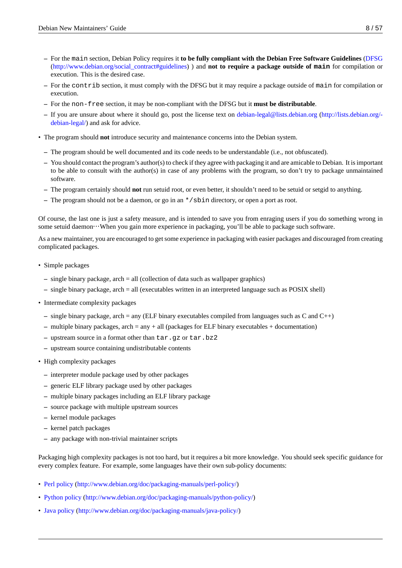- **–** For the main section, Debian Policy requires it **to be fully compliant with the Debian Free Software Guidelines** (DFSG (http://www.debian.org/social\_contract#guidelines) ) and **not to require a package outside of main** for compilation or execution. This is the desired case.
- **–** For the contrib section, it must comply with the DFSG but it may require a package outside of main for compila[tion or](http://www.debian.org/social_contract#guidelines) execution.
- **–** For the non-free [section, it may be non-complia](http://www.debian.org/social_contract#guidelines)nt with the DFSG but it **must be distributable**.
- **–** If you are unsure about where it should go, post the license text on debian-legal@lists.debian.org (http://lists.debian.org/ debian-legal/) and ask for advice.
- The program should **not** introduce security and maintenance concerns into the Debian system.
	- **–** [The program](http://lists.debian.org/debian-legal/) should be well documented and its code needs to be un[derstandable \(i.e., not obfuscat](http://lists.debian.org/debian-legal/)e[d\).](http://lists.debian.org/debian-legal/)
	- **–** You should contact the program's author(s) to check if they agree with packaging it and are amicable to Debian. It is important to be able to consult with the author(s) in case of any problems with the program, so don't try to package unmaintained software.
	- **–** The program certainly should **not** run setuid root, or even better, it shouldn't need to be setuid or setgid to anything.
	- **–** The program should not be a daemon, or go in an \*/sbin directory, or open a port as root.

Of course, the last one is just a safety measure, and is intended to save you from enraging users if you do something wrong in some setuid daemon…When you gain more experience in packaging, you'll be able to package such software.

As a new maintainer, you are encouraged to get some experience in packaging with easier packages and discouraged from creating complicated packages.

- Simple packages
	- **–** single binary package, arch = all (collection of data such as wallpaper graphics)
	- **–** single binary package, arch = all (executables written in an interpreted language such as POSIX shell)
- Intermediate complexity packages
	- **–** single binary package, arch = any (ELF binary executables compiled from languages such as C and C++)
	- **–** multiple binary packages, arch = any + all (packages for ELF binary executables + documentation)
	- **–** upstream source in a format other than tar.gz or tar.bz2
	- **–** upstream source containing undistributable contents
- High complexity packages
	- **–** interpreter module package used by other packages
	- **–** generic ELF library package used by other packages
	- **–** multiple binary packages including an ELF library package
	- **–** source package with multiple upstream sources
	- **–** kernel module packages
	- **–** kernel patch packages
	- **–** any package with non-trivial maintainer scripts

Packaging high complexity packages is not too hard, but it requires a bit more knowledge. You should seek specific guidance for every complex feature. For example, some languages have their own sub-policy documents:

- Perl policy (http://www.debian.org/doc/packaging-manuals/perl-policy/)
- Python policy (http://www.debian.org/doc/packaging-manuals/python-policy/)
- [Java policy](http://www.debian.org/doc/packaging-manuals/perl-policy/) [\(http://www.debian.org/doc/packaging-manuals/java-policy](http://www.debian.org/doc/packaging-manuals/perl-policy/)/)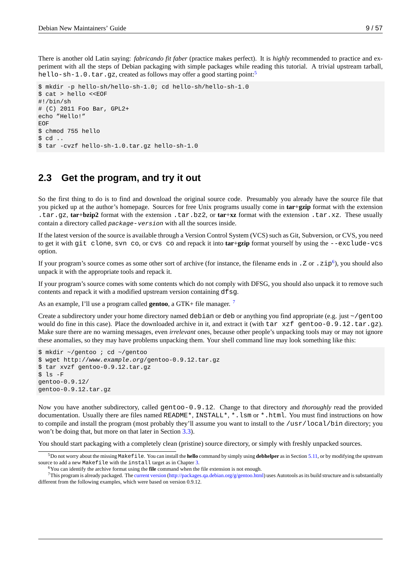There is another old Latin saying: *fabricando fit faber* (practice makes perfect). It is *highly* recommended to practice and experiment with all the steps of Debian packaging with simple packages while reading this tutorial. A trivial upstream tarball, hello-sh-1.0.tar.gz, created as follows may offer a good starting point:<sup>5</sup>

```
$ mkdir -p hello-sh/hello-sh-1.0; cd hello-sh/hello-sh-1.0
$ cat > hello <<EOF
#!/bin/sh
# (C) 2011 Foo Bar, GPL2+
echo "Hello!"
EOF
$ chmod 755 hello
$ cd ..
$ tar -cvzf hello-sh-1.0.tar.gz hello-sh-1.0
```
## **2.3 Get the program, and try it out**

<span id="page-14-0"></span>So the first thing to do is to find and download the original source code. Presumably you already have the source file that you picked up at the author's homepage. Sources for free Unix programs usually come in **tar**+**gzip** format with the extension .tar.gz, **tar**+**bzip2** format with the extension .tar.bz2, or **tar**+**xz** format with the extension .tar.xz. These usually contain a directory called *package*-*version* with all the sources inside.

If the latest version of the source is available through a Version Control System (VCS) such as Git, Subversion, or CVS, you need to get it with git clone, svn co, or cvs co and repack it into **tar**+**gzip** format yourself by using the --exclude-vcs option.

If your program's source comes as some other sort of archive (for instance, the filename ends in  $.$  Z or  $.$  z $ip^6$ ), you should also unpack it with the appropriate tools and repack it.

If your program's source comes with some contents which do not comply with DFSG, you should also unpack it to remove such contents and repack it with a modified upstream version containing dfsg.

As an example, I'll use a program called **gentoo**, a GTK+ file manager. <sup>7</sup>

Create a subdirectory under your home directory named debian or deb or anything you find appropriate (e.g. just  $\sim$ /gentoo would do fine in this case). Place the downloaded archive in it, and extract it (with tar xzf gentoo-0.9.12.tar.gz). Make sure there are no warning messages, even *irrelevant* ones, becaus[e](#page-14-1) other people's unpacking tools may or may not ignore these anomalies, so they may have problems unpacking them. Your shell command line may look something like this:

\$ mkdir ~/gentoo ; cd ~/gentoo \$ wget http://*www.example.org*/gentoo-0.9.12.tar.gz \$ tar xvzf gentoo-0.9.12.tar.gz \$ ls -F gentoo-0.9.12/ gentoo-0.9.12.tar.gz

Now you have another subdirectory, called gentoo-0.9.12. Change to that directory and *thoroughly* read the provided documentation. Usually there are files named README\*, INSTALL\*, \*. Lsm or \*.html. You must find instructions on how to compile and install the program (most probably they'll assume you want to install to the /usr/local/bin directory; you won't be doing that, but more on that later in Section 3.3).

You should start packaging with a completely clean (pristine) source directory, or simply with freshly unpacked sources.

<sup>5</sup>Do not worry about the missing Makefile. You can install the **hello** command by simply using **debhelper** as in Section 5.11, or by modifying the upstream source to add a new Makefile with the install target as in C[hapte](#page-19-0)r 3.

<sup>6</sup>You can identify the archive format using the **file** command when the file extension is not enough.

<span id="page-14-1"></span><sup>7</sup>This program is already packaged. The current version (http://packages.qa.debian.org/g/gentoo.html) uses Autotools as its build structure and is substantially different from the following examples, which were based on version 0.9.12.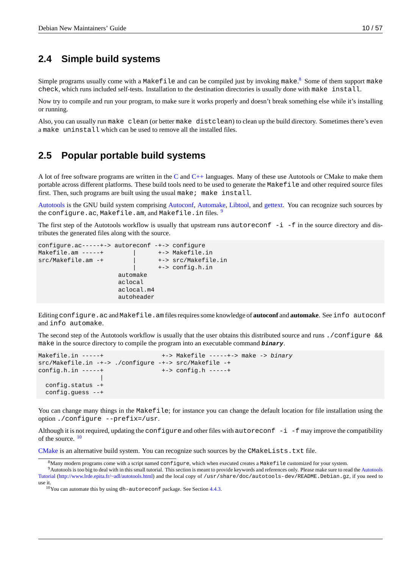# **2.4 Simple build systems**

<span id="page-15-0"></span>Simple programs usually come with a Makefile and can be compiled just by invoking make.<sup>8</sup> Some of them support make check, which runs included self-tests. Installation to the destination directories is usually done with make install.

Now try to compile and run your program, to make sure it works properly and doesn't break something else while it's installing or running.

Also, you can usually run make clean (or better make distclean) to clean up the build directory. Sometimes there's even a make uninstall which can be used to remove all the installed files.

# **2.5 Popular portable build systems**

<span id="page-15-1"></span>A lot of free software programs are written in the C and  $C++$  languages. Many of these use Autotools or CMake to make them portable across different platforms. These build tools need to be used to generate the Makefile and other required source files first. Then, such programs are built using the usual make; make install.

Autotools is the GNU build system comprising Autoconf, Automake, Libtool, and gettext. You can recognize such sources by the configure.ac, Mak[ef](http://en.wikipedia.org/wiki/C_(programming_language))ile.am, and Makefile[.in](http://en.wikipedia.org/wiki/C++) files. 9

The first step of the Autotools workflow is usually that upstream runs  $autoreconf -i -f$  in the source directory and dis[tributes th](http://en.wikipedia.org/wiki/GNU_build_system)e generated files along with the sourc[e.](http://en.wikipedia.org/wiki/Autoconf)

```
configure.ac-----+-> autoreconf -+-> configure
Makefile.am -----+ | +-> Makefile.in
src/Makefile.am -+ | +-> src/Makefile.in
                       | +-> config.h.in
                   automake
                   aclocal
                   aclocal.m4
                   autoheader
```
Editing configure.ac and Makefile.am files requires some knowledge of **autoconf** and **automake**. See info autoconf and info automake.

The second step of the Autotools workflow is usually that the user obtains this distributed source and runs ./configure && make in the source directory to compile the program into an executable command *binary*.

```
Makefile.in -----+ +-> Makefile -----+-> make -> binary
src/Makefile.in -+-> ./configure -+-> src/Makefile -+
config.h.in -----+ +-> config.h -----+
               |
 config.status -+
 config.guess --+
```
You can change many things in the Makefile; for instance you can change the default location for file installation using the option ./configure --prefix=/usr.

Although it is not required, updating the configure and other files with  $autoreconf -i -f$  may improve the compatibility of the source.<sup>10</sup>

CMake is an alternative build system. You can recognize such sources by the CMakeLists.txt file.

 $8$ Many modern programs come with a script named configure, which when executed creates a Makefile customized for your system.

<sup>&</sup>lt;sup>9</sup>Autotools is [too](#page-15-2) big to deal with in this small tutorial. This section is meant to provide keywords and references only. Please make sure to read the Autotools Tutorial (http://www.lrde.epita.fr/~adl/autotools.html) and the local copy of /usr/share/doc/autotools-dev/README.Debian.gz, if you need to [use it.](http://en.wikipedia.org/wiki/CMake)

<span id="page-15-2"></span> $10$ You can automate this by using dh-autoreconf package. See Section 4.4.3.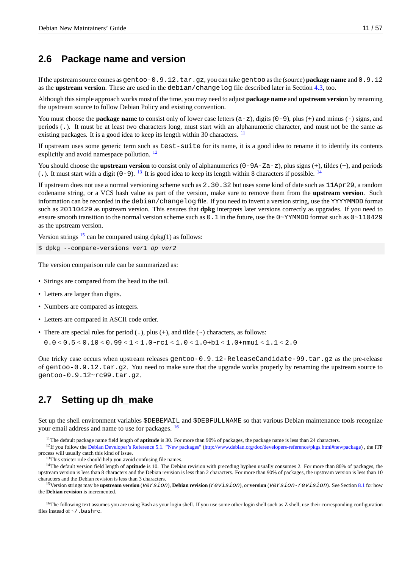# **2.6 Package name and version**

If the upstream source comes as gentoo-0.9.12.tar.gz, you can take gentoo as the (source) **package name** and 0.9.12 as the **upstream version**. These are used in the debian/changelog file described later in Section 4.3, too.

<span id="page-16-7"></span>Although this simple approach works most of the time, you may need to adjust **package name** and **upstream version** by renaming the upstream source to follow Debian Policy and existing convention.

You must choose the **package name** to consist only of lower case letters  $(a - z)$ , digits  $(0 - 9)$ , plus  $(+)$  [and](#page-27-0) minus  $(-)$  signs, and periods (.). It must be at least two characters long, must start with an alphanumeric character, and must not be the same as existing packages. It is a good idea to keep its length within 30 characters. <sup>11</sup>

If upstream uses some generic term such as test-suite for its name, it is a good idea to rename it to identify its contents explicitly and avoid namespace pollution. <sup>12</sup>

You should choose the **upstream version** to consist only of alphanumerics ([0](#page-16-1)-9A-Za-z), plus signs (+), tildes (~), and periods (.). It must start with a digit (0-9). <sup>13</sup> It is good idea to keep its length within 8 characters if possible. <sup>14</sup>

If upstream does not use a normal versioni[ng](#page-16-2) scheme such as 2.30.32 but uses some kind of date such as 11Apr29, a random codename string, or a VCS hash value as part of the version, make sure to remove them from the **upstream version**. Such information can be recorded in the debian/changelog file. If you need to invent a version string, use the YYYYMMDD format such as 20110429 as upstream ver[sio](#page-16-3)n. This ensures that **dpkg** interprets later versions correctly as [up](#page-16-4)grades. If you need to ensure smooth transition to the normal version scheme such as  $0.1$  in the future, use the  $0~\gamma$ YMMDD format such as  $0~\sim$ 110429 as the upstream version.

Version strings  $^{15}$  can be compared using dpkg(1) as follows:

```
$ dpkg --compare-versions ver1 op ver2
```
The version co[mp](#page-16-5)arison rule can be summarized as:

- Strings are compared from the head to the tail.
- Letters are larger than digits.
- Numbers are compared as integers.
- Letters are compared in ASCII code order.
- There are special rules for period  $(.)$ , plus  $(+)$ , and tilde  $(>)$  characters, as follows:

 $0.0 < 0.5 < 0.10 < 0.99 < 1 < 1.0$   $-$  rc1  $< 1.0 < 1.0$   $+$  b1  $< 1.0$  + nmu1  $< 1.1$   $< 2.0$ 

One tricky case occurs when upstream releases gentoo-0.9.12-ReleaseCandidate-99.tar.gz as the pre-release of gentoo-0.9.12.tar.gz. You need to make sure that the upgrade works properly by renaming the upstream source to gentoo-0.9.12~rc99.tar.gz.

# **2.7 Setting up dh\_make**

<span id="page-16-0"></span>Set up the shell environment variables \$DEBEMAIL and \$DEBFULLNAME so that various Debian maintenance tools recognize your email address and name to use for packages. <sup>16</sup>

<sup>12</sup>If you follow the Debian Developer's Reference 5.1. "New packages" (http://www.debian.org/doc/developers-reference/pkgs.html#newpackage), the ITP process will usually catch this kind of issue.

<sup>14</sup>The default version field length of **aptitude** is 10. The Debian revision with preceding hyphen usually consumes 2. For more than 80% of packages, the upstream version is less than 8 characters and the Debian revision is less than 2 characters. For more than 90% of packages, the upstream version is less than 10 characters and the Deb[ian revision is less than 3 characters.](http://www.debian.org/doc/developers-reference/pkgs.html#newpackage)

<span id="page-16-3"></span><span id="page-16-2"></span><sup>15</sup>Version strings may be **upstream version** (*version*), **Debian revision** (*[revision](http://www.debian.org/doc/developers-reference/pkgs.html#newpackage)*), or **version** (*version*-*revision*). See Section 8.1 for how the **Debian revision** is incremented.

<span id="page-16-6"></span><span id="page-16-5"></span><span id="page-16-4"></span><sup>16</sup>The following text assumes you are using Bash as your login shell. If you use some other login shell such as Z shell, use their corresponding configuration files instead of  $\sim$  / . bashrc.

<sup>11</sup>The default package name field length of **aptitude** is 30. For more than 90% of packages, the package name is less than 24 characters.

<span id="page-16-1"></span><sup>&</sup>lt;sup>13</sup>This stricter rule should help you avoid confusing file na[me](#page-16-6)s.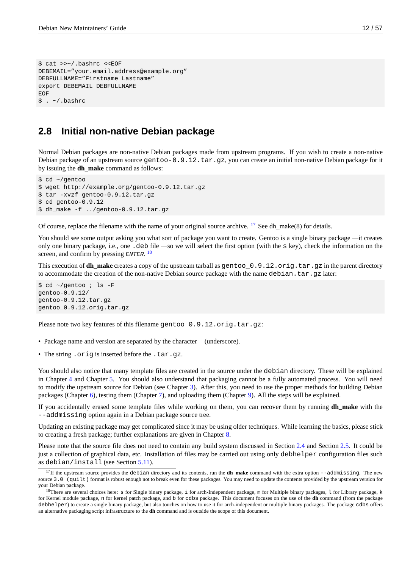```
$ cat >>~/.bashrc <<EOF
DEBEMAIL="your.email.address@example.org"
DEBFULLNAME="Firstname Lastname"
export DEBEMAIL DEBFULLNAME
EOF
$.~ \sim / .bashrc
```
## **2.8 Initial non-native Debian package**

<span id="page-17-0"></span>Normal Debian packages are non-native Debian packages made from upstream programs. If you wish to create a non-native Debian package of an upstream source gentoo-0.9.12.tar.gz, you can create an initial non-native Debian package for it by issuing the **dh\_make** command as follows:

```
$ cd ~/gentoo
$ wget http://example.org/gentoo-0.9.12.tar.gz
$ tar -xvzf gentoo-0.9.12.tar.gz
$ cd gentoo-0.9.12
$ dh_make -f ../gentoo-0.9.12.tar.gz
```
Of course, replace the filename with the name of your original source archive.  $^{17}$  See dh\_make(8) for details.

You should see some output asking you what sort of package you want to create. Gentoo is a single binary package —it creates only one binary package, i.e., one .deb file —so we will select the first option (with the s key), check the information on the screen, and confirm by pressing *ENTER*. 18

This execution of **dh\_make** creates a copy of the upstream tarball as gentoo\_0.9.12.orig.tar.gz in the parent directory to accommodate the creation of the non-native Debian source package with the name debian.tar.gz later:

```
$ cd ~/gentoo ; ls -F
gentoo-0.9.12/
gentoo-0.9.12.tar.gz
gentoo_0.9.12.orig.tar.gz
```
Please note two key features of this filename gentoo \_0.9.12.orig.tar.gz:

- Package name and version are separated by the character  $\equiv$  (underscore).
- The string . orig is inserted before the . tar.gz.

You should also notice that many template files are created in the source under the debian directory. These will be explained in Chapter 4 and Chapter 5. You should also understand that packaging cannot be a fully automated process. You will need to modify the upstream source for Debian (see Chapter 3). After this, you need to use the proper methods for building Debian packages (Chapter 6), testing them (Chapter 7), and uploading them (Chapter 9). All the steps will be explained.

If you accidentally erased some template files while working on them, you can recover them by running **dh\_make** with the --addmi[ss](#page-22-0)ing option [ag](#page-34-0)ain in a Debian package source tree.

Updating an existi[ng](#page-43-0) package may get compl[ic](#page-49-0)ated since [it](#page-18-0) may be using older [te](#page-56-0)chniques. While learning the basics, please stick to creating a fresh package; further explanations are given in Chapter 8.

Please note that the source file does not need to contain any build system discussed in Section 2.4 and Section 2.5. It could be just a collection of graphical data, etc. Installation of files may be carried out using only debhelper configuration files such as debian/install (see Section 5.11).

<sup>&</sup>lt;sup>17</sup>If the upstream source provi[d](#page-52-0)es the debian directory and its contents, run the **dh make** command with the extra option --addmissing. The new source 3.0 (quilt) format is robust enough not to break even for these packages. You may need to update the conte[nts p](#page-15-0)rovided by the [upstr](#page-15-1)eam version for your Debian package.

 $^{18}$ There are several choices here: S for Single binary package, i for arch-Independent package, m for Multiple binary packages, l for Library package, k for Kernel module package, n for kernel patc[h pac](#page-37-2)kage, and b for cdbs package. This document focuses on the use of the **dh** command (from the package debhelper) to create a single binary package, but also touches on how to use it for arch-independent or multiple binary packages. The package cdbs offers an alternative packaging script infrastructure to the **dh** command and is outside the scope of this document.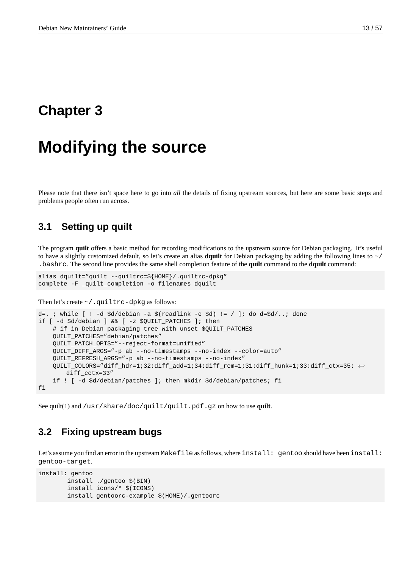# <span id="page-18-0"></span>**Chapter 3**

# **Modifying the source**

Please note that there isn't space here to go into *all* the details of fixing upstream sources, but here are some basic steps and problems people often run across.

## <span id="page-18-1"></span>**3.1 Setting up quilt**

The program **quilt** offers a basic method for recording modifications to the upstream source for Debian packaging. It's useful to have a slightly customized default, so let's create an alias **dquilt** for Debian packaging by adding the following lines to ~/ .bashrc. The second line provides the same shell completion feature of the **quilt** command to the **dquilt** command:

```
alias dquilt="quilt --quiltrc=${HOME}/.quiltrc-dpkg"
complete -F _quilt_completion -o filenames dquilt
```
Then let's create  $\sim$  / . quiltrc-dpkg as follows:

```
d=. ; while [ ! -d $d/debian -a $(readlink -e $d) != / ]; do d=$d/..; done
if [ -d $d/debian ] && [ -z $QUILT_PATCHES ]; then
   # if in Debian packaging tree with unset $QUILT_PATCHES
   QUILT_PATCHES="debian/patches"
   QUILT_PATCH_OPTS="--reject-format=unified"
   QUILT_DIFF_ARGS="-p ab --no-timestamps --no-index --color=auto"
   QUILT_REFRESH_ARGS="-p ab --no-timestamps --no-index"
   QUILT_COLORS="diff_hdr=1;32:diff_add=1;34:diff_rem=1;31:diff_hunk=1;33:diff_ctx=35: ←-
       diff_cctx=33"
    if ! [ -d $d/debian/patches ]; then mkdir $d/debian/patches; fi
fi
```
See quilt(1) and /usr/share/doc/quilt/quilt.pdf.gz on how to use **quilt**.

### **3.2 Fixing upstream bugs**

Let's assume you find an error in the upstream Makefile as follows, where install: gentoo should have been install: gentoo-target.

```
install: gentoo
        install ./gentoo $(BIN)
        install icons/* $(ICONS)
        install gentoorc-example $(HOME)/.gentoorc
```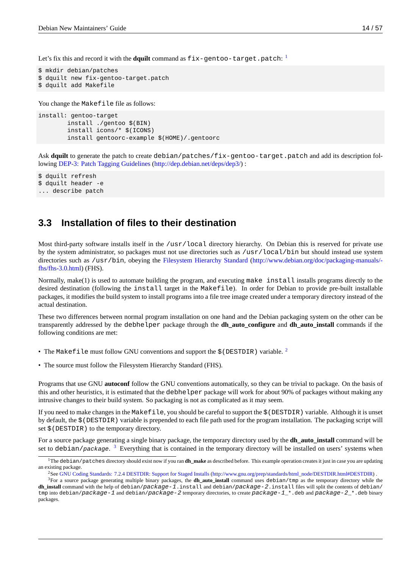Let's fix this and record it with the **dquilt** command as fix-gentoo-target.patch: 1

```
$ mkdir debian/patches
$ dquilt new fix-gentoo-target.patch
$ dquilt add Makefile
```
You change the Makefile file as follows:

install: gentoo-target install ./gentoo \$(BIN) install icons/\* \$(ICONS) install gentoorc-example \$(HOME)/.gentoorc

Ask **dquilt** to generate the patch to create debian/patches/fix-gentoo-target.patch and add its description following DEP-3: Patch Tagging Guidelines (http://dep.debian.net/deps/dep3/) :

\$ dquilt refresh \$ dquilt header -e ... d[escribe](http://dep.debian.net/deps/dep3/) patch

### **3.3 Installation of files to their destination**

<span id="page-19-0"></span>Most third-party software installs itself in the /usr/local directory hierarchy. On Debian this is reserved for private use by the system administrator, so packages must not use directories such as /usr/local/bin but should instead use system directories such as /usr/bin, obeying the Filesystem Hierarchy Standard (http://www.debian.org/doc/packaging-manuals/fhs/fhs-3.0.html) (FHS).

Normally, make(1) is used to automate building the program, and executing make install installs programs directly to the desired destination (following the install target in the Makefile). In order for Debian to provide pre-built installable packages, it modifies the build system to instal[l programs into a file tree image created under a temporary directory instead of the](http://www.debian.org/doc/packaging-manuals/fhs/fhs-3.0.html) [actual destinatio](http://www.debian.org/doc/packaging-manuals/fhs/fhs-3.0.html)n.

These two differences between normal program installation on one hand and the Debian packaging system on the other can be transparently addressed by the debhelper package through the **dh\_auto\_configure** and **dh\_auto\_install** commands if the following conditions are met:

- The Makefile must follow GNU conventions and support the \$(DESTDIR) variable. <sup>2</sup>
- The source must follow the Filesystem Hierarchy Standard (FHS).

Programs that use GNU **autoconf** follow the GNU conventions automatically, so they can [be](#page-19-1) trivial to package. On the basis of this and other heuristics, it is estimated that the debhelper package will work for about 90% of packages without making any intrusive changes to their build system. So packaging is not as complicated as it may seem.

If you need to make changes in the Makefile, you should be careful to support the \$(DESTDIR) variable. Although it is unset by default, the \$(DESTDIR) variable is prepended to each file path used for the program installation. The packaging script will set  $$$  (DESTDIR) to the temporary directory.

For a source package generating a single binary package, the temporary directory used by the **dh\_auto\_install** command will be set to debian/package. <sup>3</sup> Everything that is contained in the temporary directory will be installed on users' systems when

<sup>1</sup>The debian/patches directory should exist now if you ran **dh\_make** as described before. This example operation creates it just in case you are updating an existing package.

<sup>&</sup>lt;sup>2</sup>See GNU Coding Standards: 7.2.4 DESTDIR: Support for Staged Installs (http://www.gnu.org/prep/standards/html\_node/DESTDIR.html#DESTDIR) .

<span id="page-19-2"></span><span id="page-19-1"></span><sup>3</sup>For a source package gener[at](#page-19-2)ing multiple binary packages, the **dh\_auto\_install** command uses debian/tmp as the temporary directory while the **dh\_install** command with the help of debian/*package-1*.install and debian/*package-2*.install files will split the contents of debian/ tmp into debian/*package-1* and debian/*package-2* temporary directories, to create *package-1*\_\*.deb and *package-2*\_\*.deb binary packages.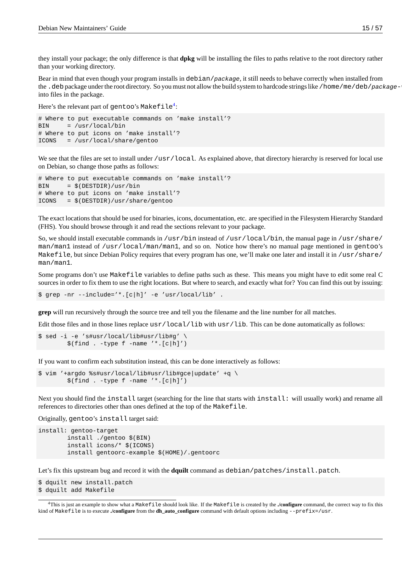they install your package; the only difference is that **dpkg** will be installing the files to paths relative to the root directory rather than your working directory.

Bear in mind that even though your program installs in debian/*package*, it still needs to behave correctly when installed from the . deb package under the root directory. So you must not allow the build system to hardcode strings like /home/me/deb/*package*-*ver*. into files in the package.

Here's the relevant part of <code>gentoo</code>'s <code>Makefile $^4\!:$ </code>

```
# Where to put executable commands on 'make install'?
BIN = /usr/local/bin
# Where to put icons on 'make install'?
ICONS = /usr/local/share/gentoo
```
We see that the files are set to install under /usr/local. As explained above, that directory hierarchy is reserved for local use on Debian, so change those paths as follows:

```
# Where to put executable commands on 'make install'?
BIN = $(DESTDIR)/usr/bin
# Where to put icons on 'make install'?
ICONS = $(DESTDIR)/usr/share/gentoo
```
The exact locations that should be used for binaries, icons, documentation, etc. are specified in the Filesystem Hierarchy Standard (FHS). You should browse through it and read the sections relevant to your package.

So, we should install executable commands in /usr/bin instead of /usr/local/bin, the manual page in /usr/share/ man/man1 instead of /usr/local/man/man1, and so on. Notice how there's no manual page mentioned in gentoo's Makefile, but since Debian Policy requires that every program has one, we'll make one later and install it in /usr/share/ man/man1.

Some programs don't use Makefile variables to define paths such as these. This means you might have to edit some real C sources in order to fix them to use the right locations. But where to search, and exactly what for? You can find this out by issuing:

\$ grep -nr --include='\*.[c|h]' -e 'usr/local/lib' .

**grep** will run recursively through the source tree and tell you the filename and the line number for all matches.

Edit those files and in those lines replace  $usr/local/lib$  with  $usr/lib$ . This can be done automatically as follows:

```
$ sed -i -e 's#usr/local/lib#usr/lib#g' \
        $(find . -type f -name '*. [c|h]')
```
If you want to confirm each substitution instead, this can be done interactively as follows:

```
$ vim '+argdo %s#usr/local/lib#usr/lib#gce|update' +q \
       $(find . -type f -name '*.[c|h]')
```
Next you should find the install target (searching for the line that starts with install: will usually work) and rename all references to directories other than ones defined at the top of the Makefile.

Originally, gentoo's install target said:

```
install: gentoo-target
        install ./gentoo $(BIN)
        install icons/* $(ICONS)
        install gentoorc-example $(HOME)/.gentoorc
```
Let's fix this upstream bug and record it with the **dquilt** command as debian/patches/install.patch.

```
$ dquilt new install.patch
$ dquilt add Makefile
```
<span id="page-20-0"></span><sup>4</sup>This is just an example to show what a Makefile should look like. If the Makefile is created by the **./configure** command, the correct way to fix this kind of Makefile is to execute **./configure** from the **dh\_auto\_configure** command with default options including --prefix=/usr.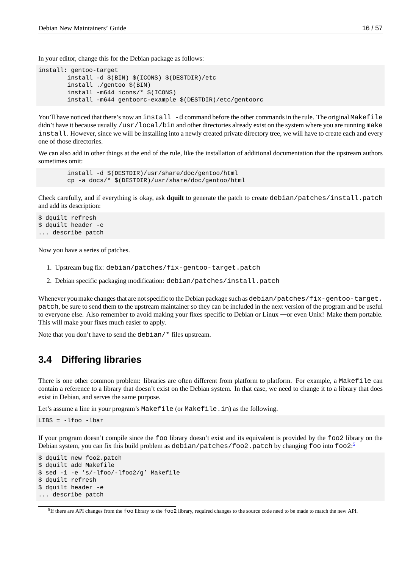In your editor, change this for the Debian package as follows:

```
install: gentoo-target
        install -d $(BIN) $(ICONS) $(DESTDIR)/etc
        install ./gentoo $(BIN)
        install -m644 icons/* $(ICONS)
        install -m644 gentoorc-example $(DESTDIR)/etc/gentoorc
```
You'll have noticed that there's now an install -d command before the other commands in the rule. The original Makefile didn't have it because usually /usr/local/bin and other directories already exist on the system where you are running make install. However, since we will be installing into a newly created private directory tree, we will have to create each and every one of those directories.

We can also add in other things at the end of the rule, like the installation of additional documentation that the upstream authors sometimes omit:

```
install -d $(DESTDIR)/usr/share/doc/gentoo/html
cp -a docs/* $(DESTDIR)/usr/share/doc/gentoo/html
```
Check carefully, and if everything is okay, ask **dquilt** to generate the patch to create debian/patches/install.patch and add its description:

```
$ dquilt refresh
$ dquilt header -e
... describe patch
```
Now you have a series of patches.

- 1. Upstream bug fix: debian/patches/fix-gentoo-target.patch
- 2. Debian specific packaging modification: debian/patches/install.patch

Whenever you make changes that are not specific to the Debian package such as debian/patches/fix-gentoo-target. patch, be sure to send them to the upstream maintainer so they can be included in the next version of the program and be useful to everyone else. Also remember to avoid making your fixes specific to Debian or Linux —or even Unix! Make them portable. This will make your fixes much easier to apply.

Note that you don't have to send the debian/\* files upstream.

# **3.4 Differing libraries**

<span id="page-21-0"></span>There is one other common problem: libraries are often different from platform to platform. For example, a Makefile can contain a reference to a library that doesn't exist on the Debian system. In that case, we need to change it to a library that does exist in Debian, and serves the same purpose.

Let's assume a line in your program's Makefile (or Makefile.in) as the following.

```
LIBS = -lfoo -lbar
```
If your program doesn't compile since the foo library doesn't exist and its equivalent is provided by the foo2 library on the Debian system, you can fix this build problem as  $\sf{debian/patches/foo2}$  .  $\sf{patch}$  by changing <code>foo</code> into <code>foo2:5</code>

```
$ dquilt new foo2.patch
$ dquilt add Makefile
$ sed -i -e 's/-lfoo/-lfoo2/g' Makefile
$ dquilt refresh
$ dquilt header -e
... describe patch
```
<sup>&</sup>lt;sup>5</sup>If there are API changes from the foo library to the foo2 library, required changes to the source code need to be made to match the new API.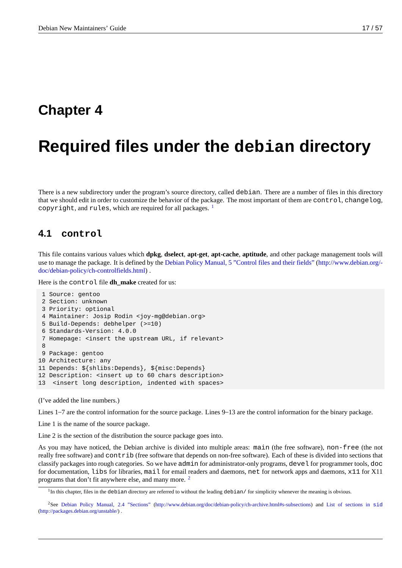# <span id="page-22-0"></span>**Chapter 4**

# **Required files under the debian directory**

There is a new subdirectory under the program's source directory, called debian. There are a number of files in this directory that we should edit in order to customize the behavior of the package. The most important of them are control, changelog, copyright, and rules, which are required for all packages.  $1$ 

### **4.1 control**

<span id="page-22-1"></span>This file contains various values which **dpkg**, **dselect**, **apt-get**, **apt-cache**, **aptitude**, and other package management tools will use to manage the package. It is defined by the Debian Policy Manual, 5 "Control files and their fields" (http://www.debian.org/ doc/debian-policy/ch-controlfields.html) .

Here is the control file **dh\_make** created for us:

```
1 Source: gentoo
2 Section: unknown
3 Priority: optional
4 Maintainer: Josip Rodin <joy-mg@debian.org>
5 Build-Depends: debhelper (>=10)
6 Standards-Version: 4.0.0
7 Homepage: <insert the upstream URL, if relevant>
8
9 Package: gentoo
10 Architecture: any
11 Depends: ${shlibs:Depends}, ${misc:Depends}
12 Description: <insert up to 60 chars description>
13 <insert long description, indented with spaces>
```
(I've added the line numbers.)

Lines 1–7 are the control information for the source package. Lines 9–13 are the control information for the binary package.

Line 1 is the name of the source package.

Line 2 is the section of the distribution the source package goes into.

As you may have noticed, the Debian archive is divided into multiple areas: main (the free software), non-free (the not really free software) and contrib (free software that depends on non-free software). Each of these is divided into sections that classify packages into rough categories. So we have admin for administrator-only programs, devel for programmer tools, doc for documentation, libs for libraries, mail for email readers and daemons, net for network apps and daemons, x11 for X11 programs that don't fit anywhere else, and many more. <sup>2</sup>

 $1$ In this chapter, files in the debian directory are referred to without the leading debian/ for simplicity whenever the meaning is obvious.

<sup>2</sup>See Debian Policy Manual, 2.4 "Sections" (http://www.debian.org/doc/debian-policy/ch-archive.html#s-subsections) and List of sections in sid (http://packages.debian.org/unstable/) .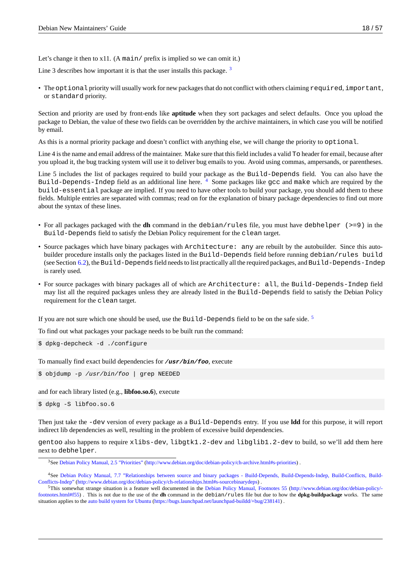Let's change it then to  $x11$ . (A main/ prefix is implied so we can omit it.)

Line 3 describes how important it is that the user installs this package.  $3$ 

• The optional priority will usually work for new packages that do not conflict with others claiming required, important, or standard priority.

Section and priority are used by front-ends like **aptitude** when they sort packages and select defaults. Once you upload the package to Debian, the value of these two fields can be overridden by the archive maintainers, in which case you will be notified by email.

As this is a normal priority package and doesn't conflict with anything else, we will change the priority to optional.

Line 4 is the name and email address of the maintainer. Make sure that this field includes a valid To header for email, because after you upload it, the bug tracking system will use it to deliver bug emails to you. Avoid using commas, ampersands, or parentheses.

Line 5 includes the list of packages required to build your package as the Build-Depends field. You can also have the Build-Depends-Indep field as an additional line here. <sup>4</sup> Some packages like gcc and make which are required by the build-essential package are implied. If you need to have other tools to build your package, you should add them to these fields. Multiple entries are separated with commas; read on for the explanation of binary package dependencies to find out more about the syntax of these lines.

- For all packages packaged with the **dh** command in the debian/rules file, you must have debhelper (>=9) in the Build-Depends field to satisfy the Debian Policy requirement for the clean target.
- Source packages which have binary packages with Architecture: any are rebuilt by the autobuilder. Since this autobuilder procedure installs only the packages listed in the Build-Depends field before running debian/rules build (see Section 6.2), the Build-Depends field needs to list practically all the required packages, and Build-Depends-Indep is rarely used.
- For source packages with binary packages all of which are Architecture: all, the Build-Depends-Indep field may list all [the](#page-44-0) required packages unless they are already listed in the Build-Depends field to satisfy the Debian Policy requirement for the clean target.

If you are not sure which one should be used, use the Build-Depends field to be on the safe side.<sup>5</sup>

To find out what packages your package needs to be built run the command:

\$ dpkg-depcheck -d ./configure

To manually find exact build dependencies for */usr/bin/foo*, execute

\$ objdump -p */usr/bin/foo* | grep NEEDED

and for each library listed (e.g., **libfoo.so.6**), execute

```
$ dpkg -S libfoo.so.6
```
Then just take the -dev version of every package as a Build-Depends entry. If you use **ldd** for this purpose, it will report indirect lib dependencies as well, resulting in the problem of excessive build dependencies.

gentoo also happens to require xlibs-dev, libgtk1.2-dev and libglib1.2-dev to build, so we'll add them here next to debhelper.

<sup>3</sup>See Debian Policy Manual, 2.5 "Priorities" (http://www.debian.org/doc/debian-policy/ch-archive.html#s-priorities) .

<sup>4</sup>See Debian Policy Manual, 7.7 "Relationships between source and binary packages - Build-Depends, Build-Depends-Indep, Build-Conflicts, Build-Conflicts-Indep" (http://www.debian.org/doc/debian-policy/ch-relationships.html#s-sourcebinarydeps) .

<sup>5</sup>This somewhat strange situation is a feature well documented in the Debian Policy Manual, Footnotes 55 (http://www.debian.org/doc/debian-policy/ footnotes[.html#f55\) . This is not due to the use](http://www.debian.org/doc/debian-policy/ch-archive.html#s-priorities) of the **dh** command in the debian/rules [file but due to how the](http://www.debian.org/doc/debian-policy/ch-archive.html#s-priorities) **dpkg-buildpackage** works. The same situation applies to the auto build system for Ubuntu (https://bugs.launchpad.net/launchpad-buildd/+bug/238141) .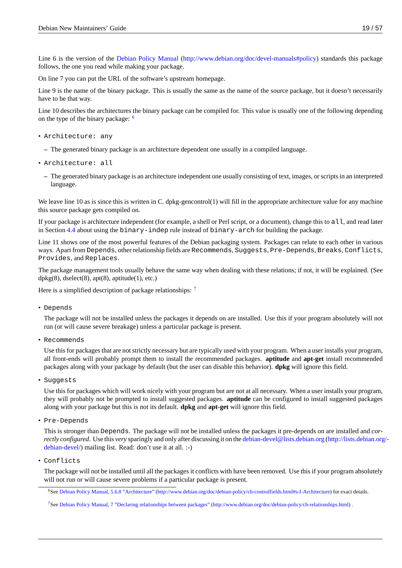Line 6 is the version of the Debian Policy Manual (http://www.debian.org/doc/devel-manuals#policy) standards this package follows, the one you read while making your package.

On line 7 you can put the URL of the software's upstream homepage.

Line 9 is the name of the bin[ary package. This is us](http://www.debian.org/doc/devel-manuals#policy)u[ally the same as the name of the source package, b](http://www.debian.org/doc/devel-manuals#policy)ut it doesn't necessarily have to be that way.

Line 10 describes the architectures the binary package can be compiled for. This value is usually one of the following depending on the type of the binary package:  $6$ 

- Architecture: any
	- **–** The generated binary package [i](#page-24-0)s an architecture dependent one usually in a compiled language.
- Architecture: all
	- **–** The generated binary package is an architecture independent one usually consisting of text, images, or scripts in an interpreted language.

We leave line 10 as is since this is written in C. dpkg-gencontrol(1) will fill in the appropriate architecture value for any machine this source package gets compiled on.

If your package is architecture independent (for example, a shell or Perl script, or a document), change this to all, and read later in Section 4.4 about using the  $\frac{1}{2}$  binary-indep rule instead of  $\frac{1}{2}$  binary-arch for building the package.

Line 11 shows one of the most powerful features of the Debian packaging system. Packages can relate to each other in various ways. Apart from Depends, other relationship fields are Recommends, Suggests, Pre-Depends, Breaks, Conflicts, Provides[, a](#page-28-0)nd Replaces.

The package management tools usually behave the same way when dealing with these relations; if not, it will be explained. (See  $d$ pkg $(8)$ , dselect $(8)$ , apt $(8)$ , aptitude $(1)$ , etc.)

Here is a simplified description of package relationships: <sup>7</sup>

• Depends

The package will not be installed unless the packages it [d](#page-24-1)epends on are installed. Use this if your program absolutely will not run (or will cause severe breakage) unless a particular package is present.

• Recommends

Use this for packages that are not strictly necessary but are typically used with your program. When a user installs your program, all front-ends will probably prompt them to install the recommended packages. **aptitude** and **apt-get** install recommended packages along with your package by default (but the user can disable this behavior). **dpkg** will ignore this field.

• Suggests

Use this for packages which will work nicely with your program but are not at all necessary. When a user installs your program, they will probably not be prompted to install suggested packages. **aptitude** can be configured to install suggested packages along with your package but this is not its default. **dpkg** and **apt-get** will ignore this field.

• Pre-Depends

This is stronger than Depends. The package will not be installed unless the packages it pre-depends on are installed and *correctly configured*. Use this *very* sparingly and only after discussing it on the debian-devel@lists.debian.org (http://lists.debian.org/ debian-devel/) mailing list. Read: don't use it at all. :-)

• Conflicts

The package will not be installed until all the packages it conflicts with ha[ve been removed. Use this if your program absolutely](http://lists.debian.org/debian-devel/) [will not run o](http://lists.debian.org/debian-devel/)r will cause severe problems if a particular package is present.

<sup>6</sup>See Debian Policy Manual, 5.6.8 "Architecture" (http://www.debian.org/doc/debian-policy/ch-controlfields.html#s-f-Architecture) for exact details.

<span id="page-24-1"></span><span id="page-24-0"></span><sup>7</sup>See Debian Policy Manual, 7 "Declaring relationships between packages" (http://www.debian.org/doc/debian-policy/ch-relationships.html) .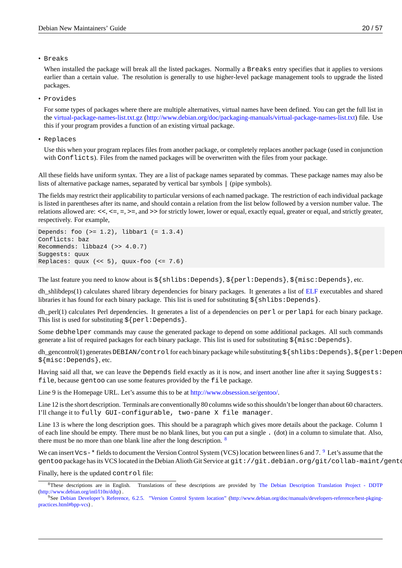• Breaks

When installed the package will break all the listed packages. Normally a Breaks entry specifies that it applies to versions earlier than a certain value. The resolution is generally to use higher-level package management tools to upgrade the listed packages.

• Provides

For some types of packages where there are multiple alternatives, virtual names have been defined. You can get the full list in the virtual-package-names-list.txt.gz (http://www.debian.org/doc/packaging-manuals/virtual-package-names-list.txt) file. Use this if your program provides a function of an existing virtual package.

• Replaces

Us[e this when your program replaces files from another package, or completely replaces another package \(used in co](http://www.debian.org/doc/packaging-manuals/virtual-package-names-list.txt)njunction with Conflicts). Files from the named packages will be overwritten with the files from your package.

All these fields have uniform syntax. They are a list of package names separated by commas. These package names may also be lists of alternative package names, separated by vertical bar symbols | (pipe symbols).

The fields may restrict their applicability to particular versions of each named package. The restriction of each individual package is listed in parentheses after its name, and should contain a relation from the list below followed by a version number value. The relations allowed are: <<, <=, =, >=, and >> for strictly lower, lower or equal, exactly equal, greater or equal, and strictly greater, respectively. For example,

```
Depends: foo (>= 1.2), libbar1 (= 1.3.4)
Conflicts: baz
Recommends: libbaz4 (>> 4.0.7)
Suggests: quux
Replaces: quux (\leq 5), quux-foo (\leq 7.6)
```
The last feature you need to know about is \${shlibs:Depends}, \${perl:Depends}, \${misc:Depends}, etc.

dh shlibdeps(1) calculates shared library dependencies for binary packages. It generates a list of  $ELF$  executables and shared libraries it has found for each binary package. This list is used for substituting  $\S\{\text{shlibs:Depends}\}.$ 

dh\_perl(1) calculates Perl dependencies. It generates a list of a dependencies on perl or perlapi for each binary package. This list is used for substituting  $${perl:Depends}.$ 

Some debhelper commands may cause the generated package to depend on some additional p[ackag](http://en.wikipedia.org/wiki/Executable_and_Linkable_Format)es. All such commands generate a list of required packages for each binary package. This list is used for substituting  $\frac{1}{2}$  misc:Depends }.

dh\_gencontrol(1) generates DEBIAN/control for each binary package while substituting \${shlibs:Depends}, \${perl:Depends} \${misc:Depends}, etc.

Having said all that, we can leave the Depends field exactly as it is now, and insert another line after it saying Suggests: file, because gentoo can use some features provided by the file package.

Line 9 is the Homepage URL. Let's assume this to be at http://www.obsession.se/gentoo/.

Line 12 is the short description. Terminals are conventionally 80 columns wide so this shouldn't be longer than about 60 characters. I'll change it to fully GUI-configurable, two-pane X file manager.

Line 13 is where the long description goes. This should [be a paragraph which gives mor](http://www.obsession.se/gentoo/)e details about the package. Column 1 of each line should be empty. There must be no blank lines, but you can put a single . (dot) in a column to simulate that. Also, there must be no more than one blank line after the long description.  $8$ 

We can insert Vcs-\* fields to document the Version Control System (VCS) location between lines 6 and 7. <sup>9</sup> Let's assume that the gentoo package has its VCS located in the Debian Alioth Git Service at git://git.debian.org/git/collab-maint/gentoo.

Finally, here is the updated control file:

<sup>&</sup>lt;sup>8</sup>These descriptions are in English. Tr[an](#page-25-0)slations of these descriptions are provided by The Debian Description Translation Project - DDTP (http://www.debian.org/intl/l10n/ddtp) .

<span id="page-25-0"></span><sup>9</sup>See Debian Developer's Reference, 6.2.5. "Version Control System location" (http://www.debian.org/doc/manuals/developers-reference/best-pkgingpractices.html#bpp-vcs) .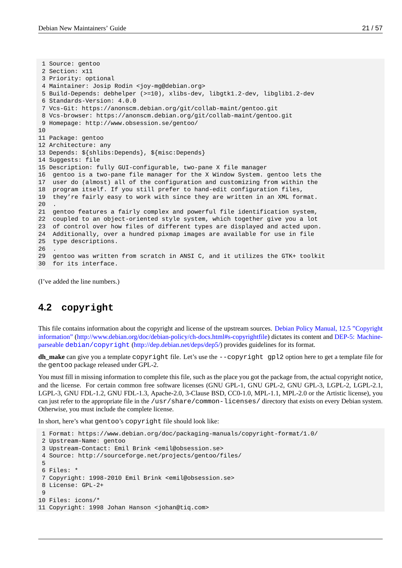```
1 Source: gentoo
 2 Section: x11
 3 Priority: optional
 4 Maintainer: Josip Rodin <joy-mg@debian.org>
 5 Build-Depends: debhelper (>=10), xlibs-dev, libgtk1.2-dev, libglib1.2-dev
 6 Standards-Version: 4.0.0
 7 Vcs-Git: https://anonscm.debian.org/git/collab-maint/gentoo.git
 8 Vcs-browser: https://anonscm.debian.org/git/collab-maint/gentoo.git
 9 Homepage: http://www.obsession.se/gentoo/
10
11 Package: gentoo
12 Architecture: any
13 Depends: ${shlibs:Depends}, ${misc:Depends}
14 Suggests: file
15 Description: fully GUI-configurable, two-pane X file manager
16 gentoo is a two-pane file manager for the X Window System. gentoo lets the
17 user do (almost) all of the configuration and customizing from within the
18 program itself. If you still prefer to hand-edit configuration files,
19 they're fairly easy to work with since they are written in an XML format.
20 .
21 gentoo features a fairly complex and powerful file identification system,
22 coupled to an object-oriented style system, which together give you a lot
23 of control over how files of different types are displayed and acted upon.
24 Additionally, over a hundred pixmap images are available for use in file
25 type descriptions.
26 .
29 gentoo was written from scratch in ANSI C, and it utilizes the GTK+ toolkit
30 for its interface.
```
(I've added the line numbers.)

# **4.2 copyright**

<span id="page-26-0"></span>This file contains information about the copyright and license of the upstream sources. Debian Policy Manual, 12.5 "Copyright information" (http://www.debian.org/doc/debian-policy/ch-docs.html#s-copyrightfile) dictates its content and DEP-5: Machineparseable debian/copyright (http://dep.debian.net/deps/dep5/) provides guidelines for its format.

**dh\_make** can give you a template copyright file. Let's use the --copyright gpl2 [option here to get a template file for](http://www.debian.org/doc/debian-policy/ch-docs.html#s-copyrightfile) the [gentoo](http://www.debian.org/doc/debian-policy/ch-docs.html#s-copyrightfile) [package released under GPL-2.](http://www.debian.org/doc/debian-policy/ch-docs.html#s-copyrightfile)

[You must fill in missing information to complete this file, such as the](http://dep.debian.net/deps/dep5/) place you got the package from, the actua[l copyright notice,](http://dep.debian.net/deps/dep5/) and the license. For certain common free software licenses (GNU GPL-1, GNU GPL-2, GNU GPL-3, LGPL-2, LGPL-2.1, LGPL-3, GNU FDL-1.2, GNU FDL-1.3, Apache-2.0, 3-Clause BSD, CC0-1.0, MPL-1.1, MPL-2.0 or the Artistic license), you can just refer to the appropriate file in the /usr/share/common-licenses/ directory that exists on every Debian system. Otherwise, you must include the complete license.

In short, here's what gentoo's copyright file should look like:

```
1 Format: https://www.debian.org/doc/packaging-manuals/copyright-format/1.0/
2 Upstream-Name: gentoo
3 Upstream-Contact: Emil Brink <emil@obsession.se>
4 Source: http://sourceforge.net/projects/gentoo/files/
5
6 Files: *
7 Copyright: 1998-2010 Emil Brink <emil@obsession.se>
8 License: GPL-2+
9
10 Files: icons/*
11 Copyright: 1998 Johan Hanson <johan@tiq.com>
```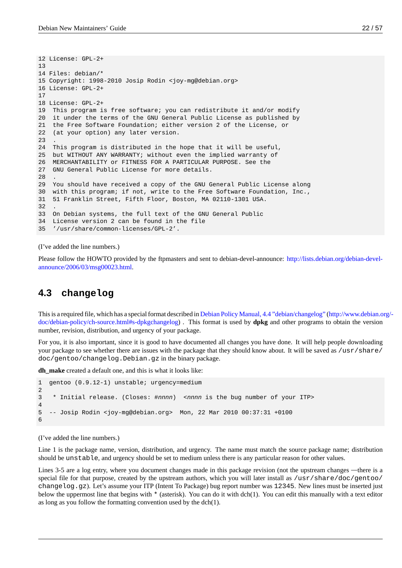```
12 License: GPL-2+
13
14 Files: debian/*
15 Copyright: 1998-2010 Josip Rodin <joy-mg@debian.org>
16 License: GPL-2+
17
18 License: GPL-2+
19 This program is free software; you can redistribute it and/or modify
20 it under the terms of the GNU General Public License as published by
21 the Free Software Foundation; either version 2 of the License, or
22 (at your option) any later version.
23 .
24 This program is distributed in the hope that it will be useful,
25 but WITHOUT ANY WARRANTY; without even the implied warranty of
26 MERCHANTABILITY or FITNESS FOR A PARTICULAR PURPOSE. See the
27 GNU General Public License for more details.
28 .
29 You should have received a copy of the GNU General Public License along
30 with this program; if not, write to the Free Software Foundation, Inc.,
31 51 Franklin Street, Fifth Floor, Boston, MA 02110-1301 USA.
32 .
33 On Debian systems, the full text of the GNU General Public
34 License version 2 can be found in the file
35 '/usr/share/common-licenses/GPL-2'.
```
(I've added the line numbers.)

Please follow the HOWTO provided by the ftpmasters and sent to debian-devel-announce: http://lists.debian.org/debian-develannounce/2006/03/msg00023.html.

### **4.3 [changelog](http://lists.debian.org/debian-devel-announce/2006/03/msg00023.html)**

<span id="page-27-0"></span>This is a required file, which has a special format described in Debian Policy Manual, 4.4 "debian/changelog" (http://www.debian.org/ doc/debian-policy/ch-source.html#s-dpkgchangelog) . This format is used by **dpkg** and other programs to obtain the version number, revision, distribution, and urgency of your package.

For you, it is also important, since it is good to have documented all changes you have done. It will help people downloading your package to see whether there are issues with the packa[ge that they should know about. It will be save](http://www.debian.org/doc/debian-policy/ch-source.html#s-dpkgchangelog)d as [/usr/share/](http://www.debian.org/doc/debian-policy/ch-source.html#s-dpkgchangelog) [doc/gentoo/changelog.Debian.gz](http://www.debian.org/doc/debian-policy/ch-source.html#s-dpkgchangelog) in the binary package.

**dh\_make** created a default one, and this is what it looks like:

```
1 gentoo (0.9.12-1) unstable; urgency=medium
\mathfrak{p}3 * Initial release. (Closes: #nnnn) <nnnn is the bug number of your ITP>
4
5 -- Josip Rodin <joy-mg@debian.org> Mon, 22 Mar 2010 00:37:31 +0100
6
```
(I've added the line numbers.)

Line 1 is the package name, version, distribution, and urgency. The name must match the source package name; distribution should be unstable, and urgency should be set to medium unless there is any particular reason for other values.

Lines 3-5 are a log entry, where you document changes made in this package revision (not the upstream changes —there is a special file for that purpose, created by the upstream authors, which you will later install as /usr/share/doc/gentoo/ changelog.gz). Let's assume your ITP (Intent To Package) bug report number was 12345. New lines must be inserted just below the uppermost line that begins with \* (asterisk). You can do it with dch(1). You can edit this manually with a text editor as long as you follow the formatting convention used by the dch(1).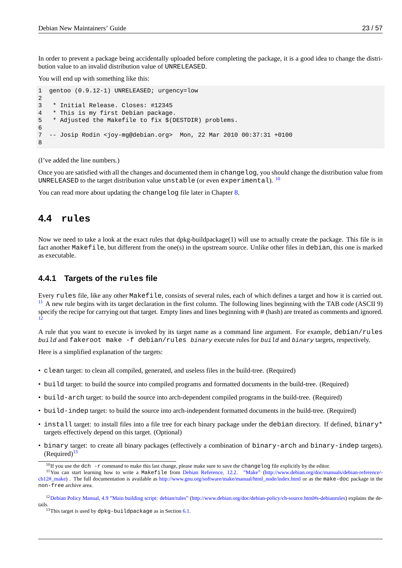In order to prevent a package being accidentally uploaded before completing the package, it is a good idea to change the distribution value to an invalid distribution value of UNRELEASED.

You will end up with something like this:

```
1 gentoo (0.9.12-1) UNRELEASED; urgency=low
2
3 * Initial Release. Closes: #12345
4 * This is my first Debian package.
5 * Adjusted the Makefile to fix $(DESTDIR) problems.
6
7 -- Josip Rodin <joy-mg@debian.org> Mon, 22 Mar 2010 00:37:31 +0100
8
```
(I've added the line numbers.)

Once you are satisfied with all the changes and documented them in changelog, you should change the distribution value from UNRELEASED to the target distribution value unstable (or even experimental).  $^{10}$ 

You can read more about updating the changelog file later in Chapter 8.

# **4.4 rules**

<span id="page-28-0"></span>Now we need to take a look at the exact rules that dpkg-buildpackage(1) will use to actually create the package. This file is in fact another Makefile, but different from the one(s) in the upstream source. Unlike other files in debian, this one is marked as executable.

#### **4.4.1 Targets of the rules file**

Every rules file, like any other Makefile, consists of several rules, each of which defines a target and how it is carried out. <sup>11</sup> A new rule begins with its target declaration in the first column. The following lines beginning with the TAB code (ASCII 9) specify the recipe for carrying out that target. Empty lines and lines beginning with # (hash) are treated as comments and ignored. 12

[A](#page-28-1) rule that you want to execute is invoked by its target name as a command line argument. For example, debian/rules *build* and fakeroot make -f debian/rules *binary* execute rules for *build* and *binary* targets, respectively.

[He](#page-28-2)re is a simplified explanation of the targets:

- clean target: to clean all compiled, generated, and useless files in the build-tree. (Required)
- build target: to build the source into compiled programs and formatted documents in the build-tree. (Required)
- build-arch target: to build the source into arch-dependent compiled programs in the build-tree. (Required)
- build-indep target: to build the source into arch-independent formatted documents in the build-tree. (Required)
- install target: to install files into a file tree for each binary package under the debian directory. If defined, binary\* targets effectively depend on this target. (Optional)
- binary target: to create all binary packages (effectively a combination of binary-arch and binary-indep targets).  $(Required)^{13}$

<sup>&</sup>lt;sup>10</sup>If you use the dch -r command to make this last change, please make sure to save the changelog file explicitly by the editor.

<sup>11</sup>You can start learning how to write a Makefile from Debian Reference, 12.2. "Make" (http://www.debian.org/doc/manuals/debian-reference/ ch12#\_make) . The full documentation is available as http://www.gnu.org/software/make/manual/html\_node/index.html or as the make-doc package in the non-free arc[hiv](#page-28-3)e area.

<sup>&</sup>lt;sup>12</sup>Debian Policy Manual, 4.9 "Main building script: debian/rules" (http://www.debian.org/doc/debian-policy/ch-source.html#s-debianrules) explains the details.

<span id="page-28-3"></span><span id="page-28-2"></span><span id="page-28-1"></span> $13$ [This tar](http://www.debian.org/doc/manuals/debian-reference/ch12#_make)get is used by dpkg-buildpackage as [in Section 6.1.](http://www.gnu.org/software/make/manual/html_node/index.html)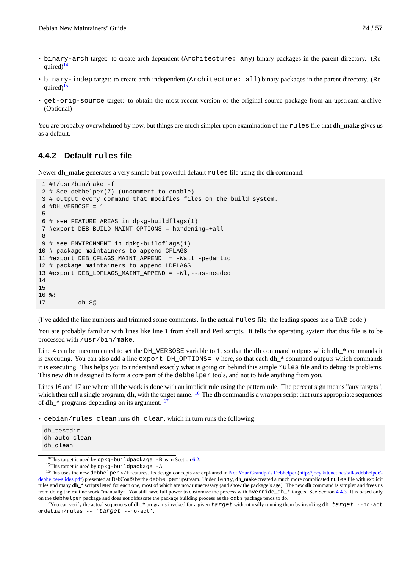- binary-arch target: to create arch-dependent (Architecture: any) binary packages in the parent directory. (Required $1^{14}$
- binary-indep target: to create arch-independent (Architecture: all) binary packages in the parent directory. (Required $15$
- get-[or](#page-29-0)ig-source target: to obtain the most recent version of the original source package from an upstream archive. (Optional)

You are probably overwhelmed by now, but things are much simpler upon examination of the rules file that **dh\_make** gives us as a default.

#### **4.4.2 Default rules file**

Newer **dh\_make** generates a very simple but powerful default rules file using the **dh** command:

```
1 #!/usr/bin/make -f
2 # See debhelper(7) (uncomment to enable)
3 # output every command that modifies files on the build system.
4 #DH_VERBOSE = 15
6 # see FEATURE AREAS in dpkg-buildflags(1)
7 #export DEB_BUILD_MAINT_OPTIONS = hardening=+all
8
9 # see ENVIRONMENT in dpkg-buildflags(1)
10 # package maintainers to append CFLAGS
11 #export DEB_CFLAGS_MAINT_APPEND = -Wall -pedantic
12 # package maintainers to append LDFLAGS
13 #export DEB_LDFLAGS_MAINT_APPEND = -Wl,--as-needed
14
15
16 %:
17 dh $@
```
(I've added the line numbers and trimmed some comments. In the actual rules file, the leading spaces are a TAB code.)

You are probably familiar with lines like line 1 from shell and Perl scripts. It tells the operating system that this file is to be processed with /usr/bin/make.

Line 4 can be uncommented to set the DH\_VERBOSE variable to 1, so that the **dh** command outputs which **dh\_\*** commands it is executing. You can also add a line export DH\_OPTIONS=-v here, so that each **dh\_\*** command outputs which commands it is executing. This helps you to understand exactly what is going on behind this simple rules file and to debug its problems. This new **dh** is designed to form a core part of the **debhelper** tools, and not to hide anything from you.

Lines 16 and 17 are where all the work is done with an implicit rule using the pattern rule. The percent sign means "any targets", which then call a single program, **dh**, with the target name. <sup>16</sup> The **dh** command is a wrapper script that runs appropriate sequences of **dh\_\*** programs depending on its argument. <sup>17</sup>

• debian/rules clean runs dh clean, which in turn runs the following:

dh\_testdir dh\_auto\_clean dh\_clean

<sup>&</sup>lt;sup>14</sup>This target is used by  $d$ pkg-buildpackage -B as in Section 6.2.

 $15$ This target is used by dpkg-buildpackage -A.

<sup>&</sup>lt;sup>16</sup>This uses the new debhelper v7+ features. Its design concepts are explained in Not Your Grandpa's Debhelper (http://joey.kitenet.net/talks/debhelper/debhelper-slides.pdf) presented at DebConf9 by the debhelper upstream. Under lenny, **dh\_make** created a much more complicated rules file with explicit rules and many **dh\_\*** scripts listed for each one, most of which are now unnecessary (and show the package's age). The new **dh** command is simpler and frees us from doing the routine work "manually". You still have full power to c[usto](#page-44-0)mize the process with override\_dh\_\* targets. See Section 4.4.3. It is based only on the debhelper package and does not obfuscate the package building process as the cdbs package tends to do.

<span id="page-29-0"></span><sup>17</sup>You can verify the actual sequences of **dh\_\*** programs invoked for a given *target* [without really running them b](http://joey.kitenet.net/talks/debhelper/debhelper-slides.pdf)y invoking dh *target* [--no-act](http://joey.kitenet.net/talks/debhelper/debhelper-slides.pdf) or [debian/rules](http://joey.kitenet.net/talks/debhelper/debhelper-slides.pdf) -- '*target* --no-act'.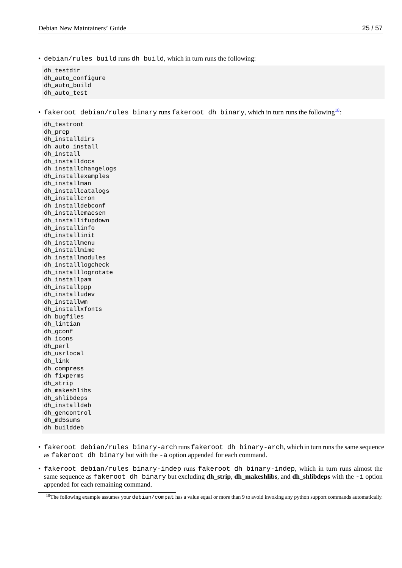• debian/rules build runs dh build, which in turn runs the following:

dh\_testdir dh\_auto\_configure dh\_auto\_build dh\_auto\_test

• fakeroot debian/rules binary runs fakeroot dh binary, which in turn runs the following<sup>18</sup>:

dh\_testroot dh\_prep dh\_installdirs dh\_auto\_install dh\_install dh\_installdocs dh\_installchangelogs dh\_installexamples dh\_installman dh\_installcatalogs dh\_installcron dh\_installdebconf dh\_installemacsen dh\_installifupdown dh\_installinfo dh\_installinit dh\_installmenu dh\_installmime dh\_installmodules dh\_installlogcheck dh\_installlogrotate dh\_installpam dh\_installppp dh\_installudev dh\_installwm dh\_installxfonts dh\_bugfiles dh\_lintian dh\_gconf dh\_icons dh\_perl dh\_usrlocal dh\_link dh\_compress dh\_fixperms dh\_strip dh\_makeshlibs dh\_shlibdeps dh\_installdeb dh\_gencontrol dh\_md5sums dh\_builddeb

- fakeroot debian/rules binary-arch runs fakeroot dh binary-arch, which in turn runs the same sequence as fakeroot dh binary but with the -a option appended for each command.
- fakeroot debian/rules binary-indep runs fakeroot dh binary-indep, which in turn runs almost the same sequence as fakeroot dh binary but excluding **dh\_strip**, **dh\_makeshlibs**, and **dh\_shlibdeps** with the -i option appended for each remaining command.

 $18$ The following example assumes your debian/compat has a value equal or more than 9 to avoid invoking any python support commands automatically.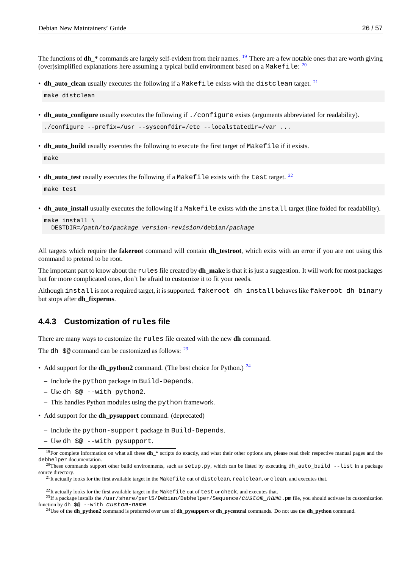The functions of **dh\_\*** commands are largely self-evident from their names. <sup>19</sup> There are a few notable ones that are worth giving (over)simplified explanations here assuming a typical build environment based on a <code>Makefile</code>:  $^{20}$ 

- **dh\_auto\_clean** usually executes the following if a Makefile exists with the distclean target. <sup>21</sup> make distclean
- **dh\_auto\_configure** usually executes the following if ./configure exists (arguments abbreviate[d f](#page-31-0)or readability). ./configure --prefix=/usr --sysconfdir=/etc --localstatedir=/var ...
- **dh** auto build usually executes the following to execute the first target of Makefile if it exists. make
- **dh\_auto\_test** usually executes the following if a Makefile exists with the test target. <sup>22</sup> make test
- **dh\_auto\_install** usually executes the following if a Makefile exists with the install [ta](#page-31-1)rget (line folded for readability).

```
make install \
 DESTDIR=/path/to/package_version-revision/debian/package
```
All targets which require the **fakeroot** command will contain **dh\_testroot**, which exits with an error if you are not using this command to pretend to be root.

The important part to know about the rules file created by **dh\_make** is that it is just a suggestion. It will work for most packages but for more complicated ones, don't be afraid to customize it to fit your needs.

Although install is not a required target, it is supported. fakeroot dh install behaves like fakeroot dh binary but stops after **dh\_fixperms**.

#### **4.4.3 Customization of rules file**

There are many ways to customize the rules file created with the new **dh** command.

<span id="page-31-3"></span>The dh  $\pi$   $\omega$  command can be customized as follows:  $^{23}$ 

- Add support for the **dh\_python2** command. (The best choice for Python.) <sup>24</sup>
	- **–** Include the python package in Build-Depen[ds](#page-31-2).
	- **–** Use dh \$@ --with python2.
	- **–** This handles Python modules using the python framework.
- Add support for the **dh\_pysupport** command. (deprecated)
	- **–** Include the python-support package in Build-Depends.
	- **–** Use dh \$@ --with pysupport.

<sup>&</sup>lt;sup>19</sup>For complete information on what all these **dh\_\*** scripts do exactly, and what their other options are, please read their respective manual pages and the debhelper documentation.

<sup>&</sup>lt;sup>20</sup>These commands support other build environments, such as  $setup.py$ , which can be listed by executing  $dh_auto_buid$  --list in a package source directory.

 $^{21}$ It actually looks for the first available target in the Makefile out of distclean, realclean, or clean, and executes that.

 $^{22}$ It actually looks for the first available target in the Makefile out of test or check, and executes that.

<sup>23</sup>If a package installs the /usr/share/perl5/Debian/Debhelper/Sequence/*custom\_name*.pm file, you should activate its customization function by dh \$@ --with *custom-name*.

<span id="page-31-2"></span><span id="page-31-1"></span><span id="page-31-0"></span><sup>24</sup>Use of the **dh\_python2** command is preferred over use of **dh\_pysupport** or **dh\_pycentral** commands. Do not use the **dh\_python** command.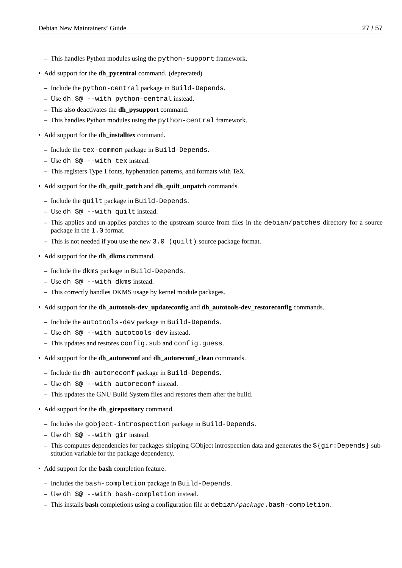- **–** This handles Python modules using the python-support framework.
- Add support for the **dh\_pycentral** command. (deprecated)
	- **–** Include the python-central package in Build-Depends.
	- **–** Use dh \$@ --with python-central instead.
	- **–** This also deactivates the **dh\_pysupport** command.
	- **–** This handles Python modules using the python-central framework.
- Add support for the **dh\_installtex** command.
	- **–** Include the tex-common package in Build-Depends.
	- **–** Use dh \$@ --with tex instead.
	- **–** This registers Type 1 fonts, hyphenation patterns, and formats with TeX.
- Add support for the **dh\_quilt\_patch** and **dh\_quilt\_unpatch** commands.
	- **–** Include the quilt package in Build-Depends.
	- **–** Use dh \$@ --with quilt instead.
	- **–** This applies and un-applies patches to the upstream source from files in the debian/patches directory for a source package in the 1.0 format.
	- **–** This is not needed if you use the new 3.0 (quilt) source package format.
- Add support for the **dh\_dkms** command.
	- **–** Include the dkms package in Build-Depends.
	- **–** Use dh \$@ --with dkms instead.
	- **–** This correctly handles DKMS usage by kernel module packages.
- Add support for the **dh\_autotools-dev\_updateconfig** and **dh\_autotools-dev\_restoreconfig** commands.
	- **–** Include the autotools-dev package in Build-Depends.
	- **–** Use dh \$@ --with autotools-dev instead.
	- **–** This updates and restores config.sub and config.guess.
- Add support for the **dh\_autoreconf** and **dh\_autoreconf\_clean** commands.
	- **–** Include the dh-autoreconf package in Build-Depends.
	- **–** Use dh \$@ --with autoreconf instead.
	- **–** This updates the GNU Build System files and restores them after the build.
- Add support for the **dh\_girepository** command.
	- **–** Includes the gobject-introspection package in Build-Depends.
	- **–** Use dh \$@ --with gir instead.
	- **–** This computes dependencies for packages shipping GObject introspection data and generates the \${gir:Depends} substitution variable for the package dependency.
- Add support for the **bash** completion feature.
	- **–** Includes the bash-completion package in Build-Depends.
	- **–** Use dh \$@ --with bash-completion instead.
	- **–** This installs **bash** completions using a configuration file at debian/*package*.bash-completion.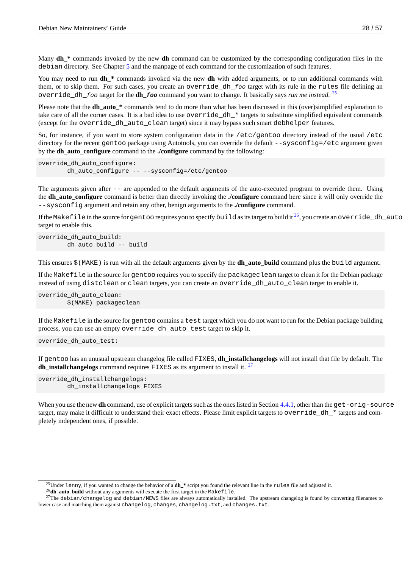Many **dh** \* commands invoked by the new **dh** command can be customized by the corresponding configuration files in the debian directory. See Chapter 5 and the manpage of each command for the customization of such features.

You may need to run **dh\_\*** commands invoked via the new **dh** with added arguments, or to run additional commands with them, or to skip them. For such cases, you create an override\_dh\_*foo* target with its rule in the rules file defining an override\_dh\_*foo* target for [th](#page-34-0)e **dh\_***foo* command you want to change. It basically says *run me instead*. 25

Please note that the **dh\_auto\_\*** commands tend to do more than what has been discussed in this (over)simplified explanation to take care of all the corner cases. It is a bad idea to use  $override_dh_*$  targets to substitute simplified equivalent commands (except for the override\_dh\_auto\_clean target) since it may bypass such smart debhelper feature[s.](#page-33-0)

So, for instance, if you want to store system configuration data in the /etc/gentoo directory instead of the usual /etc directory for the recent gentoo package using Autotools, you can override the default --sysconfig=/etc argument given by the **dh\_auto\_configure** command to the **./configure** command by the following:

```
override_dh_auto_configure:
        dh_auto_configure -- --sysconfig=/etc/gentoo
```
The arguments given after -- are appended to the default arguments of the auto-executed program to override them. Using the **dh\_auto\_configure** command is better than directly invoking the **./configure** command here since it will only override the --sysconfig argument and retain any other, benign arguments to the **./configure** command.

If the Makefile in the source for gentoo requires you to specify build as its target to build it  $^{26}$ , you create an override\_dh\_auto\_bu target to enable this.

```
override dh auto build:
        dh_auto_build -- build
```
This ensures \$(MAKE) is run with all the default arguments given by the **dh\_auto\_build** command plus the build argument.

If the Makefile in the source for gentoo requires you to specify the packageclean target to clean it for the Debian package instead of using distclean or clean targets, you can create an override\_dh\_auto\_clean target to enable it.

override\_dh\_auto\_clean: \$(MAKE) packageclean

If the Makefile in the source for gentoo contains a test target which you do not want to run for the Debian package building process, you can use an empty override dh auto test target to skip it.

```
override_dh_auto_test:
```
If gentoo has an unusual upstream changelog file called FIXES, **dh\_installchangelogs** will not install that file by default. The **dh\_installchangelogs** command requires FIXES as its argument to install it. <sup>27</sup>

```
override_dh_installchangelogs:
        dh_installchangelogs FIXES
```
When you use the new **dh** command, use of explicit targets such as the ones listed in Section 4.4.1, other than the get-orig-source target, may make it difficult to understand their exact effects. Please limit explicit targets to **override\_dh\_\*** targets and completely independent ones, if possible.

<sup>26</sup>**dh\_auto\_build** without any arguments will execute the first target in the Makefile.

<sup>25</sup>Under lenny, if you wanted to change the behavior of a **dh\_\*** script you found the relevant line in the rules file and adjusted it.

<span id="page-33-0"></span> $^{27}$ The debian/changelog and debian/NEWS files are always automatically installed. The upstream changelog is found by converting filenames to lower case and matching them against changelog, changes, changelog.txt, and changes.txt.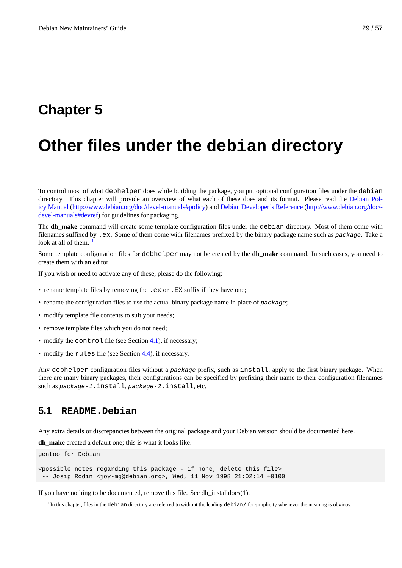# <span id="page-34-0"></span>**Chapter 5**

# **Other files under the debian directory**

To control most of what debhelper does while building the package, you put optional configuration files under the debian directory. This chapter will provide an overview of what each of these does and its format. Please read the Debian Policy Manual (http://www.debian.org/doc/devel-manuals#policy) and Debian Developer's Reference (http://www.debian.org/doc/ devel-manuals#devref) for guidelines for packaging.

The **dh\_make** command will create some template configuration files under the debian directory. Most of them come with filenames suffixed by .ex[. Some of them come with filename](http://www.debian.org/doc/devel-manuals#policy)s pr[efixed by the binary package name such as](http://www.debian.org/doc/devel-manuals#devref) *package*[. Take a](http://www.debian.org/doc/devel-manuals#policy) [look at all o](http://www.debian.org/doc/devel-manuals#policy)[f them.](http://www.debian.org/doc/devel-manuals#devref)  $<sup>1</sup>$ </sup>

Some template configuration files for debhelper may not be created by the **dh\_make** command. In such cases, you need to create them with an editor.

If you wish or need [t](#page-34-2)o activate any of these, please do the following:

- rename template files by removing the . ex or . EX suffix if they have one;
- rename the configuration files to use the actual binary package name in place of *package*;
- modify template file contents to suit your needs;
- remove template files which you do not need;
- modify the control file (see Section 4.1), if necessary;
- modify the rules file (see Section 4.4), if necessary.

Any debhelper configuration files without a *package* prefix, such as install, apply to the first binary package. When there are many binary packages, their co[nfig](#page-22-1)urations can be specified by prefixing their name to their configuration filenames such as *package-1*.install, *pac[kage](#page-28-0)-2*.install, etc.

### **5.1 README.Debian**

<span id="page-34-1"></span>Any extra details or discrepancies between the original package and your Debian version should be documented here.

**dh\_make** created a default one; this is what it looks like:

```
gentoo for Debian
-----------------
<possible notes regarding this package - if none, delete this file>
-- Josip Rodin <joy-mg@debian.org>, Wed, 11 Nov 1998 21:02:14 +0100
```
If you have nothing to be documented, remove this file. See dh\_installdocs(1).

<span id="page-34-2"></span> $1$ In this chapter, files in the debian directory are referred to without the leading debian/ for simplicity whenever the meaning is obvious.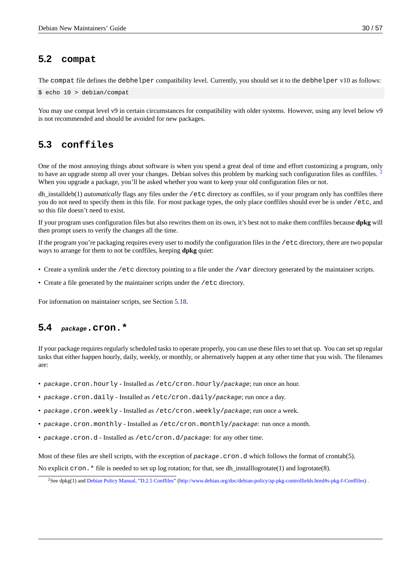# **5.2 compat**

The compat file defines the debhelper compatibility level. Currently, you should set it to the debhelper v10 as follows:

```
$ echo 10 > debian/compat
```
You may use compat level v9 in certain circumstances for compatibility with older systems. However, using any level below v9 is not recommended and should be avoided for new packages.

# **5.3 conffiles**

<span id="page-35-1"></span>One of the most annoying things about software is when you spend a great deal of time and effort customizing a program, only to have an upgrade stomp all over your changes. Debian solves this problem by marking such configuration files as conffiles. <sup>2</sup> When you upgrade a package, you'll be asked whether you want to keep your old configuration files or not.

dh\_installdeb(1) *automatically* flags any files under the /etc directory as conffiles, so if your program only has conffiles there you do not need to specify them in this file. For most package types, the only place conffiles should ever be is under /etc, an[d](#page-35-3) so this file doesn't need to exist.

If your program uses configuration files but also rewrites them on its own, it's best not to make them conffiles because **dpkg** will then prompt users to verify the changes all the time.

If the program you're packaging requires every user to modify the configuration files in the /etc directory, there are two popular ways to arrange for them to not be conffiles, keeping **dpkg** quiet:

- Create a symlink under the /etc directory pointing to a file under the /var directory generated by the maintainer scripts.
- Create a file generated by the maintainer scripts under the /etc directory.

For information on maintainer scripts, see Section 5.18.

### **5.4** *package***.cron.\***

<span id="page-35-2"></span>If your package requires regularly scheduled tasks to operate properly, you can use these files to set that up. You can set up regular tasks that either happen hourly, daily, weekly, or monthly, or alternatively happen at any other time that you wish. The filenames are:

- *package*.cron.hourly Installed as /etc/cron.hourly/*package*; run once an hour.
- *package*.cron.daily Installed as /etc/cron.daily/*package*; run once a day.
- *package*.cron.weekly Installed as /etc/cron.weekly/*package*; run once a week.
- *package*.cron.monthly Installed as /etc/cron.monthly/*package*: run once a month.
- *package*.cron.d Installed as /etc/cron.d/*package*: for any other time.

Most of these files are shell scripts, with the exception of *package*.cron.d which follows the format of crontab(5).

No explicit  $\text{cron}$ . \* file is needed to set up log rotation; for that, see dh\_installlogrotate(1) and logrotate(8).

<span id="page-35-3"></span><sup>&</sup>lt;sup>2</sup>See dpkg(1) and Debian Policy Manual, "D.2.5 Conffiles" (http://www.debian.org/doc/debian-policy/ap-pkg-controlfields.html#s-pkg-f-Conffiles) .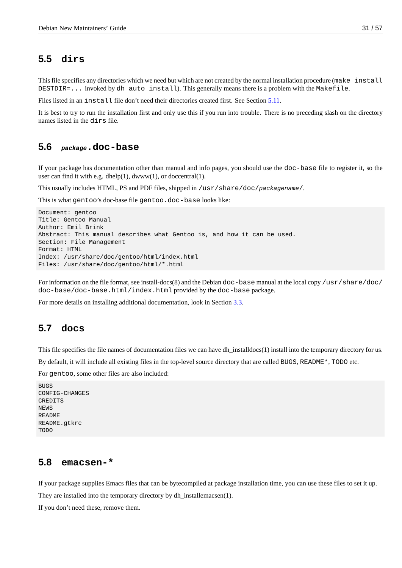# **5.5 dirs**

<span id="page-36-0"></span>This file specifies any directories which we need but which are not created by the normal installation procedure (make install DESTDIR=... invoked by dh\_auto\_install). This generally means there is a problem with the Makefile.

Files listed in an install file don't need their directories created first. See Section 5.11.

It is best to try to run the installation first and only use this if you run into trouble. There is no preceding slash on the directory names listed in the dirs file.

### **5.6** *package***.doc-base**

<span id="page-36-1"></span>If your package has documentation other than manual and info pages, you should use the doc-base file to register it, so the user can find it with e.g. dhelp $(1)$ , dwww $(1)$ , or doccentral $(1)$ .

This usually includes HTML, PS and PDF files, shipped in /usr/share/doc/*packagename*/.

This is what gentoo's doc-base file gentoo.doc-base looks like:

```
Document: gentoo
Title: Gentoo Manual
Author: Emil Brink
Abstract: This manual describes what Gentoo is, and how it can be used.
Section: File Management
Format: HTML
Index: /usr/share/doc/gentoo/html/index.html
Files: /usr/share/doc/gentoo/html/*.html
```
For information on the file format, see install-docs(8) and the Debian doc-base manual at the local copy /usr/share/doc/ doc-base/doc-base.html/index.html provided by the doc-base package.

For more details on installing additional documentation, look in Section 3.3.

# **5.7 docs**

<span id="page-36-2"></span>This file specifies the file names of documentation files we can have dh\_installdocs(1) install into the temporary directory for us.

By default, it will include all existing files in the top-level source directory that are called BUGS, README\*, TODO etc.

For gentoo, some other files are also included:

```
BUGS
CONFIG-CHANGES
CREDITS
NEWS
README
README.gtkrc
TODO
```
### **5.8 emacsen-\***

<span id="page-36-3"></span>If your package supplies Emacs files that can be bytecompiled at package installation time, you can use these files to set it up.

They are installed into the temporary directory by dh\_installemacsen(1).

If you don't need these, remove them.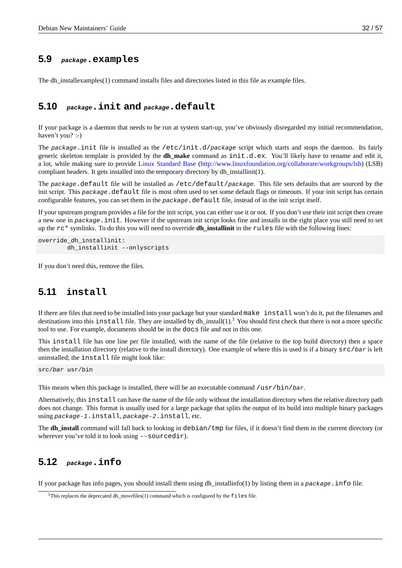### **5.9** *package***.examples**

<span id="page-37-0"></span>The dh\_installexamples(1) command installs files and directories listed in this file as example files.

### **5.10** *package***.init and** *package***.default**

<span id="page-37-1"></span>If your package is a daemon that needs to be run at system start-up, you've obviously disregarded my initial recommendation, haven't you? :-)

The *package*.init file is installed as the /etc/init.d/*package* script which starts and stops the daemon. Its fairly generic skeleton template is provided by the **dh\_make** command as init.d.ex. You'll likely have to rename and edit it, a lot, while making sure to provide Linux Standard Base (http://www.linuxfoundation.org/collaborate/workgroups/lsb) (LSB) compliant headers. It gets installed into the temporary directory by dh\_installinit(1).

The *package*.default file will be installed as /etc/default/*package*. This file sets defaults that are sourced by the init script. This *package*. default [file is most often use](http://www.linuxfoundation.org/collaborate/workgroups/lsb)d to set some default flags or timeouts. If your init script has certain configurable features, you can set them in the *package*.default [file, instead of in the init script itself.](http://www.linuxfoundation.org/collaborate/workgroups/lsb)

If your upstream program provides a file for the init script, you can either use it or not. If you don't use their init script then create a new one in *package*. init. However if the upstream init script looks fine and installs in the right place you still need to set up the rc\* symlinks. To do this you will need to override **dh\_installinit** in the rules file with the following lines:

```
override_dh_installinit:
        dh_installinit --onlyscripts
```
If you don't need this, remove the files.

### **5.11 install**

<span id="page-37-2"></span>If there are files that need to be installed into your package but your standard make install won't do it, put the filenames and destinations into this install file. They are installed by dh\_install(1).<sup>3</sup> You should first check that there is not a more specific tool to use. For example, documents should be in the docs file and not in this one.

This install file has one line per file installed, with the name of the file (relative to the top build directory) then a space then the installation directory (relative to the install directory). One exa[m](#page-37-4)ple of where this is used is if a binary src/*bar* is left uninstalled; the install file might look like:

src/*bar* usr/bin

This means when this package is installed, there will be an executable command /usr/bin/*bar*.

Alternatively, this install can have the name of the file only without the installation directory when the relative directory path does not change. This format is usually used for a large package that splits the output of its build into multiple binary packages using *package-1*.install, *package-2*.install, etc.

The **dh\_install** command will fall back to looking in debian/tmp for files, if it doesn't find them in the current directory (or wherever you've told it to look using --sourcedir).

### **5.12** *package***.info**

<span id="page-37-3"></span>If your package has info pages, you should install them using dh\_installinfo(1) by listing them in a *package*.info file.

<span id="page-37-4"></span> $3$ This replaces the deprecated dh\_movefiles(1) command which is configured by the  $file$  file.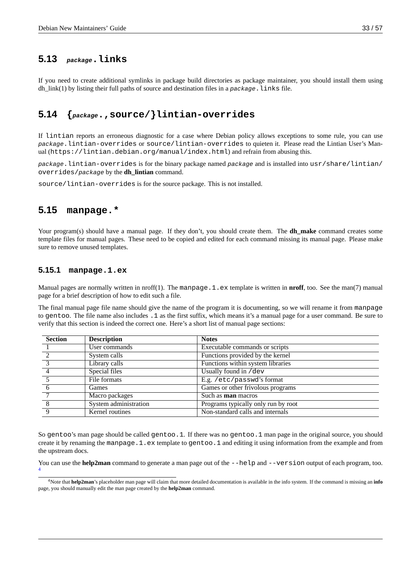### **5.13** *package***.links**

<span id="page-38-0"></span>If you need to create additional symlinks in package build directories as package maintainer, you should install them using dh\_link(1) by listing their full paths of source and destination files in a *package*.links file.

# **5.14 {***package***.,source/}lintian-overrides**

<span id="page-38-1"></span>If lintian reports an erroneous diagnostic for a case where Debian policy allows exceptions to some rule, you can use *package*.lintian-overrides or source/lintian-overrides to quieten it. Please read the Lintian User's Manual (https://lintian.debian.org/manual/index.html) and refrain from abusing this.

*package*.lintian-overrides is for the binary package named *package* and is installed into usr/share/lintian/ overrides/*package* by the **dh\_lintian** command.

source/lintian-overrides is for the source package. This is not installed.

### **5.15 manpage.\***

<span id="page-38-2"></span>Your program(s) should have a manual page. If they don't, you should create them. The **dh\_make** command creates some template files for manual pages. These need to be copied and edited for each command missing its manual page. Please make sure to remove unused templates.

#### **5.15.1 manpage.1.ex**

Manual pages are normally written in nroff(1). The manpage.1.ex template is written in **nroff**, too. See the man(7) manual page for a brief description of how to edit such a file.

<span id="page-38-3"></span>The final manual page file name should give the name of the program it is documenting, so we will rename it from manpage to gentoo. The file name also includes .1 as the first suffix, which means it's a manual page for a user command. Be sure to verify that this section is indeed the correct one. Here's a short list of manual page sections:

| <b>Section</b> | <b>Description</b>    | <b>Notes</b>                        |
|----------------|-----------------------|-------------------------------------|
|                | User commands         | Executable commands or scripts      |
|                | System calls          | Functions provided by the kernel    |
|                | Library calls         | Functions within system libraries   |
|                | Special files         | Usually found in /dev               |
|                | File formats          | E.g. /etc/passwd's format           |
|                | Games                 | Games or other frivolous programs   |
|                | Macro packages        | Such as <b>man</b> macros           |
| 8              | System administration | Programs typically only run by root |
| q              | Kernel routines       | Non-standard calls and internals    |

So gentoo's man page should be called gentoo.1. If there was no gentoo.1 man page in the original source, you should create it by renaming the manpage.  $1$ . ex template to gentoo. 1 and editing it using information from the example and from the upstream docs.

You can use the **help2man** command to generate a man page out of the --help and --version output of each program, too. 4

<sup>4</sup>Note that **help2man**'s placeholder man page will claim that more detailed documentation is available in the info system. If the command is missing an **info** page, you should manually edit the man page created by the **help2man** command.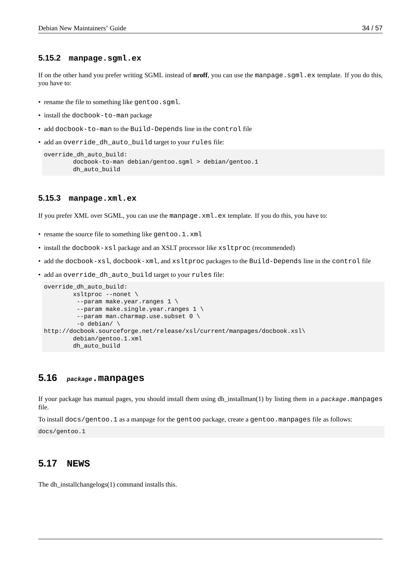#### <span id="page-39-0"></span>**5.15.2 manpage.sgml.ex**

If on the other hand you prefer writing SGML instead of **nroff**, you can use the manpage.sgml.ex template. If you do this, you have to:

- rename the file to something like gentoo.sgml.
- install the docbook-to-man package
- add docbook-to-man to the Build-Depends line in the control file
- add an override\_dh\_auto\_build target to your rules file:

```
override_dh_auto_build:
       docbook-to-man debian/gentoo.sgml > debian/gentoo.1
       dh_auto_build
```
#### <span id="page-39-1"></span>**5.15.3 manpage.xml.ex**

If you prefer XML over SGML, you can use the manpage.  $xml$ . ex template. If you do this, you have to:

- rename the source file to something like gentoo.1.xml
- install the docbook-xsl package and an XSLT processor like xsltproc (recommended)
- add the docbook-xsl, docbook-xml, and xsltproc packages to the Build-Depends line in the control file
- add an override\_dh\_auto\_build target to your rules file:

```
override_dh_auto_build:
        xsltproc --nonet \
         --param make.year.ranges 1 \
         --param make.single.year.ranges 1 \
         --param man.charmap.use.subset 0 \
         -o debian/ \
http://docbook.sourceforge.net/release/xsl/current/manpages/docbook.xsl\
        debian/gentoo.1.xml
        dh_auto_build
```
### <span id="page-39-2"></span>**5.16** *package***.manpages**

If your package has manual pages, you should install them using dh\_installman(1) by listing them in a *package*.manpages file.

To install docs/gentoo.1 as a manpage for the gentoo package, create a gentoo.manpages file as follows:

docs/gentoo.1

### <span id="page-39-3"></span>**5.17 NEWS**

The dh\_installchangelogs(1) command installs this.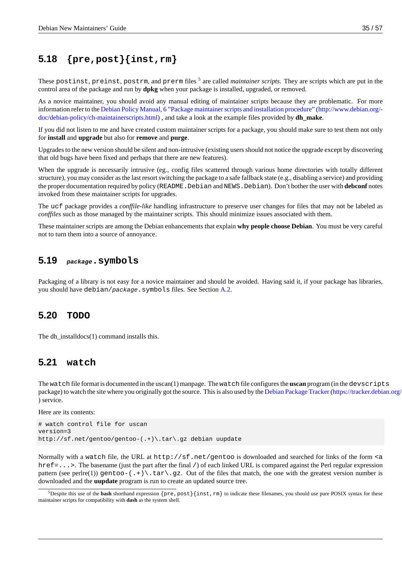# **5.18 {pre,post}{inst,rm}**

<span id="page-40-0"></span>These <code>postinst</code>, <code>preinst</code>, <code>postrm</code>, and <code>prerm</code> files  $^5$  are called *maintainer scripts*. They are scripts which are put in the control area of the package and run by **dpkg** when your package is installed, upgraded, or removed.

As a novice maintainer, you should avoid any manual editing of maintainer scripts because they are problematic. For more information refer to the Debian Policy Manual, 6 "Package [ma](#page-40-4)intainer scripts and installation procedure" (http://www.debian.org/ doc/debian-policy/ch-maintainerscripts.html) , and take a look at the example files provided by **dh\_make**.

If you did not listen to me and have created custom maintainer scripts for a package, you should make sure to test them not only for **install** and **upgrade** [but also for](http://www.debian.org/doc/debian-policy/ch-maintainerscripts.html) **remove** and **purge**.

[Upgrades to the new version should be silent](http://www.debian.org/doc/debian-policy/ch-maintainerscripts.html) and non-intrusive (existing users should not notice the upgra[de except by discovering](http://www.debian.org/doc/debian-policy/ch-maintainerscripts.html) that old bugs have been fixed and perhaps that there are new features).

When the upgrade is necessarily intrusive (eg., config files scattered through various home directories with totally different structure), you may consider as the last resort switching the package to a safe fallback state (e.g., disabling a service) and providing the proper documentation required by policy (README. Debian and NEWS. Debian). Don't bother the user with **debconf** notes invoked from these maintainer scripts for upgrades.

The ucf package provides a *conffile-like* handling infrastructure to preserve user changes for files that may not be labeled as *conffiles* such as those managed by the maintainer scripts. This should minimize issues associated with them.

These maintainer scripts are among the Debian enhancements that explain **why people choose Debian**. You must be very careful not to turn them into a source of annoyance.

### **5.19** *package***.symbols**

<span id="page-40-1"></span>Packaging of a library is not easy for a novice maintainer and should be avoided. Having said it, if your package has libraries, you should have debian/*package*.symbols files. See Section A.2.

# **5.20 TODO**

<span id="page-40-2"></span>The dh\_installdocs(1) command installs this.

### **5.21 watch**

<span id="page-40-3"></span>The watch file format is documented in the uscan(1) manpage. The watch file configures the **uscan** program (in the devscripts package) to watch the site where you originally got the source. This is also used by the Debian Package Tracker(https://tracker.debian.org/- ) service.

Here are its contents:

# watch control file for uscan version=3 http://sf.net/gentoo/gentoo-(.+)\.tar\.gz debian uupdate

Normally with a watch file, the URL at http://sf.net/gentoo is downloaded and searched for links of the form <a href=...>. The basename (just the part after the final /) of each linked URL is compared against the Perl regular expression pattern (see perlre(1)) gentoo-(.+)\.tar\.gz. Out of the files that match, the one with the greatest version number is downloaded and the **uupdate** program is run to create an updated source tree.

<span id="page-40-4"></span><sup>&</sup>lt;sup>5</sup>Despite this use of the **bash** shorthand expression {pre,post}{inst,rm} to indicate these filenames, you should use pure POSIX syntax for these maintainer scripts for compatibility with **dash** as the system shell.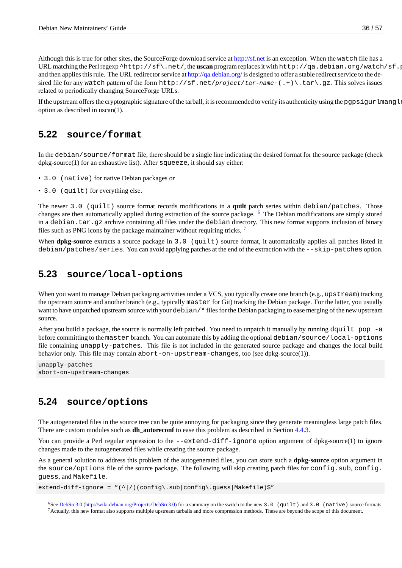Although this is true for other sites, the SourceForge download service at http://sf.net is an exception. When the watch file has a URL matching the Perl regexp ^http://sf\.net/, the **uscan** program replaces it with http://qa.debian.org/watch/sf.php/ and then applies this rule. The URL redirector service at http://ga.debian.org/ is designed to offer a stable redirect service to the desired file for any watch pattern of the form http://sf.net/*project*/*tar-name*-(.+)\.tar\.gz. This solves issues related to periodically changing SourceForge URLs.

Ifthe upstream offers the cryptographic signature of the t[arball, it is recommen](http://qa.debian.org/)ded to verify its authenticity using the pgpsigur lmangle option as described in uscan(1).

## **5.22 source/format**

<span id="page-41-0"></span>In the debian/source/format file, there should be a single line indicating the desired format for the source package (check dpkg-source(1) for an exhaustive list). After squeeze, it should say either:

- 3.0 (native) for native Debian packages or
- 3.0 (quilt) for everything else.

The newer 3.0 (quilt) source format records modifications in a **quilt** patch series within debian/patches. Those changes are then automatically applied during extraction of the source package. <sup>6</sup> The Debian modifications are simply stored in a debian.tar.gz archive containing all files under the debian directory. This new format supports inclusion of binary files such as PNG icons by the package maintainer without requiring tricks.<sup>7</sup>

When **dpkg-source** extracts a source package in 3.0 (quilt) source format, it automatically applies all patches listed in debian/patches/series. You can avoid applying patches at the end of the [ex](#page-41-2)traction with the --skip-patches option.

## **5.23 source/local-options**

When you want to manage Debian packaging activities under a VCS, you typically create one branch (e.g., upstream) tracking the upstream source and another branch (e.g., typically master for Git) tracking the Debian package. For the latter, you usually want to have unpatched upstream source with your debian/\* files for the Debian packaging to ease merging of the new upstream source.

After you build a package, the source is normally left patched. You need to unpatch it manually by running dquilt pop -a before committing to the master branch. You can automate this by adding the optional debian/source/local-options file containing unapply-patches. This file is not included in the generated source package and changes the local build behavior only. This file may contain abort-on-upstream-changes, too (see dpkg-source(1)).

unapply-patches abort-on-upstream-changes

# **5.24 source/options**

<span id="page-41-1"></span>The autogenerated files in the source tree can be quite annoying for packaging since they generate meaningless large patch files. There are custom modules such as **dh\_autoreconf** to ease this problem as described in Section 4.4.3.

You can provide a Perl regular expression to the --extend-diff-ignore option argument of dpkg-source(1) to ignore changes made to the autogenerated files while creating the source package.

As a general solution to address this problem of the autogenerated files, you can store such a **[dpkg-](#page-31-3)source** option argument in the source/options file of the source package. The following will skip creating patch files for config.sub, config. guess, and Makefile.

extend-diff-ignore =  $''(^)/$ (config\.sub|config\.guess|Makefile)\$"

<span id="page-41-2"></span> $6$ See DebSrc3.0 (http://wiki.debian.org/Projects/DebSrc3.0) for a summary on the switch to the new 3.0 (quilt) and 3.0 (native) source formats.  $<sup>7</sup>$  Actually, this new format also supports multiple upstream tarballs and more compression methods. These are beyond the scope of this document.</sup>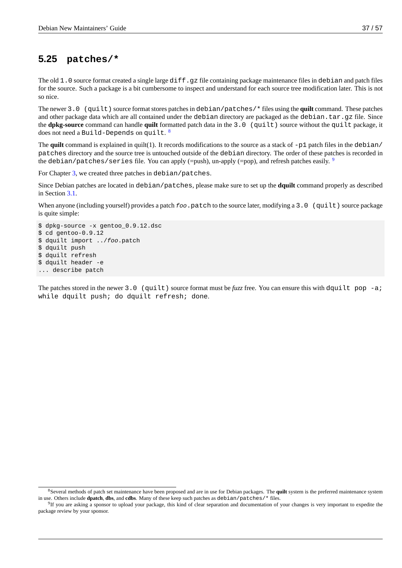# **5.25 patches/\***

<span id="page-42-0"></span>The old  $1.0$  source format created a single large  $diff.gz$  file containing package maintenance files in debian and patch files for the source. Such a package is a bit cumbersome to inspect and understand for each source tree modification later. This is not so nice.

The newer 3.0 (quilt) source format stores patches in debian/patches/\* files using the **quilt** command. These patches and other package data which are all contained under the debian directory are packaged as the debian.tar.gz file. Since the **dpkg-source** command can handle **quilt** formatted patch data in the 3.0 (quilt) source without the quilt package, it does not need a <code>Build-Depends</code> on <code>quilt.  $^{\rm 8}$ </code>

The **quilt** command is explained in quilt(1). It records modifications to the source as a stack of -p1 patch files in the debian/ patches directory and the source tree is untouched outside of the debian directory. The order of these patches is recorded in the debia[n](#page-42-1)/patches/series file. You can apply (=push), un-apply (=pop), and refresh patches easily.  $9$ 

For Chapter 3, we created three patches in debian/patches.

Since Debian patches are located in debian/patches, please make sure to set up the **dquilt** command properly as described in Section 3.1.

Wh[e](#page-18-0)n anyone (including yourself) provides a patch *foo*.patch to the source later, modifying a 3.0 (quilt) source package is quite simple:

```
$ dpkg-source -x gentoo_0.9.12.dsc
$ cd gentoo-0.9.12
$ dquilt import ../foo.patch
$ dquilt push
$ dquilt refresh
$ dquilt header -e
... describe patch
```
The patches stored in the newer 3.0 (quilt) source format must be *fuzz* free. You can ensure this with dquilt pop -a; while dquilt push; do dquilt refresh; done.

<sup>8</sup>Several methods of patch set maintenance have been proposed and are in use for Debian packages. The **quilt** system is the preferred maintenance system in use. Others include **dpatch**, **dbs**, and **cdbs**. Many of these keep such patches as debian/patches/\* files.

<span id="page-42-1"></span><sup>&</sup>lt;sup>9</sup>If you are asking a sponsor to upload your package, this kind of clear separation and documentation of your changes is very important to expedite the package review by your sponsor.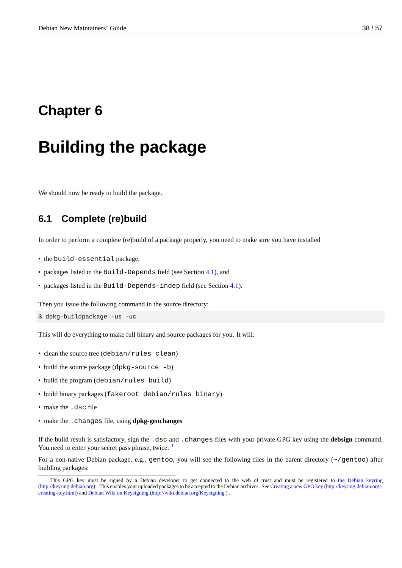# <span id="page-43-0"></span>**Chapter 6**

# **Building the package**

We should now be ready to build the package.

# **6.1 Complete (re)build**

<span id="page-43-1"></span>In order to perform a complete (re)build of a package properly, you need to make sure you have installed

- the build-essential package,
- packages listed in the Build-Depends field (see Section 4.1), and
- packages listed in the Build-Depends-indep field (see Section 4.1).

Then you issue the following command in the source director[y:](#page-22-1)

```
$ dpkg-buildpackage -us -uc
```
This will do everything to make full binary and source packages for you. It will:

- clean the source tree (debian/rules clean)
- build the source package (dpkg-source -b)
- build the program (debian/rules build)
- build binary packages (fakeroot debian/rules binary)
- make the .dsc file
- make the .changes file, using **dpkg-genchanges**

If the build result is satisfactory, sign the .dsc and .changes files with your private GPG key using the **debsign** command. You need to enter your secret pass phrase, twice.  $<sup>1</sup>$ </sup>

For a non-native Debian package, e.g., gentoo, you will see the following files in the parent directory (~/gentoo) after building packages:

<span id="page-43-2"></span><sup>&</sup>lt;sup>1</sup>This GPG key must be signed by a Debian devel[op](#page-43-2)er to get connected to the web of trust and must be registered to the Debian keyring (http://keyring.debian.org) . This enables your uploaded packages to be accepted to the Debian archives. See Creating a new GPG key (http://keyring.debian.org/ creating-key.html) and Debian Wiki on Keysigning (http://wiki.debian.org/Keysigning ) .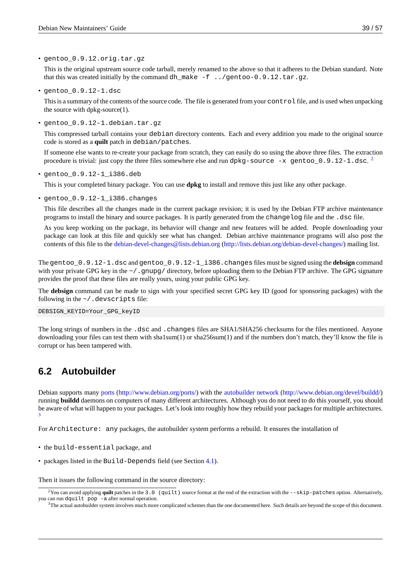• gentoo\_0.9.12.orig.tar.gz

This is the original upstream source code tarball, merely renamed to the above so that it adheres to the Debian standard. Note that this was created initially by the command dh\_make -f ../gentoo-0.9.12.tar.gz.

• gentoo\_0.9.12-1.dsc

This is a summary of the contents of the source code. The file is generated from your control file, and is used when unpacking the source with dpkg-source(1).

• gentoo\_0.9.12-1.debian.tar.gz

This compressed tarball contains your debian directory contents. Each and every addition you made to the original source code is stored as a **quilt** patch in debian/patches.

If someone else wants to re-create your package from scratch, they can easily do so using the above three files. The extraction procedure is trivial: just copy the three files somewhere else and run <code>dpkg-source -x gentoo\_0.9.12-1.dsc. $^2$ </code>

• gentoo\_0.9.12-1\_i386.deb

This is your completed binary package. You can use **dpkg** to install and remove this just like any other package.

• gentoo\_0.9.12-1\_i386.changes

This file describes all the changes made in the current package revision; it is used by the Debian FTP archive maintenance programs to install the binary and source packages. It is partly generated from the changelog file and the .dsc file.

As you keep working on the package, its behavior will change and new features will be added. People downloading your package can look at this file and quickly see what has changed. Debian archive maintenance programs will also post the contents of this file to the debian-devel-changes@lists.debian.org (http://lists.debian.org/debian-devel-changes/) mailing list.

The gentoo\_0.9.12-1.dsc and gentoo\_0.9.12-1\_i386.changes files must be signed using the **debsign** command with your private GPG key in the ~/.gnupg/directory, before uploading them to the Debian FTP archive. The GPG signature provides the proof that thes[e files are really yours, using your public GPG key.](http://lists.debian.org/debian-devel-changes/)

The **debsign** command can be made to sign with your specified secret GPG key ID (good for sponsoring packages) with the following in the  $\sim$ /.devscripts file:

DEBSIGN\_KEYID=Your\_GPG\_keyID

The long strings of numbers in the .dsc and .changes files are SHA1/SHA256 checksums for the files mentioned. Anyone downloading your files can test them with sha1sum(1) or sha256sum(1) and if the numbers don't match, they'll know the file is corrupt or has been tampered with.

# **6.2 Autobuilder**

<span id="page-44-0"></span>Debian supports many ports (http://www.debian.org/ports/) with the autobuilder network (http://www.debian.org/devel/buildd/) running **buildd** daemons on computers of many different architectures. Although you do not need to do this yourself, you should be aware of what will happen to your packages. Let's look into roughly how they rebuild your packages for multiple architectures. 3

For Architecture[: any](http://www.debian.org/ports/) [packages, the autobuilder sys](http://www.debian.org/ports/)tem perf[orms a rebuild. It ensures the installation of](http://www.debian.org/devel/buildd/)

- [•](#page-44-1) the build-essential package, and
- packages listed in the Build-Depends field (see Section 4.1).

Then it issues the following command in the source directory:

<sup>&</sup>lt;sup>2</sup> You can avoid applying quilt patches in the 3.0 (quilt) source for[mat a](#page-22-1)t the end of the extraction with the --skip-patches option. Alternatively, you can run dquilt pop -a after normal operation.

<span id="page-44-1"></span><sup>&</sup>lt;sup>3</sup>The actual autobuilder system involves much more complicated schemes than the one documented here. Such details are beyond the scope of this document.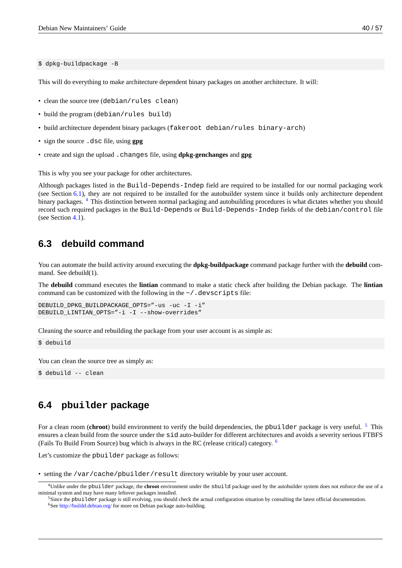This will do everything to make architecture dependent binary packages on another architecture. It will:

- clean the source tree (debian/rules clean)
- build the program (debian/rules build)
- build architecture dependent binary packages (fakeroot debian/rules binary-arch)
- sign the source .dsc file, using **gpg**
- create and sign the upload .changes file, using **dpkg-genchanges** and **gpg**

This is why you see your package for other architectures.

Although packages listed in the Build-Depends-Indep field are required to be installed for our normal packaging work (see Section 6.1), they are not required to be installed for the autobuilder system since it builds only architecture dependent binary packages. <sup>4</sup> This distinction between normal packaging and autobuilding procedures is what dictates whether you should record such required packages in the Build-Depends or Build-Depends-Indep fields of the debian/control file (see Section 4.1).

## **6.3 de[bu](#page-22-1)ild command**

<span id="page-45-0"></span>You can automate the build activity around executing the **dpkg-buildpackage** command package further with the **debuild** command. See debuild(1).

The **debuild** command executes the **lintian** command to make a static check after building the Debian package. The **lintian** command can be customized with the following in the  $\sim$  /. devscripts file:

```
DEBUILD_DPKG_BUILDPACKAGE_OPTS="-us -uc -I -i"
DEBUILD_LINTIAN_OPTS="-i -I --show-overrides"
```
Cleaning the source and rebuilding the package from your user account is as simple as:

\$ debuild

You can clean the source tree as simply as:

\$ debuild -- clean

# **6.4 pbuilder package**

<span id="page-45-1"></span>For a clean room (**chroot**) build environment to verify the build dependencies, the pbuilder package is very useful. <sup>5</sup> This ensures a clean build from the source under the sid auto-builder for different architectures and avoids a severity serious FTBFS (Fails To Build From Source) bug which is always in the RC (release critical) category.  $6$ 

Let's customize the pbuilder package as follows:

```
our user account.
```
<sup>4</sup>Unlike under the pbuilder package, the **chroot** environment under the sbuild package used by the autobuilder system does not enforce the use of a minimal system and may have many leftover packages installed.

<sup>&</sup>lt;sup>5</sup>Since the pbuilder package is still evolving, you should check the actual configuration situation by consulting the latest official documentation.

<span id="page-45-2"></span><sup>&</sup>lt;sup>6</sup>See http://buildd.debian.org/ for more on Debian package auto-building.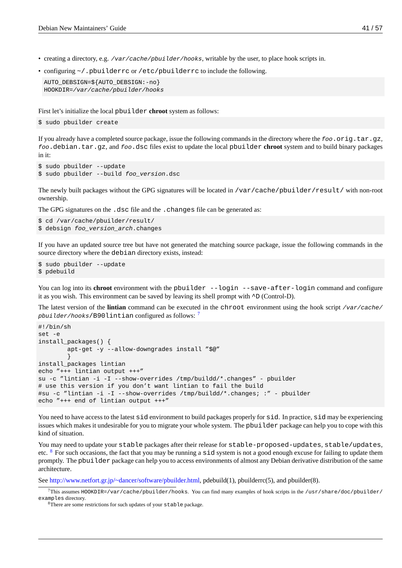- creating a directory, e.g. */var/cache/pbuilder/hooks*, writable by the user, to place hook scripts in.
- configuring  $\sim$  pbuilderrc or /etc/pbuilderrc to include the following.

```
AUTO_DEBSIGN=${AUTO_DEBSIGN:-no}
HOOKDIR=/var/cache/pbuilder/hooks
```
First let's initialize the local pbuilder **chroot** system as follows:

\$ sudo pbuilder create

If you already have a completed source package, issue the following commands in the directory where the *foo*.orig.tar.gz, *foo*.debian.tar.gz, and *foo*.dsc files exist to update the local pbuilder **chroot** system and to build binary packages in it:

```
$ sudo pbuilder --update
$ sudo pbuilder --build foo_version.dsc
```
The newly built packages without the GPG signatures will be located in /var/cache/pbuilder/result/ with non-root ownership.

The GPG signatures on the .dsc file and the .changes file can be generated as:

```
$ cd /var/cache/pbuilder/result/
$ debsign foo_version_arch.changes
```
If you have an updated source tree but have not generated the matching source package, issue the following commands in the source directory where the debian directory exists, instead:

```
$ sudo pbuilder --update
$ pdebuild
```
You can log into its **chroot** environment with the pbuilder --login --save-after-login command and configure it as you wish. This environment can be saved by leaving its shell prompt with ^D (Control-D).

The latest version of the **lintian** command can be executed in the chroot environment using the hook script */var/cache/ pbuilder/hooks*/B90lintian configured as follows: <sup>7</sup>

```
#!/bin/sh
set -e
install_packages() {
        apt-get -y --allow-downgrades install "$@"
        }
install_packages lintian
echo "+++ lintian output +++"
su -c "lintian -i -I --show-overrides /tmp/buildd/*.changes" - pbuilder
# use this version if you don't want lintian to fail the build
#su -c "lintian -i -I --show-overrides /tmp/buildd/*.changes; :" - pbuilder
echo "+++ end of lintian output +++"
```
You need to have access to the latest sid environment to build packages properly for sid. In practice, sid may be experiencing issues which makes it undesirable for you to migrate your whole system. The pbuilder package can help you to cope with this kind of situation.

You may need to update your stable packages after their release for stable-proposed-updates, stable/updates, etc.  $8$  For such occasions, the fact that you may be running a  $s$  id system is not a good enough excuse for failing to update them promptly. The pbuilder package can help you to access environments of almost any Debian derivative distribution of the same architecture.

See [h](#page-46-1)ttp://www.netfort.gr.jp/~dancer/software/pbuilder.html, pdebuild(1), pbuilderrc(5), and pbuilder(8).

 $7$ This assumes HOOKDIR=/var/cache/pbuilder/hooks. You can find many examples of hook scripts in the /usr/share/doc/pbuilder/ examples directory.

<span id="page-46-1"></span><span id="page-46-0"></span><sup>&</sup>lt;sup>8</sup>There are some restrictions for such updates of your **stable** package.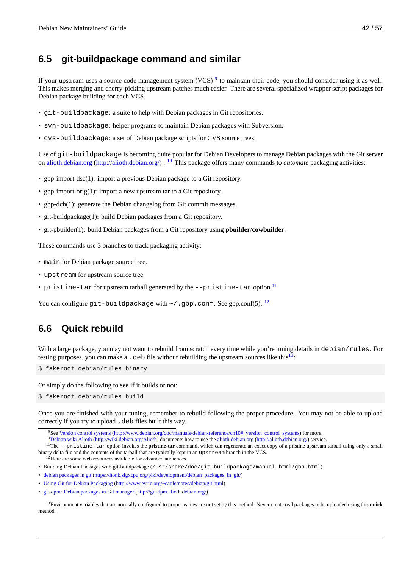# **6.5 git-buildpackage command and similar**

If your upstream uses a source code management system (VCS) <sup>9</sup> to maintain their code, you should consider using it as well. This makes merging and cherry-picking upstream patches much easier. There are several specialized wrapper script packages for Debian package building for each VCS.

- git-buildpackage: a suite to help with Debian packages [in](#page-47-0) Git repositories.
- svn-buildpackage: helper programs to maintain Debian packages with Subversion.
- cvs-buildpackage: a set of Debian package scripts for CVS source trees.

Use of git-buildpackage is becoming quite popular for Debian Developers to manage Debian packages with the Git server on alioth.debian.org (http://alioth.debian.org/) . <sup>10</sup> This package offers many commands to *automate* packaging activities:

- gbp-import-dsc(1): import a previous Debian package to a Git repository.
- [gbp-import-orig\(1](http://alioth.debian.org/))[: import a new upstream](http://alioth.debian.org/) t[ar t](#page-47-1)o a Git repository.
- gbp-dch(1): generate the Debian changelog from Git commit messages.
- git-buildpackage(1): build Debian packages from a Git repository.
- git-pbuilder(1): build Debian packages from a Git repository using **pbuilder**/**cowbuilder**.

These commands use 3 branches to track packaging activity:

- main for Debian package source tree.
- upstream for upstream source tree.
- pristine-tar for upstream tarball generated by the --pristine-tar option.<sup>11</sup>

You can configure git-buildpackage with  $\sim$  /.gbp.conf. See gbp.conf(5).  $^{12}$ 

# **6.6 Quick rebuild**

With a large package, you may not want to rebuild from scratch every time while you're tuning details in debian/rules. For testing purposes, you can make a  $\cdot$  deb file without rebuilding the upstream sources like this<sup>13</sup>:

\$ fakeroot debian/rules binary

Or simply do the following to see if it builds or not:

\$ fakeroot debian/rules build

Once you are finished with your tuning, remember to rebuild following the proper procedure. You may not be able to upload correctly if you try to upload .deb files built this way.

<sup>10</sup>Debian wiki Alioth (http://wiki.debian.org/Alioth) documents how to use the alioth.debian.org (http://alioth.debian.org/) service.

<sup>11</sup>The --pristine-tar option invokes the pristine-tar command, which can regenerate an exact copy of a pristine upstream tarball using only a small binary delta file and the contents of the tarball that are typically kept in an upstream branch in the VCS.

<span id="page-47-0"></span><sup>12</sup>Here are some web resources available for advanced audiences.

- Buildi[ng Debian Packages with](http://www.debian.org/doc/manuals/debian-reference/ch10#_version_control_systems) git-buildpackage ([/usr/share/doc/git-buildpackage/manual-html/gb](http://www.debian.org/doc/manuals/debian-reference/ch10#_version_control_systems)p.html)
- <span id="page-47-1"></span>• de[bian packages in git](http://wiki.debian.org/Alioth) ([https://honk.sigxcpu.org/piki](http://wiki.debian.org/Alioth)/development/debian\_packa[ges\\_in\\_git/\)](http://alioth.debian.org/)
- Using Git for Debian Packaging (http://www.eyrie.org/~eagle/notes/debian/git.html)
- git-dpm: Debian packages in Git manager (http://git-dpm.alioth.debian.org/)

<sup>13</sup>[Environment variables that are normally configured to proper values are not set by this m](https://honk.sigxcpu.org/piki/development/debian_packages_in_git/)ethod. Never create real packages to be uploaded using this **quick** m[ethod.](http://www.eyrie.org/~eagle/notes/debian/git.html)

<sup>9</sup>See Version control systems (http://www.debian.org/doc/manuals/debian-reference/ch10#\_version\_control\_systems) for more.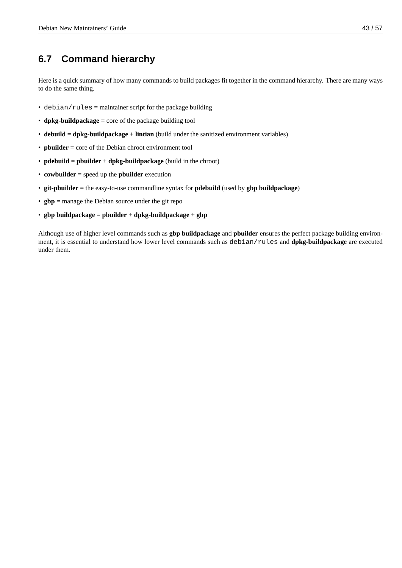# **6.7 Command hierarchy**

Here is a quick summary of how many commands to build packages fit together in the command hierarchy. There are many ways to do the same thing.

- debian/rules = maintainer script for the package building
- **dpkg-buildpackage** = core of the package building tool
- **debuild** = **dpkg-buildpackage** + **lintian** (build under the sanitized environment variables)
- **pbuilder** = core of the Debian chroot environment tool
- **pdebuild** = **pbuilder** + **dpkg-buildpackage** (build in the chroot)
- **cowbuilder** = speed up the **pbuilder** execution
- **git-pbuilder** = the easy-to-use commandline syntax for **pdebuild** (used by **gbp buildpackage**)
- **gbp** = manage the Debian source under the git repo
- **gbp buildpackage** = **pbuilder** + **dpkg-buildpackage** + **gbp**

Although use of higher level commands such as **gbp buildpackage** and **pbuilder** ensures the perfect package building environment, it is essential to understand how lower level commands such as debian/rules and **dpkg-buildpackage** are executed under them.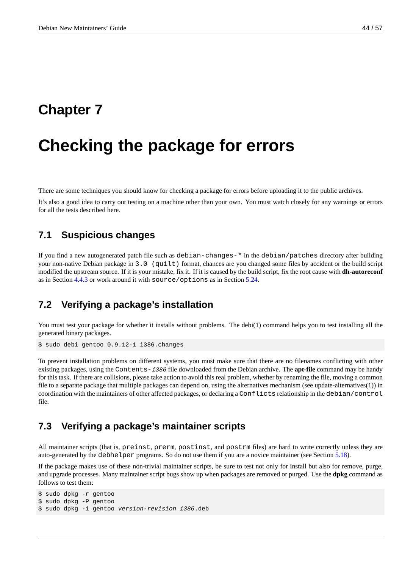# <span id="page-49-0"></span>**Chapter 7**

# **Checking the package for errors**

There are some techniques you should know for checking a package for errors before uploading it to the public archives.

It's also a good idea to carry out testing on a machine other than your own. You must watch closely for any warnings or errors for all the tests described here.

### **7.1 Suspicious changes**

<span id="page-49-1"></span>If you find a new autogenerated patch file such as debian-changes-\* in the debian/patches directory after building your non-native Debian package in 3.0 (quilt) format, chances are you changed some files by accident or the build script modified the upstream source. If it is your mistake, fix it. If it is caused by the build script, fix the root cause with **dh-autoreconf** as in Section 4.4.3 or work around it with source/options as in Section 5.24.

### **7.2 Ve[rify](#page-31-3)ing a package's installation**

<span id="page-49-2"></span>You must test your package for whether it installs without problems. The debi(1) command helps you to test installing all the generated binary packages.

\$ sudo debi gentoo\_0.9.12-1\_i386.changes

To prevent installation problems on different systems, you must make sure that there are no filenames conflicting with other existing packages, using the Contents-*i386* file downloaded from the Debian archive. The **apt-file** command may be handy for this task. If there are collisions, please take action to avoid this real problem, whether by renaming the file, moving a common file to a separate package that multiple packages can depend on, using the alternatives mechanism (see update-alternatives(1)) in coordination with the maintainers of other affected packages, or declaring a Conflicts relationship in the debian/control file.

### **7.3 Verifying a package's maintainer scripts**

<span id="page-49-3"></span>All maintainer scripts (that is, preinst, prerm, postinst, and postrm files) are hard to write correctly unless they are auto-generated by the debhelper programs. So do not use them if you are a novice maintainer (see Section 5.18).

If the package makes use of these non-trivial maintainer scripts, be sure to test not only for install but also for remove, purge, and upgrade processes. Many maintainer script bugs show up when packages are removed or purged. Use the **dpkg** command as follows to test them:

```
$ sudo dpkg -r gentoo
$ sudo dpkg -P gentoo
$ sudo dpkg -i gentoo_version-revision_i386.deb
```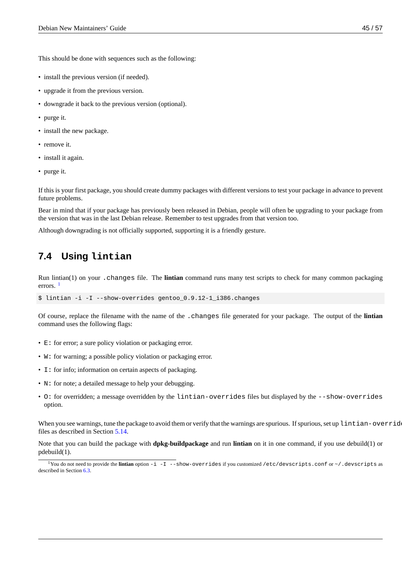This should be done with sequences such as the following:

- install the previous version (if needed).
- upgrade it from the previous version.
- downgrade it back to the previous version (optional).
- purge it.
- install the new package.
- remove it.
- install it again.
- purge it.

If this is your first package, you should create dummy packages with different versions to test your package in advance to prevent future problems.

Bear in mind that if your package has previously been released in Debian, people will often be upgrading to your package from the version that was in the last Debian release. Remember to test upgrades from that version too.

Although downgrading is not officially supported, supporting it is a friendly gesture.

# **7.4 Using lintian**

<span id="page-50-0"></span>Run lintian(1) on your .changes file. The **lintian** command runs many test scripts to check for many common packaging errors.  $<sup>1</sup>$ </sup>

```
$ lintian -i -I --show-overrides gentoo 0.9.12-1 i386.changes
```
Of cou[rs](#page-50-1)e, replace the filename with the name of the .changes file generated for your package. The output of the **lintian** command uses the following flags:

- E: for error; a sure policy violation or packaging error.
- W: for warning; a possible policy violation or packaging error.
- I: for info; information on certain aspects of packaging.
- N: for note; a detailed message to help your debugging.
- O: for overridden; a message overridden by the lintian-overrides files but displayed by the --show-overrides option.

When you see warnings, tune the package to avoid them or verify that the warnings are spurious. If spurious, set up lintian-overrides files as described in Section 5.14.

Note that you can build the package with **dpkg-buildpackage** and run **lintian** on it in one command, if you use debuild(1) or pdebuild(1).

<span id="page-50-1"></span><sup>1</sup>You do not need to provide the **[linti](#page-38-1)an** option -i -I --show-overrides if you customized /etc/devscripts.conf or ~/.devscripts as described in Section 6.3.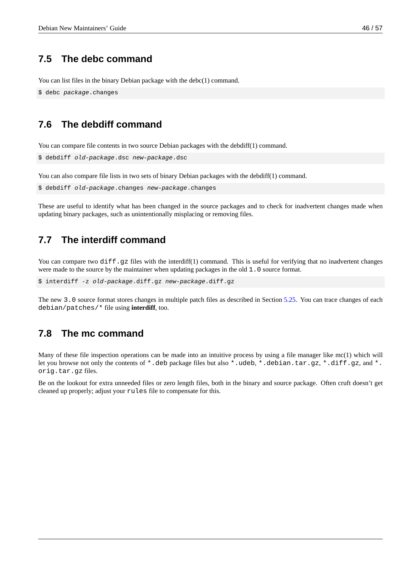# **7.5 The debc command**

You can list files in the binary Debian package with the debc(1) command.

<span id="page-51-0"></span>\$ debc *package*.changes

### **7.6 The debdiff command**

You can compare file contents in two source Debian packages with the debdiff(1) command.

```
$ debdiff old-package.dsc new-package.dsc
```
You can also compare file lists in two sets of binary Debian packages with the debdiff(1) command.

```
$ debdiff old-package.changes new-package.changes
```
These are useful to identify what has been changed in the source packages and to check for inadvertent changes made when updating binary packages, such as unintentionally misplacing or removing files.

### **7.7 The interdiff command**

<span id="page-51-1"></span>You can compare two diff.qz files with the interdiff(1) command. This is useful for verifying that no inadvertent changes were made to the source by the maintainer when updating packages in the old 1.0 source format.

\$ interdiff -z *old-package*.diff.gz *new-package*.diff.gz

The new 3.0 source format stores changes in multiple patch files as described in Section 5.25. You can trace changes of each debian/patches/\* file using **interdiff**, too.

#### **7.8 The mc command**

<span id="page-51-2"></span>Many of these file inspection operations can be made into an intuitive process by using a file manager like mc(1) which will let you browse not only the contents of \*.deb package files but also \*.udeb, \*.debian.tar.gz, \*.diff.gz, and \*. orig.tar.gz files.

Be on the lookout for extra unneeded files or zero length files, both in the binary and source package. Often cruft doesn't get cleaned up properly; adjust your rules file to compensate for this.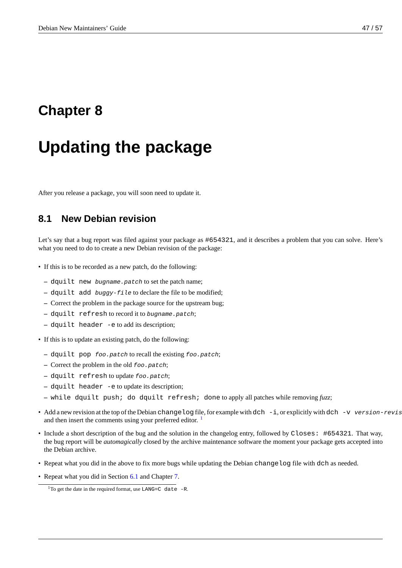# <span id="page-52-0"></span>**Chapter 8**

# **Updating the package**

After you release a package, you will soon need to update it.

### **8.1 New Debian revision**

<span id="page-52-1"></span>Let's say that a bug report was filed against your package as #654321, and it describes a problem that you can solve. Here's what you need to do to create a new Debian revision of the package:

- If this is to be recorded as a new patch, do the following:
	- **–** dquilt new *bugname.patch* to set the patch name;
	- **–** dquilt add *buggy-file* to declare the file to be modified;
	- **–** Correct the problem in the package source for the upstream bug;
	- **–** dquilt refresh to record it to *bugname.patch*;
	- **–** dquilt header -e to add its description;
- If this is to update an existing patch, do the following:
	- **–** dquilt pop *foo.patch* to recall the existing *foo.patch*;
	- **–** Correct the problem in the old *foo.patch*;
	- **–** dquilt refresh to update *foo.patch*;
	- **–** dquilt header -e to update its description;
	- **–** while dquilt push; do dquilt refresh; done to apply all patches while removing *fuzz*;
- Add a new revision at the top of the Debian changelog file, for example with dch -i, or explicitly with dch -v *version*-*revision* and then insert the comments using your preferred editor.  $1$
- Include a short description of the bug and the solution in the changelog entry, followed by Closes: #654321. That way, the bug report will be *automagically* closed by the archive maintenance software the moment your package gets accepted into the Debian archive.
- Repeat what you did in the above to fix more bugs while updating the Debian changelog file with dch as needed.
- Repeat what you did in Section 6.1 and Chapter 7.

<sup>&</sup>lt;sup>1</sup>To get the date in the required format, use  $\text{LANG=C}$  date -R.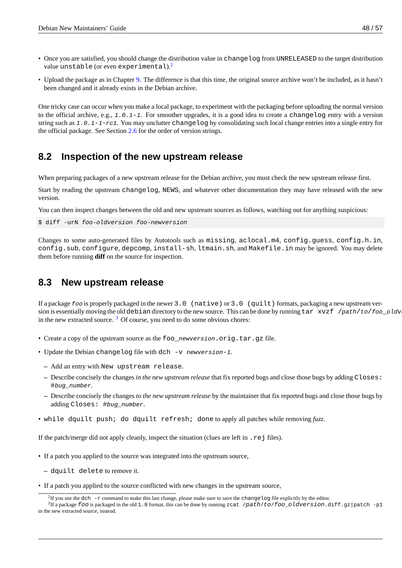- Once you are satisfied, you should change the distribution value in changelog from UNRELEASED to the target distribution value unstable (or even experimental).<sup>2</sup>
- Upload the package as in Chapter 9. The difference is that this time, the original source archive won't be included, as it hasn't been changed and it already exists in the Debian archive.

One tricky case can occur when you make a local package, to experiment with the packaging before uploading the normal version to the official archive, e.g., *1.0.1*-*[1](#page-56-0)*. For smoother upgrades, it is a good idea to create a changelog entry with a version string such as *1.0.1*-*1~rc1*. You may unclutter changelog by consolidating such local change entries into a single entry for the official package. See Section 2.6 for the order of version strings.

## **8.2 Inspection oft[he](#page-16-7) new upstream release**

<span id="page-53-0"></span>When preparing packages of a new upstream release for the Debian archive, you must check the new upstream release first.

Start by reading the upstream changelog, NEWS, and whatever other documentation they may have released with the new version.

You can then inspect changes between the old and new upstream sources as follows, watching out for anything suspicious:

\$ diff -urN *foo*-*oldversion foo*-*newversion*

Changes to some auto-generated files by Autotools such as missing, aclocal.m4, config.guess, config.h.in, config.sub, configure, depcomp, install-sh, ltmain.sh, and Makefile.in may be ignored. You may delete them before running **diff** on the source for inspection.

#### **8.3 New upstream release**

<span id="page-53-1"></span>If a package *foo* is properly packaged in the newer 3.0 (native) or 3.0 (quilt) formats, packaging a new upstream version is essentially moving the old debian directory to the new source. This can be done by running tar xvzf /*path*/*to*/*foo\_oldvers*. in the new extracted source.  $3$  Of course, you need to do some obvious chores:

- Create a copy of the upstream source as the foo\_*newversion*.orig.tar.gz file.
- Update the Debian chan[ge](#page-53-2)log file with dch -v *newversion*-*1*.
	- **–** Add an entry with New upstream release.
	- **–** Describe concisely the changes *in the new upstream release* that fix reported bugs and close those bugs by adding Closes: #*bug\_number*.
	- **–** Describe concisely the changes *to the new upstream release* by the maintainer that fix reported bugs and close those bugs by adding Closes: #*bug\_number*.
- while dquilt push; do dquilt refresh; done to apply all patches while removing *fuzz*.

If the patch/merge did not apply cleanly, inspect the situation (clues are left in .rej files).

- If a patch you applied to the source was integrated into the upstream source,
	- **–** dquilt delete to remove it.
- If a patch you applied to the source conflicted with new changes in the upstream source,

 ${}^{2}$ If you use the dch -r command to make this last change, please make sure to save the changelog file explicitly by the editor.

<span id="page-53-2"></span><sup>3</sup> If a package *foo* is packaged in the old 1.0 format, this can be done by running zcat /*path*/*to*/*foo*\_*oldversion*.diff.gz|patch -p1 in the new extracted source, instead.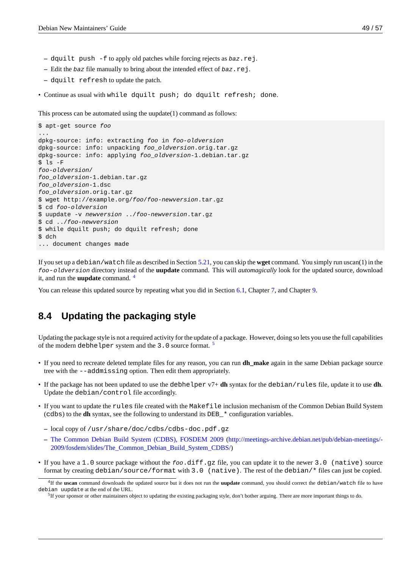- **–** dquilt push -f to apply old patches while forcing rejects as *baz*.rej.
- **–** Edit the *baz* file manually to bring about the intended effect of *baz*.rej.
- **–** dquilt refresh to update the patch.
- Continue as usual with while dquilt push; do dquilt refresh; done.

This process can be automated using the uupdate(1) command as follows:

```
$ apt-get source foo
...
dpkg-source: info: extracting foo in foo-oldversion
dpkg-source: info: unpacking foo_oldversion.orig.tar.gz
dpkg-source: info: applying foo_oldversion-1.debian.tar.gz
$ ls -F
foo-oldversion/
foo_oldversion-1.debian.tar.gz
foo_oldversion-1.dsc
foo_oldversion.orig.tar.gz
$ wget http://example.org/foo/foo-newversion.tar.gz
$ cd foo-oldversion
$ uupdate -v newversion ../foo-newversion.tar.gz
$ cd ../foo-newversion
$ while dquilt push; do dquilt refresh; done
$ dch
... document changes made
```
If you set up a debian/watch file as described in Section 5.21, you can skip the **wget** command. You simply run uscan(1) in the *foo*-*oldversion* directory instead of the **uupdate** command. This will *automagically* look for the updated source, download it, and run the **uupdate** command. <sup>4</sup>

You can release this updated source by repeating what you [did in](#page-40-3) Section 6.1, Chapter 7, and Chapter 9.

# **8.4 Updating the p[ac](#page-54-0)kaging style**

Updating the package style is not a required activity for the update of a package. However, doing so lets you use the full capabilities of the modern debhelper system and the 3.0 source format.<sup>5</sup>

- If you need to recreate deleted template files for any reason, you can run **dh\_make** again in the same Debian package source tree with the --addmissing option. Then edit them appropriately.
- If the package has not been updated to use the debhelper v7+ **dh** syntax for the debian/rules file, update it to use **dh**. Update the debian/control file accordingly.
- If you want to update the rules file created with the Makefile inclusion mechanism of the Common Debian Build System (cdbs) to the **dh** syntax, see the following to understand its DEB\_\* configuration variables.
	- **–** local copy of /usr/share/doc/cdbs/cdbs-doc.pdf.gz
	- **–** The Common Debian Build System (CDBS), FOSDEM 2009 (http://meetings-archive.debian.net/pub/debian-meetings/- 2009/fosdem/slides/The\_Common\_Debian\_Build\_System\_CDBS/)
- If you have a 1.0 source package without the *foo*.diff.gz file, you can update it to the newer 3.0 (native) source format by creating [debian/source/format](http://meetings-archive.debian.net/pub/debian-meetings/2009/fosdem/slides/The_Common_Debian_Build_System_CDBS/) with 3.0 (native). The rest of the debian/\* [files can just be copied.](http://meetings-archive.debian.net/pub/debian-meetings/2009/fosdem/slides/The_Common_Debian_Build_System_CDBS/)

<sup>4</sup> If the **uscan** [command downloads the updated source but it does not run the](http://meetings-archive.debian.net/pub/debian-meetings/2009/fosdem/slides/The_Common_Debian_Build_System_CDBS/) **uupdate** command, you should correct the debian/watch file to have debian uupdate at the end of the URL.

<span id="page-54-0"></span><sup>&</sup>lt;sup>5</sup>If your sponsor or other maintainers object to updating the existing packaging style, don't bother arguing. There are more important things to do.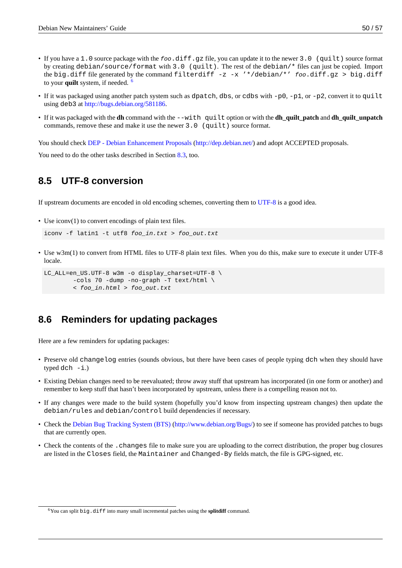- If you have a 1.0 source package with the *foo*.diff.gz file, you can update it to the newer 3.0 (quilt) source format by creating debian/source/format with 3.0 (quilt). The rest of the debian/\* files can just be copied. Import the big.diff file generated by the command filterdiff -z -x '\*/debian/\*' *foo*.diff.gz > big.diff to your **quilt** system, if needed. <sup>6</sup>
- If it was packaged using another patch system such as dpatch, dbs, or cdbs with -p0, -p1, or -p2, convert it to quilt using deb3 at http://bugs.debian.org/581186.
- If it was packaged with the **dh** c[om](#page-55-2)mand with the --with quilt option or with the **dh\_quilt\_patch** and **dh\_quilt\_unpatch** commands, remove these and make it use the newer  $3.0 \,$  (quilt) source format.

You should check [DEP - Debian Enhancement](http://bugs.debian.org/581186) Proposals (http://dep.debian.net/) and adopt ACCEPTED proposals.

You need to do the other tasks described in Section 8.3, too.

# **8.5 UTF-[8 conversion](http://dep.debian.net/)**

<span id="page-55-0"></span>If upstream documents are encoded in old encoding schemes, converting them to UTF-8 is a good idea.

• Use iconv(1) to convert encodings of plain text files.

```
iconv -f latin1 -t utf8 foo_in.txt > foo_out.txt
```
• Use w3m(1) to convert from HTML files to UTF-8 plain text files. When you do this, make sure to execute it under UTF-8 locale.

```
LC_ALL=en_US.UTF-8 w3m -o display_charset=UTF-8 \
        -cols 70 -dump -no-graph -T text/html \
        < foo_in.html > foo_out.txt
```
# **8.6 Reminders for updating packages**

<span id="page-55-1"></span>Here are a few reminders for updating packages:

- Preserve old changelog entries (sounds obvious, but there have been cases of people typing dch when they should have typed  $dch - i$ .)
- Existing Debian changes need to be reevaluated; throw away stuff that upstream has incorporated (in one form or another) and remember to keep stuff that hasn't been incorporated by upstream, unless there is a compelling reason not to.
- If any changes were made to the build system (hopefully you'd know from inspecting upstream changes) then update the debian/rules and debian/control build dependencies if necessary.
- Check the Debian Bug Tracking System (BTS) (http://www.debian.org/Bugs/) to see if someone has provided patches to bugs that are currently open.
- Check the contents of the .changes file to make sure you are uploading to the correct distribution, the proper bug closures are listed in the Closes field, the [Maintaine](http://www.debian.org/Bugs/)r and [Changed-By](http://www.debian.org/Bugs/) fields match, the file is GPG-signed, etc.

<span id="page-55-2"></span> $6$ You can split  $big$ ,  $diff$  into many small incremental patches using the **splitdiff** command.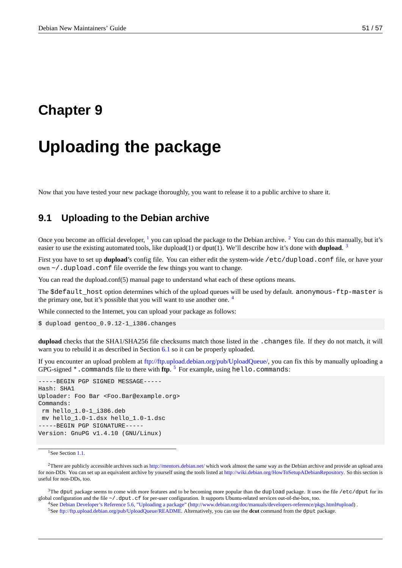# <span id="page-56-0"></span>**Chapter 9**

# **Uploading the package**

Now that you have tested your new package thoroughly, you want to release it to a public archive to share it.

### **9.1 Uploading to the Debian archive**

Once you become an official developer,  $\frac{1}{2}$  you can upload the package to the Debian archive.  $\frac{1}{2}$  You can do this manually, but it's easier to use the existing automated tools, like dupload(1) or dput(1). We'll describe how it's done with **dupload**. 3

First you have to set up **dupload**'s config file. You can either edit the system-wide /etc/dupload.conf file, or have your own  $\sim$  / . dupload. confile overrid[e t](#page-56-1)he few things you want to change.

You can read the dupload.conf(5) manual page to understand what each of these options means.

The \$default host option determines which of the upload queues will be used by default. anonymous-ftp-master is the primary one, but it's possible that you will want to use another one.<sup>4</sup>

While connected to the Internet, you can upload your package as follows:

\$ dupload gentoo\_0.9.12-1\_i386.changes

**dupload** checks that the SHA1/SHA256 file checksums match those listed in the .changes file. If they do not match, it will warn you to rebuild it as described in Section 6.1 so it can be properly uploaded.

If you encounter an upload problem at ftp://ftp.upload.debian.org/pub/UploadQueue/, you can fix this by manually uploading a GPG-signed \*.commands file to there with **ftp**. <sup>5</sup> For example, using hello.commands:

-----BEGIN PGP SIGNED MESSAGE----- Hash: SHA1 Uploader: Foo Bar <Foo.Bar@ex[ample.org>](ftp://ftp.upload.debian.org/pub/UploadQueue/) Commands: rm hello\_1.0-1\_i386.deb mv hello\_1.0-1.dsx hello\_1.0-1.dsc -----BEGIN PGP SIGNATURE----- Version: GnuPG v1.4.10 (GNU/Linux)

<sup>1</sup>See Section 1.1.

 $^{2}$ There are publicly accessible archives such as http://mentors.debian.net/ which work almost the same way as the Debian archive and provide an upload area for non-DDs. You can set up an equivalent archive by yourself using the tools listed at http://wiki.debian.org/HowToSetupADebianRepository. So this section is useful for non-DDs, too.

<span id="page-56-1"></span><sup>3</sup>The dput [pack](#page-6-1)age seems to come with more features and to be becoming more popular than the dupload package. It uses the file /etc/dput for its global configuration and the file ~/.dput.cf for [per-user configuration. It](http://mentors.debian.net/) supports Ubuntu-related services out-of-the-box, too.

<sup>4</sup>See Debian Developer's Reference 5.6, "Uploading a package" (http://www.deb[ian.org/doc/manuals/developers-reference/pkgs.html#up](http://wiki.debian.org/HowToSetupADebianRepository)load) .

<span id="page-56-2"></span><sup>5</sup>See ftp://ftp.upload.debian.org/pub/UploadQueue/README. Alternatively, you can use the **dcut** command from the dput package.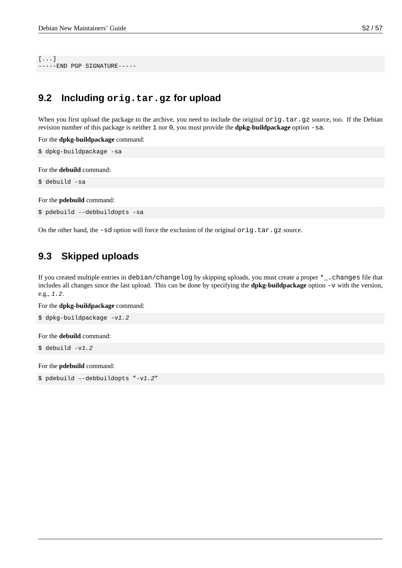[...] -----END PGP SIGNATURE-----

# <span id="page-57-0"></span>**9.2 Including orig.tar.gz for upload**

When you first upload the package to the archive, you need to include the original  $\text{orig}.$  tar.gz source, too. If the Debian revision number of this package is neither 1 nor 0, you must provide the **dpkg-buildpackage** option -sa.

For the **dpkg-buildpackage** command:

```
$ dpkg-buildpackage -sa
```
For the **debuild** command:

\$ debuild -sa

For the **pdebuild** command:

\$ pdebuild --debbuildopts -sa

On the other hand, the -sd option will force the exclusion of the original  $orig.tar.gz$  source.

# <span id="page-57-1"></span>**9.3 Skipped uploads**

If you created multiple entries in debian/changelog by skipping uploads, you must create a proper \*\_.changes file that includes all changes since the last upload. This can be done by specifying the **dpkg-buildpackage** option -v with the version, e.g., *1.2*.

For the **dpkg-buildpackage** command:

```
$ dpkg-buildpackage -v1.2
```
For the **debuild** command:

\$ debuild -v*1.2*

For the **pdebuild** command:

\$ pdebuild --debbuildopts "-v*1.2*"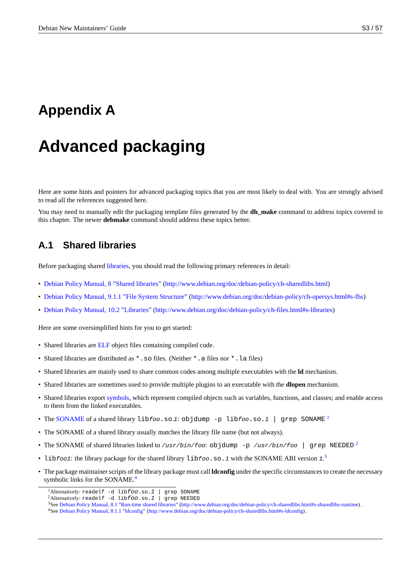# <span id="page-58-0"></span>**Appendix A**

# **Advanced packaging**

Here are some hints and pointers for advanced packaging topics that you are most likely to deal with. You are strongly advised to read all the references suggested here.

You may need to manually edit the packaging template files generated by the **dh\_make** command to address topics covered in this chapter. The newer **debmake** command should address these topics better.

### **A.1 Shared libraries**

<span id="page-58-1"></span>Before packaging shared libraries, you should read the following primary references in detail:

- Debian Policy Manual, 8 "Shared libraries" (http://www.debian.org/doc/debian-policy/ch-sharedlibs.html)
- Debian Policy Manual, [9.1.1 "F](http://en.wikipedia.org/wiki/Library_(computing))ile System Structure" (http://www.debian.org/doc/debian-policy/ch-opersys.html#s-fhs)
- [Debian Policy Manual, 10.2 "Libraries"](http://www.debian.org/doc/debian-policy/ch-sharedlibs.html) (htt[p://www.debian.org/doc/debian-policy/ch-files.html#s-librarie](http://www.debian.org/doc/debian-policy/ch-sharedlibs.html)s)

H[ere are some oversimplified hints for you to get starte](http://www.debian.org/doc/debian-policy/ch-opersys.html#s-fhs)d[:](http://www.debian.org/doc/debian-policy/ch-opersys.html#s-fhs)

- [Shared libraries are](http://www.debian.org/doc/debian-policy/ch-files.html#s-libraries) ELF object files cont[aining compiled code.](http://www.debian.org/doc/debian-policy/ch-files.html#s-libraries)
- Shared libraries are distributed as  $*$ . SO files. (Neither  $*$ . a files nor  $*$ . La files)
- Shared libraries are mainly used to share common codes among multiple executables with the **ld** mechanism.
- Shared libraries are [some](http://en.wikipedia.org/wiki/Executable_and_Linkable_Format)times used to provide multiple plugins to an executable with the **dlopen** mechanism.
- Shared libraries export symbols, which represent compiled objects such as variables, functions, and classes; and enable access to them from the linked executables.
- The SONAME of a shared library lib*foo*.so.*1*: objdump -p lib*foo*.so.*1* | grep SONAME <sup>1</sup>
- The SONAME of a sh[ared libra](http://en.wikipedia.org/wiki/Symbol_(programming))ry usually matches the library file name (but not always).
- The SONAME of shared libraries linked to */usr/bin/foo*: objdump -p */usr/bin/foo* | grep NEEDED <sup>2</sup>
- lib*foo1*[: the](http://en.wikipedia.org/wiki/Soname) library package for the shared library lib*foo*.so.1 with the SONAME ABI version 1.<sup>3</sup>
- The package maintainer scripts of the library package must call **ldconfig** under the specific circumstances to create the [n](#page-58-3)ecessary symbolic links for the SONAME.<sup>4</sup>

<sup>1</sup>Alternatively: readelf -d lib*foo*.so.*1* | grep SONAME

<sup>2</sup>Alternatively: readelf -d lib*foo*.so.*1* | grep NEEDED

<sup>3</sup>See Debian Policy Manual, 8.1 "Run-time shared libraries" (http://www.debian.org/doc/debian-policy/ch-sharedlibs.html#s-sharedlibs-runtime) .

<span id="page-58-4"></span><span id="page-58-3"></span><span id="page-58-2"></span><sup>4</sup>See Debian Policy Manual, 8.1.1 "ldc[on](#page-58-4)fig" (http://www.debian.org/doc/debian-policy/ch-sharedlibs.html#s-ldconfig) .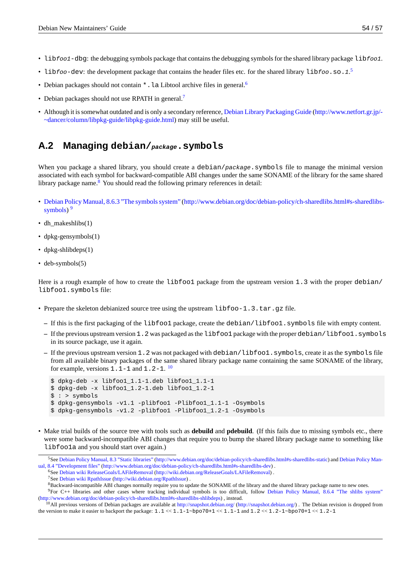- lib*foo1*-dbg: the debugging symbols package that contains the debugging symbols for the shared library package lib*foo1*.
- lib*foo*-dev: the development package that contains the header files etc. for the shared library lib*foo*.so.1.<sup>5</sup>
- Debian packages should not contain  $*$ . La Libtool archive files in general.<sup>6</sup>
- Debian packages should not use RPATH in general.<sup>7</sup>
- Although it is somewhat outdated and is only a secondary reference, Debian [L](#page-59-1)ibrary Packaging Guide (http://www.netfort.gr.jp/- ~dancer/column/libpkg-guide/libpkg-guide.html) may still be useful.

### **A.2 Managing [debian/](http://www.netfort.gr.jp/~dancer/column/libpkg-guide/libpkg-guide.html)***package***.symbols**

<span id="page-59-0"></span>When you package a shared library, you should create a debian/package.symbols file to manage the minimal version associated with each symbol for backward-compatible ABI changes under the same SONAME of the library for the same shared library package name.<sup>8</sup> You should read the following primary references in detail:

- Debian Policy Manual, 8.6.3 "The symbols system" (http://www.debian.org/doc/debian-policy/ch-sharedlibs.html#s-sharedlibssymbols)<sup>9</sup>
- dh\_makeshlibs(1)
- [dpkg-gensymbols\(1\)](http://www.debian.org/doc/debian-policy/ch-sharedlibs.html#s-sharedlibs-symbols)
- [dpkg-shl](http://www.debian.org/doc/debian-policy/ch-sharedlibs.html#s-sharedlibs-symbols)ibdeps(1)
- deb-symbols(5)

Here is a rough example of how to create the libfoo1 package from the upstream version 1.3 with the proper debian/ libfoo1.symbols file:

- Prepare the skeleton debianized source tree using the upstream libfoo-1.3.tar.gz file.
	- **–** If this is the first packaging of the libfoo1 package, create the debian/libfoo1.symbols file with empty content.
	- **–** If the previous upstream version 1.2 was packaged as the libfoo1 package with the proper debian/libfoo1.symbols in its source package, use it again.
	- **–** If the previous upstream version 1.2 was not packaged with debian/libfoo1.symbols, create it as the symbols file from all available binary packages of the same shared library package name containing the same SONAME of the library, for example, versions  $1 \ldotp 1$  -  $1$  and  $1 \ldotp 2$  -  $1 \ldotp ^{10}$

```
$ dpkg-deb -x libfoo1_1.1-1.deb libfoo1_1.1-1
$ dpkg-deb -x libfoo1_1.2-1.deb libfoo1_1.2-1
$ : > symbols
$ dpkg-gensymbols -v1.1 -plibfoo1 -Plibfoo1_1.1-1 -Osymbols
$ dpkg-gensymbols -v1.2 -plibfoo1 -Plibfoo1_1.2-1 -Osymbols
```
- 
- Make trial builds of the source tree with tools such as **debuild** and **pdebuild**. (If this fails due to missing symbols etc., there were some backward-incompatible ABI changes that require you to bump the shared library package name to something like libfoo1a and you should start over again.)

<sup>&</sup>lt;sup>5</sup>See Debian Policy Manual, 8.3 "Static libraries" (http://www.debian.org/doc/debian-policy/ch-sharedlibs.html#s-sharedlibs-static) and Debian Policy Manual, 8.4 "Development files" (http://www.debian.org/doc/debian-policy/ch-sharedlibs.html#s-sharedlibs-dev).

<sup>6</sup>See Debian wiki ReleaseGoals/LAFileRemoval (http://wiki.debian.org/ReleaseGoals/LAFileRemoval) .

<sup>7</sup>See Debian wiki RpathIssue (http://wiki.debian.org/RpathIssue) .

<sup>&</sup>lt;sup>8</sup>Backward-incompatible ABI changes normally require you to update the SONAME of the library and the shared library package name to new ones.

<sup>9</sup>For [C++ libraries and other cases where tra](http://www.debian.org/doc/debian-policy/ch-sharedlibs.html#s-sharedlibs-static)c[king individual symbols is too difficult, follow](http://www.debian.org/doc/debian-policy/ch-sharedlibs.html#s-sharedlibs-static) Debian Policy Manual, 8.6.4 "[The shlibs system"](http://www.debian.org/doc/debian-policy/ch-sharedlibs.html#s-sharedlibs-dev) [\(http://www.debian.org/doc/debian-policy/ch-sharedlibs.html#s-sharedlibs-shlibdeps\) , instead.](http://www.debian.org/doc/debian-policy/ch-sharedlibs.html#s-sharedlibs-dev)

<span id="page-59-3"></span><span id="page-59-2"></span><span id="page-59-1"></span><sup>&</sup>lt;sup>10</sup>All [previous versions of Debian packages are av](http://wiki.debian.org/ReleaseGoals/LAFileRemoval)ailable at [http://snapshot.debian.org/](http://wiki.debian.org/ReleaseGoals/LAFileRemoval) (http://snapshot.debian.org/) . The Debian revision is dropped from the versio[n to make it easier to backport the package:](http://wiki.debian.org/RpathIssue)  $1.1 \leq 1.1 - 1 - b$  po  $70 + 1 \leq 1.1 - 1$  and  $1.2 \leq 1.2 - 1 - b$  po  $70 + 1 \leq 1.2 - 1$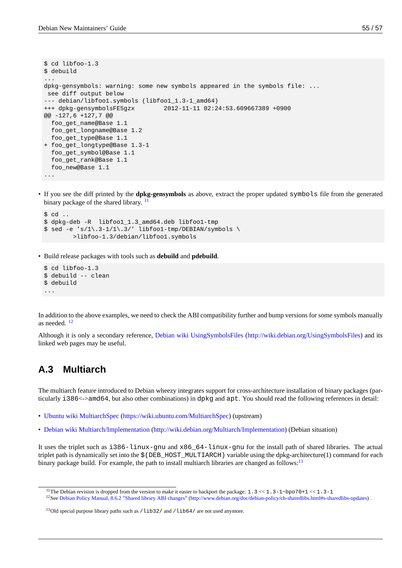```
$ cd libfoo-1.3
$ debuild
...
dpkg-gensymbols: warning: some new symbols appeared in the symbols file: ...
see diff output below
--- debian/libfoo1.symbols (libfoo1_1.3-1_amd64)
+++ dpkg-gensymbolsFE5gzx 2012-11-11 02:24:53.609667389 +0900
@@ -127,6 +127,7 @@
 foo_get_name@Base 1.1
 foo_get_longname@Base 1.2
 foo_get_type@Base 1.1
+ foo_get_longtype@Base 1.3-1
 foo_get_symbol@Base 1.1
 foo_get_rank@Base 1.1
 foo_new@Base 1.1
...
```
• If you see the diff printed by the **dpkg-gensymbols** as above, extract the proper updated symbols file from the generated binary package of the shared library. <sup>11</sup>

```
$ cd ..
$ dpkg-deb -R libfoo1_1.3_amd64.deb libfoo1-tmp
$ sed -e 's/1\13-1/1\13/' libfoot-tmp/DEBIAN/symbols \>libfoo-1.3/debian/libfoo1.symbols
```
• Build release packages with tools such as **debuild** and **pdebuild**.

```
$ cd libfoo-1.3
$ debuild -- clean
$ debuild
...
```
In addition to the above examples, we need to check the ABI compatibility further and bump versions for some symbols manually as needed.  $12$ 

Although it is only a secondary reference, Debian wiki UsingSymbolsFiles (http://wiki.debian.org/UsingSymbolsFiles) and its linked web pages may be useful.

### **A.3 Multiarch**

The multiarch feature introduced to Debian wheezy integrates support for cross-architecture installation of binary packages (particularly i386<->amd64, but also other combinations) in dpkg and apt. You should read the following references in detail:

- Ubuntu wiki MultiarchSpec (https://wiki.ubuntu.com/MultiarchSpec) (upstream)
- Debian wiki Multiarch/Implementation (http://wiki.debian.org/Multiarch/Implementation) (Debian situation)

It [uses the triplet such as](https://wiki.ubuntu.com/MultiarchSpec)  $i386$ -linux-qnu and x86 64-linux-qnu for the install path of shared libraries. The actual triplet path is dynamically set into the  $$(DEB_HOST_MULTIARCH)$  variable using the dpkg-architecture(1) command for each bi[nary package build. For example, the pa](http://wiki.debian.org/Multiarch/Implementation)t[h to install multiarch libraries are changed as foll](http://wiki.debian.org/Multiarch/Implementation)ows: $13$ 

<sup>&</sup>lt;sup>11</sup>The Debian revision is dropped from the version to make it easier to backport the package:  $1.3 < 1.3 < 1$  hpo[70+](#page-60-1)1 << 1.3-1

<sup>&</sup>lt;sup>12</sup>See Debian Policy Manual, 8.6.2 "Shared library ABI changes" (http://www.debian.org/doc/debian-policy/ch-sharedlibs.html#s-sharedlibs-updates) .

<span id="page-60-1"></span><span id="page-60-0"></span> $13$ Old special purpose library paths such as  $\lambda$ lib32 $\lambda$  and  $\lambda$ lib64 $\lambda$  are not used anymore.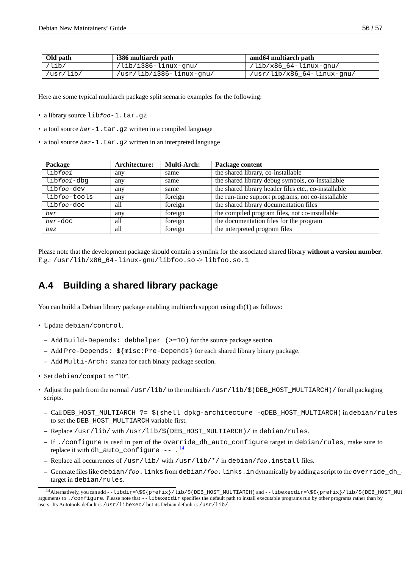| Old path  | i386 multiarch path      | amd64 multiarch path       |
|-----------|--------------------------|----------------------------|
| /lib/     | /lib/i386-linux-gnu/     | //lib/x86_64-linux-gnu/    |
| /usr/lib/ | /usr/lib/i386-linux-gnu/ | /usr/lib/x86_64-linux-gnu/ |

Here are some typical multiarch package split scenario examples for the following:

- a library source lib*foo*-1.tar.gz
- a tool source *bar* 1. tar.gz written in a compiled language
- a tool source *baz* 1.tar.gz written in an interpreted language

| Package               | Architecture: | <b>Multi-Arch:</b> | Package content                                      |
|-----------------------|---------------|--------------------|------------------------------------------------------|
| libfoo1               | any           | same               | the shared library, co-installable                   |
| libfoo1-dbg           | any           | same               | the shared library debug symbols, co-installable     |
| lib <i>foo-</i> dev   | any           | same               | the shared library header files etc., co-installable |
| lib <i>foo-</i> tools | any           | foreign            | the run-time support programs, not co-installable    |
| lib <i>foo-</i> doc   | all           | foreign            | the shared library documentation files               |
| bar                   | any           | foreign            | the compiled program files, not co-installable       |
| $bar$ -doc            | all           | foreign            | the documentation files for the program              |
| baz                   | all           | foreign            | the interpreted program files                        |

Please note that the development package should contain a symlink for the associated shared library **without a version number**. E.g.: /usr/lib/x86\_64-linux-gnu/libfoo.so -> libfoo.so.1

# **A.4 Building a shared library package**

You can build a Debian library package enabling multiarch support using dh(1) as follows:

- Update debian/control.
	- **–** Add Build-Depends: debhelper (>=10) for the source package section.
	- **–** Add Pre-Depends: \${misc:Pre-Depends} for each shared library binary package.
	- **–** Add Multi-Arch: stanza for each binary package section.
- Set debian/compat to "10".
- Adjust the path from the normal /usr/lib/ to the multiarch /usr/lib/\$(DEB\_HOST\_MULTIARCH)/ for all packaging scripts.
	- **–** Call DEB\_HOST\_MULTIARCH ?= \$(shell dpkg-architecture -qDEB\_HOST\_MULTIARCH) in debian/rules to set the DEB\_HOST\_MULTIARCH variable first.
	- **–** Replace /usr/lib/ with /usr/lib/\$(DEB\_HOST\_MULTIARCH)/ in debian/rules.
	- **–** If ./configure is used in part of the override\_dh\_auto\_configure target in debian/rules, make sure to replace it with <code>dh\_auto\_configure -- . $^{14}$ </code>
	- **–** Replace all occurrences of /usr/lib/ with /usr/lib/\*/ in debian/*foo*.install files.
	- **–** Generate files like debian/*foo*.links from debian/*foo*.links.in dynamically by adding a script to the override\_dh\_auto\_configure target in debian/rules.

<sup>&</sup>lt;sup>14</sup>Alternatively, you can add --libdir=\\$\${prefix}/lib/\$(DEB\_HOST\_MULTIARCH) and --libexecdir=\\$\${prefix}/lib/\$(DEB\_HOST\_MULTIA arguments to ./configure. Please note that --libexecdir specifies the default path to install executable programs run by other programs rather than by users. Its Autotools default is /usr/libexec/ but its Debian default is /usr/lib/.